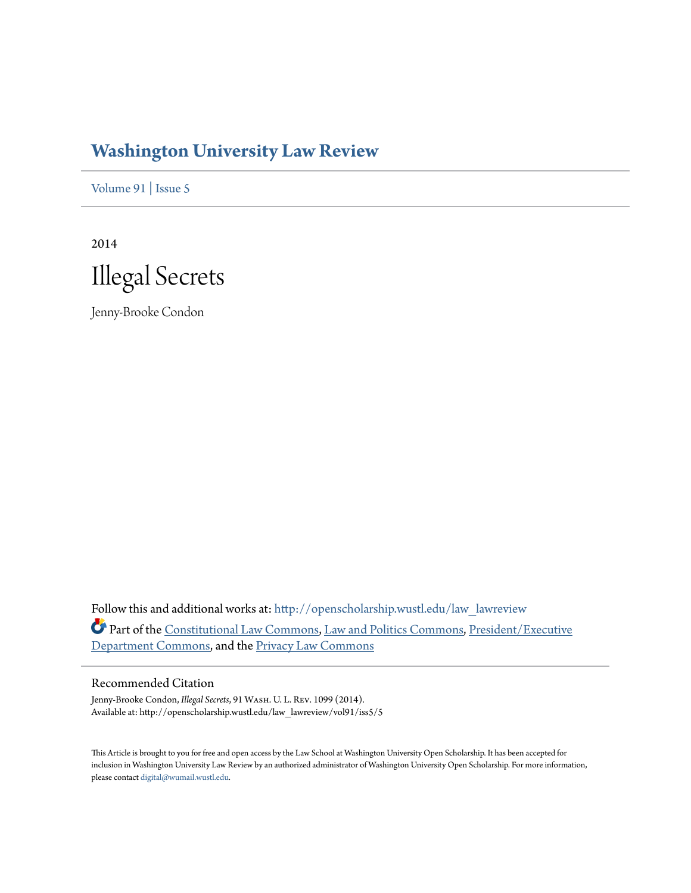## **[Washington University Law Review](http://openscholarship.wustl.edu/law_lawreview?utm_source=openscholarship.wustl.edu%2Flaw_lawreview%2Fvol91%2Fiss5%2F5&utm_medium=PDF&utm_campaign=PDFCoverPages)**

[Volume 91](http://openscholarship.wustl.edu/law_lawreview/vol91?utm_source=openscholarship.wustl.edu%2Flaw_lawreview%2Fvol91%2Fiss5%2F5&utm_medium=PDF&utm_campaign=PDFCoverPages) | [Issue 5](http://openscholarship.wustl.edu/law_lawreview/vol91/iss5?utm_source=openscholarship.wustl.edu%2Flaw_lawreview%2Fvol91%2Fiss5%2F5&utm_medium=PDF&utm_campaign=PDFCoverPages)

2014



Jenny-Brooke Condon

Follow this and additional works at: [http://openscholarship.wustl.edu/law\\_lawreview](http://openscholarship.wustl.edu/law_lawreview?utm_source=openscholarship.wustl.edu%2Flaw_lawreview%2Fvol91%2Fiss5%2F5&utm_medium=PDF&utm_campaign=PDFCoverPages) Part of the [Constitutional Law Commons,](http://network.bepress.com/hgg/discipline/589?utm_source=openscholarship.wustl.edu%2Flaw_lawreview%2Fvol91%2Fiss5%2F5&utm_medium=PDF&utm_campaign=PDFCoverPages) [Law and Politics Commons,](http://network.bepress.com/hgg/discipline/867?utm_source=openscholarship.wustl.edu%2Flaw_lawreview%2Fvol91%2Fiss5%2F5&utm_medium=PDF&utm_campaign=PDFCoverPages) [President/Executive](http://network.bepress.com/hgg/discipline/1118?utm_source=openscholarship.wustl.edu%2Flaw_lawreview%2Fvol91%2Fiss5%2F5&utm_medium=PDF&utm_campaign=PDFCoverPages) [Department Commons](http://network.bepress.com/hgg/discipline/1118?utm_source=openscholarship.wustl.edu%2Flaw_lawreview%2Fvol91%2Fiss5%2F5&utm_medium=PDF&utm_campaign=PDFCoverPages), and the [Privacy Law Commons](http://network.bepress.com/hgg/discipline/1234?utm_source=openscholarship.wustl.edu%2Flaw_lawreview%2Fvol91%2Fiss5%2F5&utm_medium=PDF&utm_campaign=PDFCoverPages)

#### Recommended Citation

Jenny-Brooke Condon, *Illegal Secrets*, 91 Wash. U. L. Rev. 1099 (2014). Available at: http://openscholarship.wustl.edu/law\_lawreview/vol91/iss5/5

This Article is brought to you for free and open access by the Law School at Washington University Open Scholarship. It has been accepted for inclusion in Washington University Law Review by an authorized administrator of Washington University Open Scholarship. For more information, please contact [digital@wumail.wustl.edu.](mailto:digital@wumail.wustl.edu)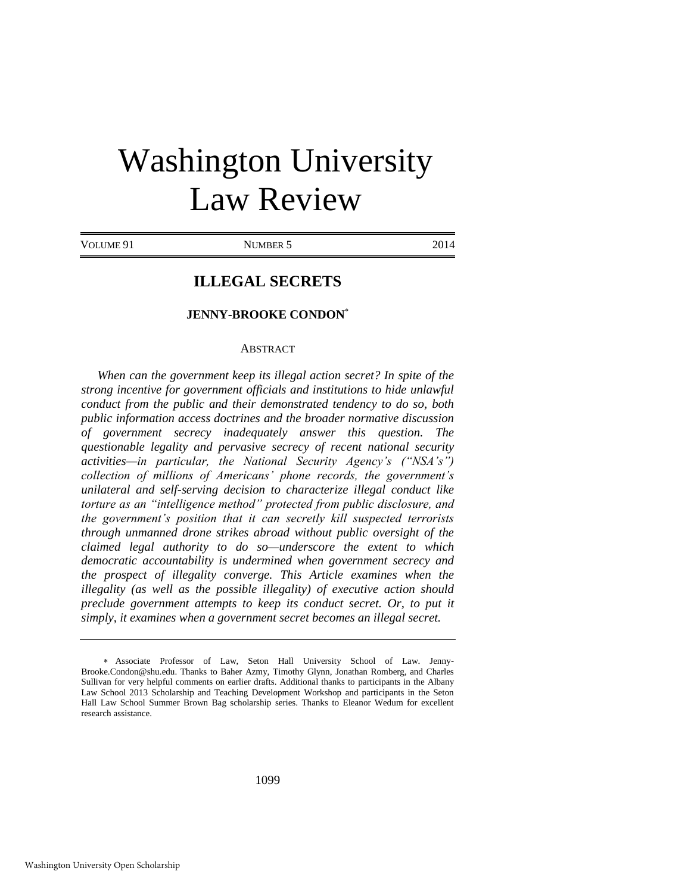# Washington University Law Review

VOLUME 91 NUMBER 5 2014

### **ILLEGAL SECRETS**

#### **JENNY-BROOKE CONDON**

#### **ABSTRACT**

*When can the government keep its illegal action secret? In spite of the strong incentive for government officials and institutions to hide unlawful conduct from the public and their demonstrated tendency to do so, both public information access doctrines and the broader normative discussion of government secrecy inadequately answer this question. The questionable legality and pervasive secrecy of recent national security activities—in particular, the National Security Agency's ("NSA's") collection of millions of Americans' phone records, the government's unilateral and self-serving decision to characterize illegal conduct like torture as an "intelligence method" protected from public disclosure, and the government's position that it can secretly kill suspected terrorists through unmanned drone strikes abroad without public oversight of the claimed legal authority to do so—underscore the extent to which democratic accountability is undermined when government secrecy and the prospect of illegality converge. This Article examines when the illegality (as well as the possible illegality) of executive action should preclude government attempts to keep its conduct secret. Or, to put it simply, it examines when a government secret becomes an illegal secret.*

1099

Associate Professor of Law, Seton Hall University School of Law. Jenny-Brooke.Condon@shu.edu. Thanks to Baher Azmy, Timothy Glynn, Jonathan Romberg, and Charles Sullivan for very helpful comments on earlier drafts. Additional thanks to participants in the Albany Law School 2013 Scholarship and Teaching Development Workshop and participants in the Seton Hall Law School Summer Brown Bag scholarship series. Thanks to Eleanor Wedum for excellent research assistance.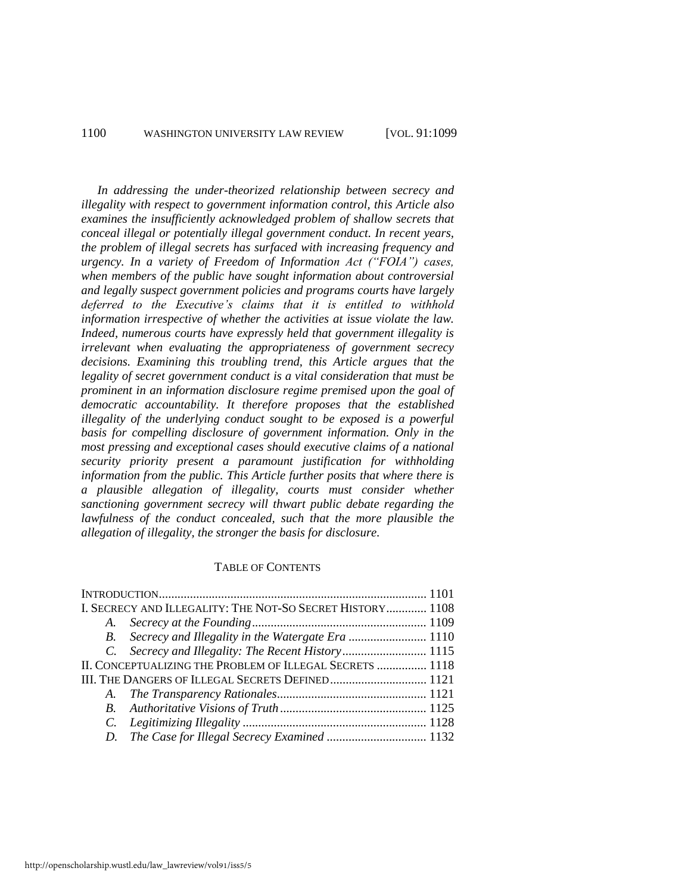#### 1100 WASHINGTON UNIVERSITY LAW REVIEW [VOL. 91:1099

*In addressing the under-theorized relationship between secrecy and illegality with respect to government information control, this Article also examines the insufficiently acknowledged problem of shallow secrets that conceal illegal or potentially illegal government conduct. In recent years, the problem of illegal secrets has surfaced with increasing frequency and urgency. In a variety of Freedom of Information Act ("FOIA") cases, when members of the public have sought information about controversial and legally suspect government policies and programs courts have largely deferred to the Executive's claims that it is entitled to withhold information irrespective of whether the activities at issue violate the law. Indeed, numerous courts have expressly held that government illegality is irrelevant when evaluating the appropriateness of government secrecy decisions. Examining this troubling trend, this Article argues that the legality of secret government conduct is a vital consideration that must be prominent in an information disclosure regime premised upon the goal of democratic accountability. It therefore proposes that the established illegality of the underlying conduct sought to be exposed is a powerful basis for compelling disclosure of government information. Only in the most pressing and exceptional cases should executive claims of a national security priority present a paramount justification for withholding information from the public. This Article further posits that where there is a plausible allegation of illegality, courts must consider whether sanctioning government secrecy will thwart public debate regarding the lawfulness of the conduct concealed, such that the more plausible the allegation of illegality, the stronger the basis for disclosure.* 

#### TABLE OF CONTENTS

| I. SECRECY AND ILLEGALITY: THE NOT-SO SECRET HISTORY 1108 |  |
|-----------------------------------------------------------|--|
|                                                           |  |
| B. Secrecy and Illegality in the Watergate Era  1110      |  |
|                                                           |  |
| II. CONCEPTUALIZING THE PROBLEM OF ILLEGAL SECRETS  1118  |  |
|                                                           |  |
|                                                           |  |
|                                                           |  |
|                                                           |  |
|                                                           |  |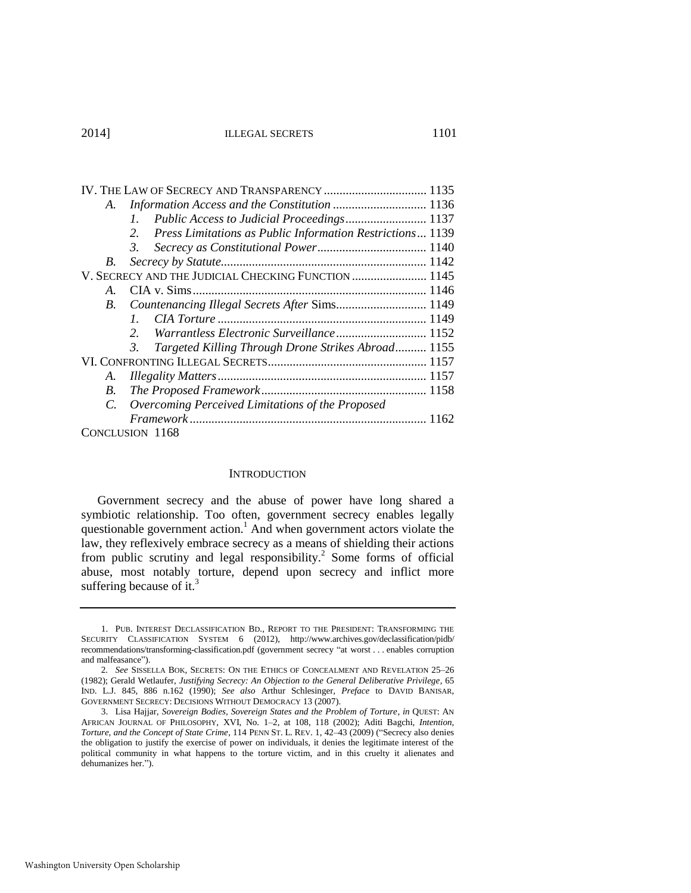| A.              | Information Access and the Constitution  1136                   |
|-----------------|-----------------------------------------------------------------|
|                 | $l_{\perp}$                                                     |
|                 | Press Limitations as Public Information Restrictions 1139<br>2. |
|                 | 3.                                                              |
| B.              |                                                                 |
|                 | V. SECRECY AND THE JUDICIAL CHECKING FUNCTION  1145             |
| $A_{-}$         |                                                                 |
| <b>B</b> .      |                                                                 |
|                 | 1                                                               |
|                 | Warrantless Electronic Surveillance 1152<br>$2^{\circ}$         |
|                 | Targeted Killing Through Drone Strikes Abroad 1155<br>3.        |
|                 |                                                                 |
| А.              |                                                                 |
| B.              |                                                                 |
| $\mathcal{C}$ . | Overcoming Perceived Limitations of the Proposed                |
|                 |                                                                 |
|                 | CONCLUSION 1168                                                 |

#### <span id="page-3-1"></span><span id="page-3-0"></span>**INTRODUCTION**

Government secrecy and the abuse of power have long shared a symbiotic relationship. Too often, government secrecy enables legally questionable government action.<sup>1</sup> And when government actors violate the law, they reflexively embrace secrecy as a means of shielding their actions from public scrutiny and legal responsibility.<sup>2</sup> Some forms of official abuse, most notably torture, depend upon secrecy and inflict more suffering because of it.<sup>3</sup>

<sup>1.</sup> PUB. INTEREST DECLASSIFICATION BD., REPORT TO THE PRESIDENT: TRANSFORMING THE SECURITY CLASSIFICATION SYSTEM 6 (2012), http://www.archives.gov/declassification/pidb/ recommendations/transforming-classification.pdf (government secrecy "at worst . . . enables corruption and malfeasance").

<sup>2</sup>*. See* SISSELLA BOK, SECRETS: ON THE ETHICS OF CONCEALMENT AND REVELATION 25–26 (1982); Gerald Wetlaufer, *Justifying Secrecy: An Objection to the General Deliberative Privilege*, 65 IND. L.J. 845, 886 n.162 (1990); *See also* Arthur Schlesinger, *Preface* to DAVID BANISAR, GOVERNMENT SECRECY: DECISIONS WITHOUT DEMOCRACY 13 (2007).

<sup>3.</sup> Lisa Hajjar, *Sovereign Bodies, Sovereign States and the Problem of Torture*, *in* QUEST: AN AFRICAN JOURNAL OF PHILOSOPHY, XVI, No. 1–2, at 108, 118 (2002); Aditi Bagchi, *Intention, Torture, and the Concept of State Crime*, 114 PENN ST. L. REV. 1, 42–43 (2009) ("Secrecy also denies the obligation to justify the exercise of power on individuals, it denies the legitimate interest of the political community in what happens to the torture victim, and in this cruelty it alienates and dehumanizes her.").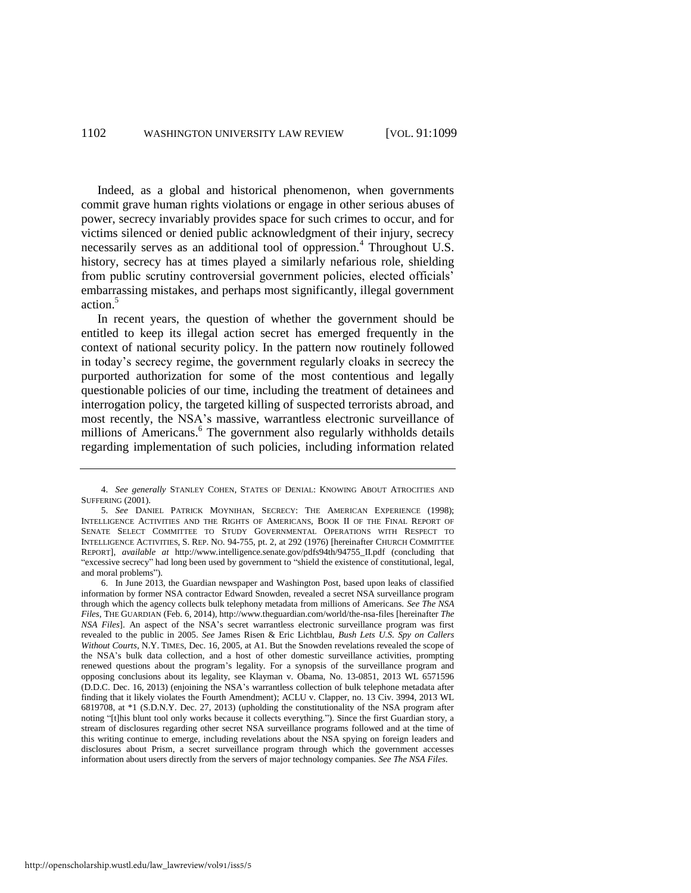<span id="page-4-1"></span>Indeed, as a global and historical phenomenon, when governments commit grave human rights violations or engage in other serious abuses of power, secrecy invariably provides space for such crimes to occur, and for victims silenced or denied public acknowledgment of their injury, secrecy necessarily serves as an additional tool of oppression.<sup>4</sup> Throughout U.S. history, secrecy has at times played a similarly nefarious role, shielding from public scrutiny controversial government policies, elected officials' embarrassing mistakes, and perhaps most significantly, illegal government action.<sup>5</sup>

<span id="page-4-2"></span>In recent years, the question of whether the government should be entitled to keep its illegal action secret has emerged frequently in the context of national security policy. In the pattern now routinely followed in today's secrecy regime, the government regularly cloaks in secrecy the purported authorization for some of the most contentious and legally questionable policies of our time, including the treatment of detainees and interrogation policy, the targeted killing of suspected terrorists abroad, and most recently, the NSA's massive, warrantless electronic surveillance of millions of Americans.<sup>6</sup> The government also regularly withholds details regarding implementation of such policies, including information related

<span id="page-4-0"></span><sup>4.</sup> *See generally* STANLEY COHEN, STATES OF DENIAL: KNOWING ABOUT ATROCITIES AND SUFFERING (2001).

<sup>5.</sup> *See* DANIEL PATRICK MOYNIHAN, SECRECY: THE AMERICAN EXPERIENCE (1998); INTELLIGENCE ACTIVITIES AND THE RIGHTS OF AMERICANS, BOOK II OF THE FINAL REPORT OF SENATE SELECT COMMITTEE TO STUDY GOVERNMENTAL OPERATIONS WITH RESPECT TO INTELLIGENCE ACTIVITIES, S. REP. NO. 94-755, pt. 2, at 292 (1976) [hereinafter CHURCH COMMITTEE REPORT], *available at* http://www.intelligence.senate.gov/pdfs94th/94755\_II.pdf (concluding that "excessive secrecy" had long been used by government to "shield the existence of constitutional, legal, and moral problems").

<sup>6.</sup> In June 2013, the Guardian newspaper and Washington Post, based upon leaks of classified information by former NSA contractor Edward Snowden, revealed a secret NSA surveillance program through which the agency collects bulk telephony metadata from millions of Americans. *See The NSA Files*, THE GUARDIAN (Feb. 6, 2014), http://www.theguardian.com/world/the-nsa-files [hereinafter *The NSA Files*]. An aspect of the NSA's secret warrantless electronic surveillance program was first revealed to the public in 2005. *See* James Risen & Eric Lichtblau, *Bush Lets U.S. Spy on Callers Without Courts*, N.Y. TIMES, Dec. 16, 2005, at A1. But the Snowden revelations revealed the scope of the NSA's bulk data collection, and a host of other domestic surveillance activities, prompting renewed questions about the program's legality. For a synopsis of the surveillance program and opposing conclusions about its legality, see Klayman v. Obama, No. 13-0851, 2013 WL 6571596 (D.D.C. Dec. 16, 2013) (enjoining the NSA's warrantless collection of bulk telephone metadata after finding that it likely violates the Fourth Amendment); ACLU v. Clapper, no. 13 Civ. 3994, 2013 WL 6819708, at \*1 (S.D.N.Y. Dec. 27, 2013) (upholding the constitutionality of the NSA program after noting "[t]his blunt tool only works because it collects everything."). Since the first Guardian story, a stream of disclosures regarding other secret NSA surveillance programs followed and at the time of this writing continue to emerge, including revelations about the NSA spying on foreign leaders and disclosures about Prism, a secret surveillance program through which the government accesses information about users directly from the servers of major technology companies. *See The NSA Files*.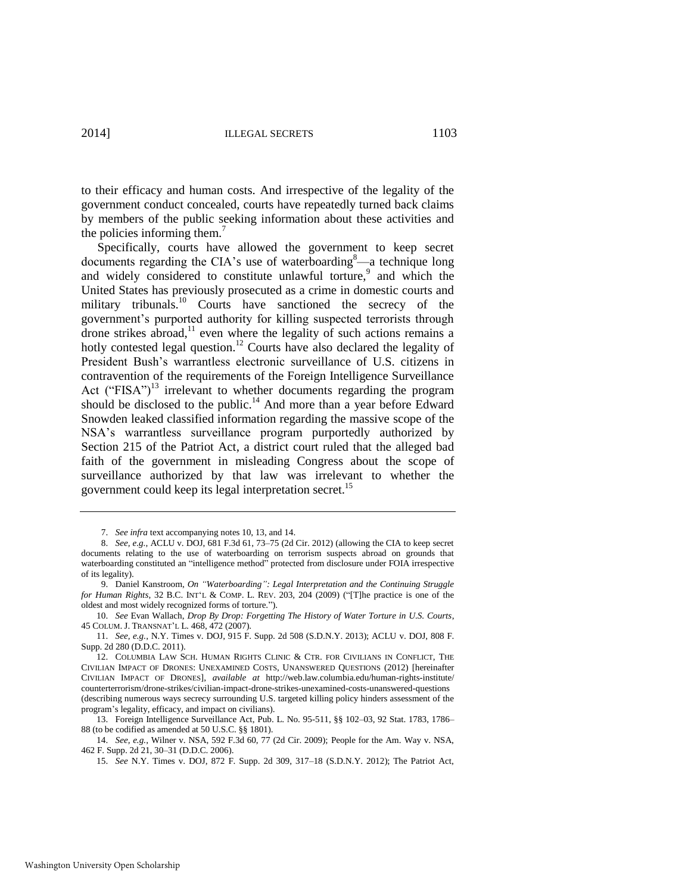to their efficacy and human costs. And irrespective of the legality of the government conduct concealed, courts have repeatedly turned back claims by members of the public seeking information about these activities and the policies informing them.<sup>7</sup>

<span id="page-5-3"></span><span id="page-5-0"></span>Specifically, courts have allowed the government to keep secret documents regarding the CIA's use of waterboarding $\alpha^8$ —a technique long and widely considered to constitute unlawful torture,<sup>9</sup> and which the United States has previously prosecuted as a crime in domestic courts and military tribunals.<sup>10</sup> Courts have sanctioned the secrecy of the government's purported authority for killing suspected terrorists through drone strikes abroad,<sup>11</sup> even where the legality of such actions remains a hotly contested legal question.<sup>12</sup> Courts have also declared the legality of President Bush's warrantless electronic surveillance of U.S. citizens in contravention of the requirements of the Foreign Intelligence Surveillance Act ("FISA")<sup>13</sup> irrelevant to whether documents regarding the program should be disclosed to the public.<sup>14</sup> And more than a year before Edward Snowden leaked classified information regarding the massive scope of the NSA's warrantless surveillance program purportedly authorized by Section 215 of the Patriot Act, a district court ruled that the alleged bad faith of the government in misleading Congress about the scope of surveillance authorized by that law was irrelevant to whether the government could keep its legal interpretation secret.<sup>15</sup>

<span id="page-5-2"></span><span id="page-5-1"></span><sup>7.</sup> *See infra* text accompanying note[s 10,](#page-5-0) [13,](#page-5-1) an[d 14.](#page-5-2)

<sup>8.</sup> *See, e.g.*, ACLU v. DOJ, 681 F.3d 61, 73–75 (2d Cir. 2012) (allowing the CIA to keep secret documents relating to the use of waterboarding on terrorism suspects abroad on grounds that waterboarding constituted an "intelligence method" protected from disclosure under FOIA irrespective of its legality).

<sup>9.</sup> Daniel Kanstroom, *On "Waterboarding": Legal Interpretation and the Continuing Struggle for Human Rights*, 32 B.C. INT'L & COMP. L. REV. 203, 204 (2009) ("[T]he practice is one of the oldest and most widely recognized forms of torture.").

<sup>10.</sup> *See* Evan Wallach, *Drop By Drop: Forgetting The History of Water Torture in U.S. Courts*, 45 COLUM. J. TRANSNAT'L L. 468, 472 (2007).

<sup>11.</sup> *See, e.g.*, N.Y. Times v. DOJ, 915 F. Supp. 2d 508 (S.D.N.Y. 2013); ACLU v. DOJ, 808 F. Supp. 2d 280 (D.D.C. 2011).

<sup>12.</sup> COLUMBIA LAW SCH. HUMAN RIGHTS CLINIC & CTR. FOR CIVILIANS IN CONFLICT, THE CIVILIAN IMPACT OF DRONES: UNEXAMINED COSTS, UNANSWERED QUESTIONS (2012) [hereinafter CIVILIAN IMPACT OF DRONES], *available at* http://web.law.columbia.edu/human-rights-institute/ counterterrorism/drone-strikes/civilian-impact-drone-strikes-unexamined-costs-unanswered-questions (describing numerous ways secrecy surrounding U.S. targeted killing policy hinders assessment of the program's legality, efficacy, and impact on civilians).

<sup>13.</sup> Foreign Intelligence Surveillance Act, Pub. L. No. 95-511, §§ 102–03, 92 Stat. 1783, 1786– 88 (to be codified as amended at 50 U.S.C. §§ 1801).

<sup>14.</sup> *See, e.g.*, Wilner v. NSA, 592 F.3d 60, 77 (2d Cir. 2009); People for the Am. Way v. NSA, 462 F. Supp. 2d 21, 30–31 (D.D.C. 2006).

<sup>15.</sup> *See* N.Y. Times v. DOJ, 872 F. Supp. 2d 309, 317–18 (S.D.N.Y. 2012); The Patriot Act,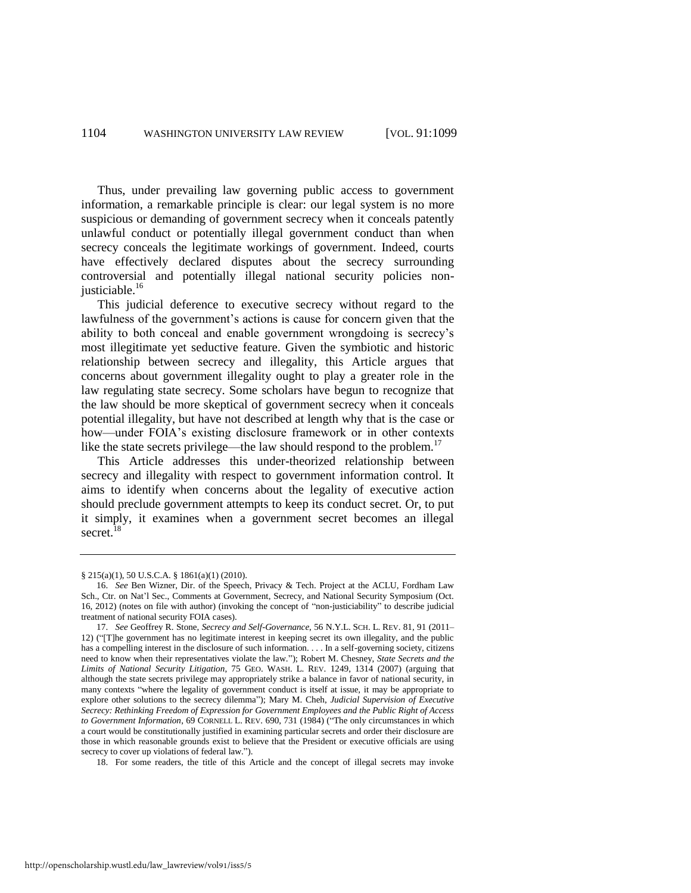Thus, under prevailing law governing public access to government information, a remarkable principle is clear: our legal system is no more suspicious or demanding of government secrecy when it conceals patently unlawful conduct or potentially illegal government conduct than when secrecy conceals the legitimate workings of government. Indeed, courts have effectively declared disputes about the secrecy surrounding controversial and potentially illegal national security policies nonjusticiable.<sup>16</sup>

<span id="page-6-2"></span>This judicial deference to executive secrecy without regard to the lawfulness of the government's actions is cause for concern given that the ability to both conceal and enable government wrongdoing is secrecy's most illegitimate yet seductive feature. Given the symbiotic and historic relationship between secrecy and illegality, this Article argues that concerns about government illegality ought to play a greater role in the law regulating state secrecy. Some scholars have begun to recognize that the law should be more skeptical of government secrecy when it conceals potential illegality, but have not described at length why that is the case or how—under FOIA's existing disclosure framework or in other contexts like the state secrets privilege—the law should respond to the problem.<sup>17</sup>

<span id="page-6-1"></span>This Article addresses this under-theorized relationship between secrecy and illegality with respect to government information control. It aims to identify when concerns about the legality of executive action should preclude government attempts to keep its conduct secret. Or, to put it simply, it examines when a government secret becomes an illegal secret.<sup>18</sup>

<span id="page-6-0"></span><sup>§ 215(</sup>a)(1), 50 U.S.C.A. § 1861(a)(1) (2010).

<sup>16.</sup> *See* Ben Wizner, Dir. of the Speech, Privacy & Tech. Project at the ACLU, Fordham Law Sch., Ctr. on Nat'l Sec., Comments at Government, Secrecy, and National Security Symposium (Oct. 16, 2012) (notes on file with author) (invoking the concept of "non-justiciability" to describe judicial treatment of national security FOIA cases).

<sup>17.</sup> *See* Geoffrey R. Stone, *Secrecy and Self-Governance*, 56 N.Y.L. SCH. L. REV. 81, 91 (2011– 12) ("[T]he government has no legitimate interest in keeping secret its own illegality, and the public has a compelling interest in the disclosure of such information. . . . In a self-governing society, citizens need to know when their representatives violate the law."); Robert M. Chesney, *State Secrets and the Limits of National Security Litigation*, 75 GEO. WASH. L. REV. 1249, 1314 (2007) (arguing that although the state secrets privilege may appropriately strike a balance in favor of national security, in many contexts "where the legality of government conduct is itself at issue, it may be appropriate to explore other solutions to the secrecy dilemma"); Mary M. Cheh, *Judicial Supervision of Executive Secrecy: Rethinking Freedom of Expression for Government Employees and the Public Right of Access to Government Information*, 69 CORNELL L. REV. 690, 731 (1984) ("The only circumstances in which a court would be constitutionally justified in examining particular secrets and order their disclosure are those in which reasonable grounds exist to believe that the President or executive officials are using secrecy to cover up violations of federal law.").

<sup>18.</sup> For some readers, the title of this Article and the concept of illegal secrets may invoke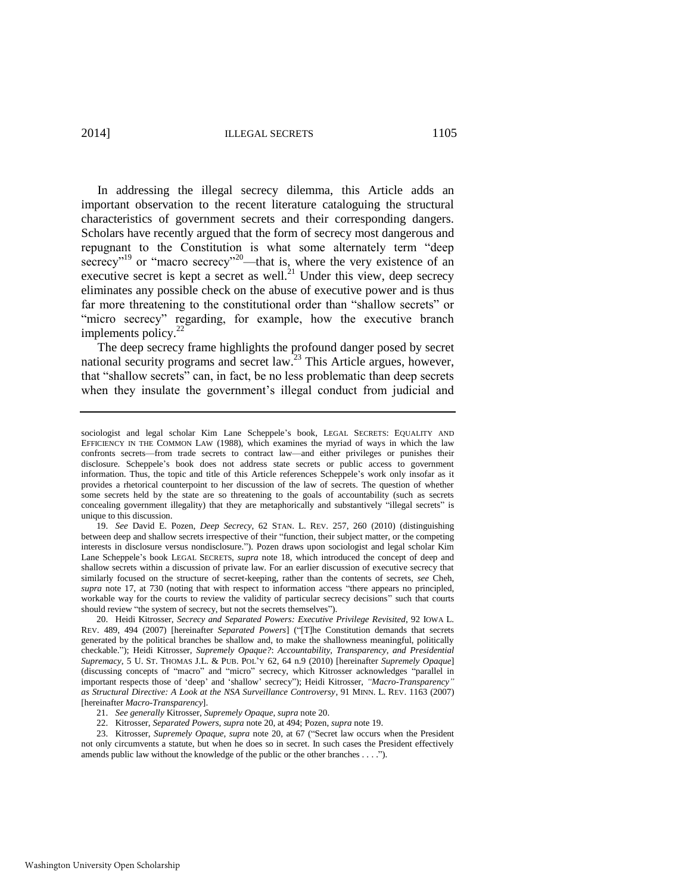<span id="page-7-1"></span><span id="page-7-0"></span>In addressing the illegal secrecy dilemma, this Article adds an important observation to the recent literature cataloguing the structural characteristics of government secrets and their corresponding dangers. Scholars have recently argued that the form of secrecy most dangerous and repugnant to the Constitution is what some alternately term "deep secrecy"<sup>19</sup> or "macro secrecy"<sup>20</sup>—that is, where the very existence of an executive secret is kept a secret as well.<sup>21</sup> Under this view, deep secrecy eliminates any possible check on the abuse of executive power and is thus far more threatening to the constitutional order than "shallow secrets" or "micro secrecy" regarding, for example, how the executive branch implements policy.<sup>22</sup>

The deep secrecy frame highlights the profound danger posed by secret national security programs and secret law.<sup>23</sup> This Article argues, however, that "shallow secrets" can, in fact, be no less problematic than deep secrets when they insulate the government's illegal conduct from judicial and

sociologist and legal scholar Kim Lane Scheppele's book, LEGAL SECRETS: EQUALITY AND EFFICIENCY IN THE COMMON LAW (1988), which examines the myriad of ways in which the law confronts secrets—from trade secrets to contract law—and either privileges or punishes their disclosure. Scheppele's book does not address state secrets or public access to government information. Thus, the topic and title of this Article references Scheppele's work only insofar as it provides a rhetorical counterpoint to her discussion of the law of secrets. The question of whether some secrets held by the state are so threatening to the goals of accountability (such as secrets concealing government illegality) that they are metaphorically and substantively "illegal secrets" is unique to this discussion.

<sup>19.</sup> *See* David E. Pozen, *Deep Secrecy*, 62 STAN. L. REV. 257, 260 (2010) (distinguishing between deep and shallow secrets irrespective of their "function, their subject matter, or the competing interests in disclosure versus nondisclosure."). Pozen draws upon sociologist and legal scholar Kim Lane Scheppele's book LEGAL SECRETS, *supra* note [18,](#page-6-0) which introduced the concept of deep and shallow secrets within a discussion of private law. For an earlier discussion of executive secrecy that similarly focused on the structure of secret-keeping, rather than the contents of secrets, *see* Cheh, *supra* note [17,](#page-6-1) at 730 (noting that with respect to information access "there appears no principled, workable way for the courts to review the validity of particular secrecy decisions" such that courts should review "the system of secrecy, but not the secrets themselves").

<sup>20.</sup> Heidi Kitrosser, *Secrecy and Separated Powers: Executive Privilege Revisited*, 92 IOWA L. REV. 489, 494 (2007) [hereinafter *Separated Powers*] ("[T]he Constitution demands that secrets generated by the political branches be shallow and, to make the shallowness meaningful, politically checkable."); Heidi Kitrosser, *Supremely Opaque?*: *Accountability, Transparency, and Presidential Supremacy*, 5 U. ST. THOMAS J.L. & PUB. POL'Y 62, 64 n.9 (2010) [hereinafter *Supremely Opaque*] (discussing concepts of "macro" and "micro" secrecy, which Kitrosser acknowledges "parallel in important respects those of 'deep' and 'shallow' secrecy"); Heidi Kitrosser, *"Macro-Transparency" as Structural Directive: A Look at the NSA Surveillance Controversy*, 91 MINN. L. REV. 1163 (2007) [hereinafter *Macro-Transparency*].

<sup>21.</sup> *See generally* Kitrosser, *Supremely Opaque*, *supra* not[e 20.](#page-7-0)

<sup>22.</sup> Kitrosser, *Separated Powers*, *supra* not[e 20,](#page-7-0) at 494; Pozen, *supra* not[e 19.](#page-7-1) 

<sup>23.</sup> Kitrosser, *Supremely Opaque*, *supra* not[e 20,](#page-7-0) at 67 ("Secret law occurs when the President not only circumvents a statute, but when he does so in secret. In such cases the President effectively amends public law without the knowledge of the public or the other branches . . . .").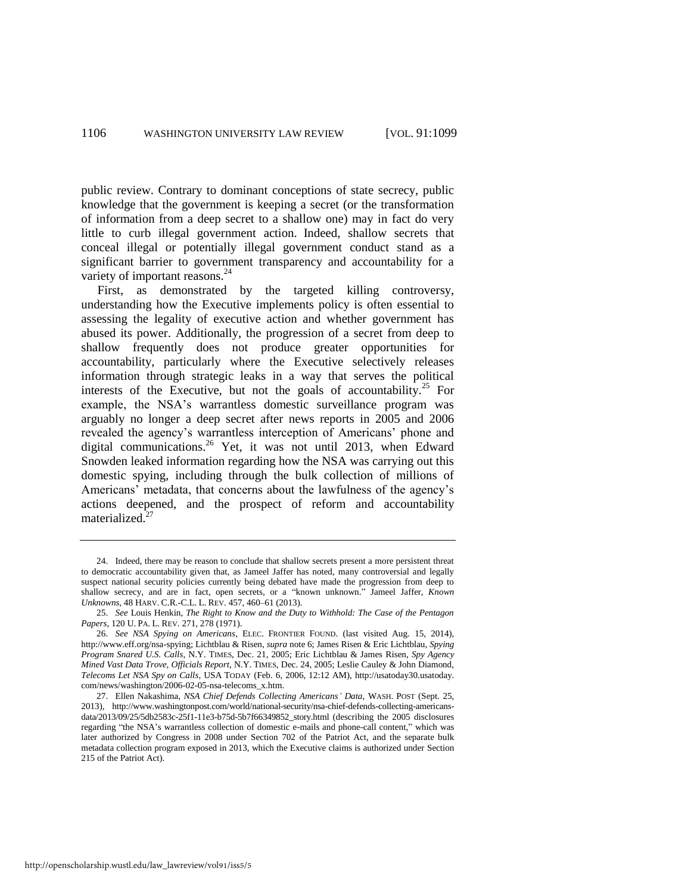public review. Contrary to dominant conceptions of state secrecy, public knowledge that the government is keeping a secret (or the transformation of information from a deep secret to a shallow one) may in fact do very little to curb illegal government action. Indeed, shallow secrets that conceal illegal or potentially illegal government conduct stand as a significant barrier to government transparency and accountability for a variety of important reasons.<sup>24</sup>

<span id="page-8-1"></span><span id="page-8-0"></span>First, as demonstrated by the targeted killing controversy, understanding how the Executive implements policy is often essential to assessing the legality of executive action and whether government has abused its power. Additionally, the progression of a secret from deep to shallow frequently does not produce greater opportunities for accountability, particularly where the Executive selectively releases information through strategic leaks in a way that serves the political interests of the Executive, but not the goals of accountability.<sup>25</sup> For example, the NSA's warrantless domestic surveillance program was arguably no longer a deep secret after news reports in 2005 and 2006 revealed the agency's warrantless interception of Americans' phone and digital communications.<sup>26</sup> Yet, it was not until 2013, when Edward Snowden leaked information regarding how the NSA was carrying out this domestic spying, including through the bulk collection of millions of Americans' metadata, that concerns about the lawfulness of the agency's actions deepened, and the prospect of reform and accountability materialized.<sup>27</sup>

<sup>24.</sup> Indeed, there may be reason to conclude that shallow secrets present a more persistent threat to democratic accountability given that, as Jameel Jaffer has noted, many controversial and legally suspect national security policies currently being debated have made the progression from deep to shallow secrecy, and are in fact, open secrets, or a "known unknown." Jameel Jaffer, *Known Unknowns*, 48 HARV. C.R.-C.L. L. REV. 457, 460–61 (2013).

<sup>25.</sup> *See* Louis Henkin, *The Right to Know and the Duty to Withhold: The Case of the Pentagon Papers*, 120 U. PA. L. REV. 271, 278 (1971).

<sup>26.</sup> *See NSA Spying on Americans*, ELEC. FRONTIER FOUND. (last visited Aug. 15, 2014), http://www.eff.org/nsa-spying; Lichtblau & Risen, *supra* not[e 6;](#page-4-0) James Risen & Eric Lichtblau, *Spying Program Snared U.S. Calls*, N.Y. TIMES, Dec. 21, 2005; Eric Lichtblau & James Risen, *Spy Agency Mined Vast Data Trove, Officials Report*, N.Y. TIMES, Dec. 24, 2005; Leslie Cauley & John Diamond, *Telecoms Let NSA Spy on Calls*, USA TODAY (Feb. 6, 2006, 12:12 AM), http://usatoday30.usatoday. com/news/washington/2006-02-05-nsa-telecoms\_x.htm.

<sup>27.</sup> Ellen Nakashima, *NSA Chief Defends Collecting Americans' Data*, WASH. POST (Sept. 25, 2013), http://www.washingtonpost.com/world/national-security/nsa-chief-defends-collecting-americansdata/2013/09/25/5db2583c-25f1-11e3-b75d-5b7f66349852\_story.html (describing the 2005 disclosures regarding "the NSA's warrantless collection of domestic e-mails and phone-call content," which was later authorized by Congress in 2008 under Section 702 of the Patriot Act, and the separate bulk metadata collection program exposed in 2013, which the Executive claims is authorized under Section 215 of the Patriot Act).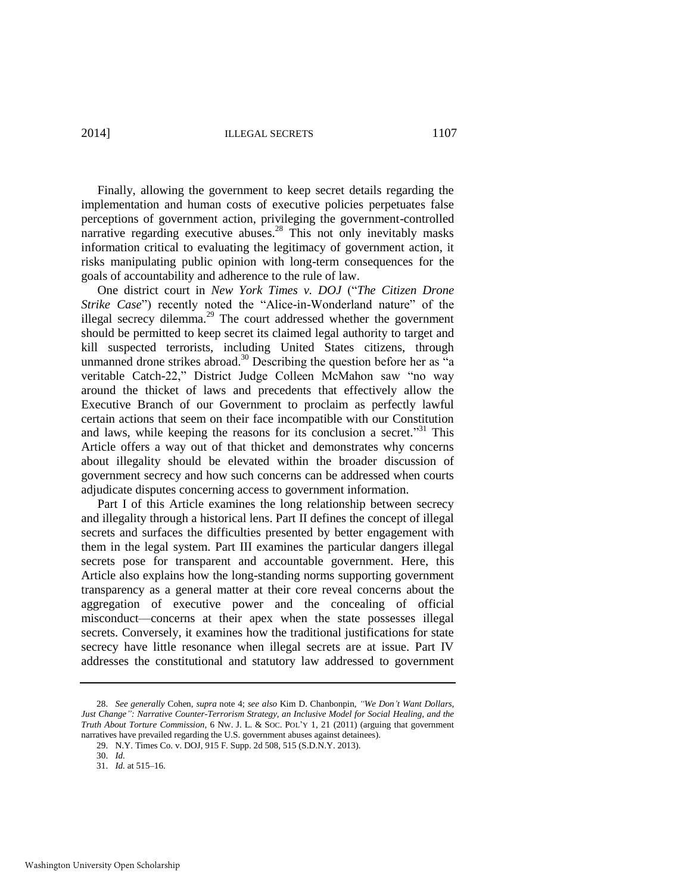2014] ILLEGAL SECRETS 1107

Finally, allowing the government to keep secret details regarding the implementation and human costs of executive policies perpetuates false perceptions of government action, privileging the government-controlled narrative regarding executive abuses.<sup>28</sup> This not only inevitably masks information critical to evaluating the legitimacy of government action, it risks manipulating public opinion with long-term consequences for the goals of accountability and adherence to the rule of law.

One district court in *New York Times v. DOJ* ("*The Citizen Drone Strike Case*") recently noted the "Alice-in-Wonderland nature" of the illegal secrecy dilemma. $^{29}$  The court addressed whether the government should be permitted to keep secret its claimed legal authority to target and kill suspected terrorists, including United States citizens, through unmanned drone strikes abroad.<sup>30</sup> Describing the question before her as "a veritable Catch-22," District Judge Colleen McMahon saw "no way around the thicket of laws and precedents that effectively allow the Executive Branch of our Government to proclaim as perfectly lawful certain actions that seem on their face incompatible with our Constitution and laws, while keeping the reasons for its conclusion a secret."<sup>31</sup> This Article offers a way out of that thicket and demonstrates why concerns about illegality should be elevated within the broader discussion of government secrecy and how such concerns can be addressed when courts adjudicate disputes concerning access to government information.

Part I of this Article examines the long relationship between secrecy and illegality through a historical lens. Part II defines the concept of illegal secrets and surfaces the difficulties presented by better engagement with them in the legal system. Part III examines the particular dangers illegal secrets pose for transparent and accountable government. Here, this Article also explains how the long-standing norms supporting government transparency as a general matter at their core reveal concerns about the aggregation of executive power and the concealing of official misconduct—concerns at their apex when the state possesses illegal secrets. Conversely, it examines how the traditional justifications for state secrecy have little resonance when illegal secrets are at issue. Part IV addresses the constitutional and statutory law addressed to government

<sup>28.</sup> *See generally* Cohen, *supra* note [4;](#page-4-1) *see also* Kim D. Chanbonpin, *"We Don't Want Dollars, Just Change": Narrative Counter-Terrorism Strategy, an Inclusive Model for Social Healing, and the Truth About Torture Commission*, 6 NW. J. L. & SOC. POL'Y 1, 21 (2011) (arguing that government narratives have prevailed regarding the U.S. government abuses against detainees).

<sup>29.</sup> N.Y. Times Co. v. DOJ, 915 F. Supp. 2d 508, 515 (S.D.N.Y. 2013).

<sup>30.</sup> *Id.*

<sup>31.</sup> *Id.* at 515–16.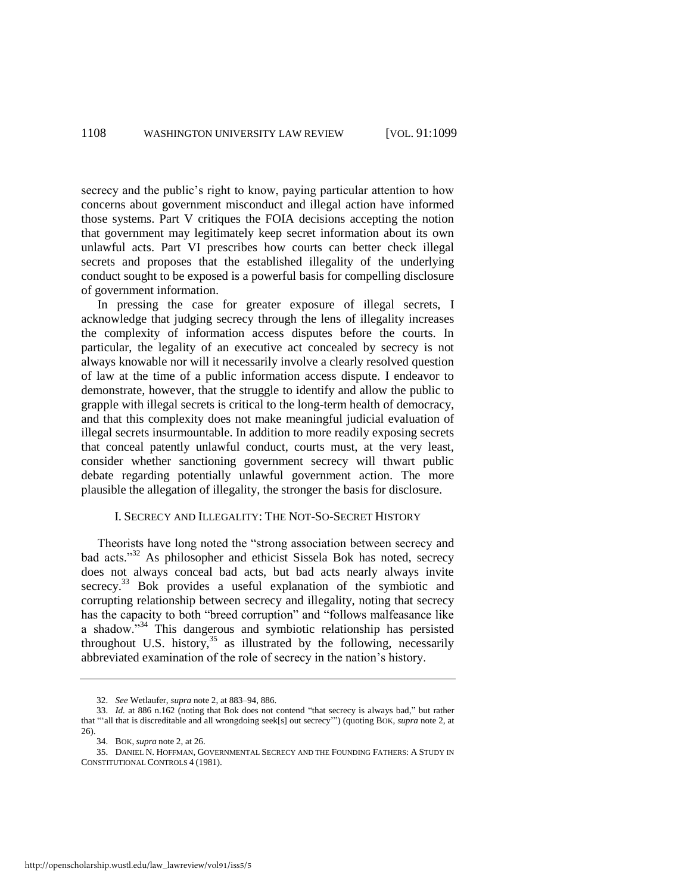secrecy and the public's right to know, paying particular attention to how concerns about government misconduct and illegal action have informed those systems. Part V critiques the FOIA decisions accepting the notion that government may legitimately keep secret information about its own unlawful acts. Part VI prescribes how courts can better check illegal secrets and proposes that the established illegality of the underlying conduct sought to be exposed is a powerful basis for compelling disclosure of government information.

In pressing the case for greater exposure of illegal secrets, I acknowledge that judging secrecy through the lens of illegality increases the complexity of information access disputes before the courts. In particular, the legality of an executive act concealed by secrecy is not always knowable nor will it necessarily involve a clearly resolved question of law at the time of a public information access dispute. I endeavor to demonstrate, however, that the struggle to identify and allow the public to grapple with illegal secrets is critical to the long-term health of democracy, and that this complexity does not make meaningful judicial evaluation of illegal secrets insurmountable. In addition to more readily exposing secrets that conceal patently unlawful conduct, courts must, at the very least, consider whether sanctioning government secrecy will thwart public debate regarding potentially unlawful government action. The more plausible the allegation of illegality, the stronger the basis for disclosure.

#### I. SECRECY AND ILLEGALITY: THE NOT-SO-SECRET HISTORY

Theorists have long noted the "strong association between secrecy and bad acts."<sup>32</sup> As philosopher and ethicist Sissela Bok has noted, secrecy does not always conceal bad acts, but bad acts nearly always invite secrecy.<sup>33</sup> Bok provides a useful explanation of the symbiotic and corrupting relationship between secrecy and illegality, noting that secrecy has the capacity to both "breed corruption" and "follows malfeasance like a shadow. $\frac{1}{34}$  This dangerous and symbiotic relationship has persisted throughout U.S. history,  $35$  as illustrated by the following, necessarily abbreviated examination of the role of secrecy in the nation's history.

<span id="page-10-0"></span><sup>32.</sup> *See* Wetlaufer, *supra* not[e 2,](#page-3-0) at 883–94, 886.

<sup>33.</sup> *Id.* at 886 n.162 (noting that Bok does not contend "that secrecy is always bad," but rather that "'all that is discreditable and all wrongdoing seek[s] out secrecy'") (quoting BOK, *supra* not[e 2,](#page-3-0) at 26).

<sup>34.</sup> BOK, *supra* not[e 2,](#page-3-0) at 26.

<sup>35.</sup> DANIEL N. HOFFMAN, GOVERNMENTAL SECRECY AND THE FOUNDING FATHERS: A STUDY IN CONSTITUTIONAL CONTROLS 4 (1981).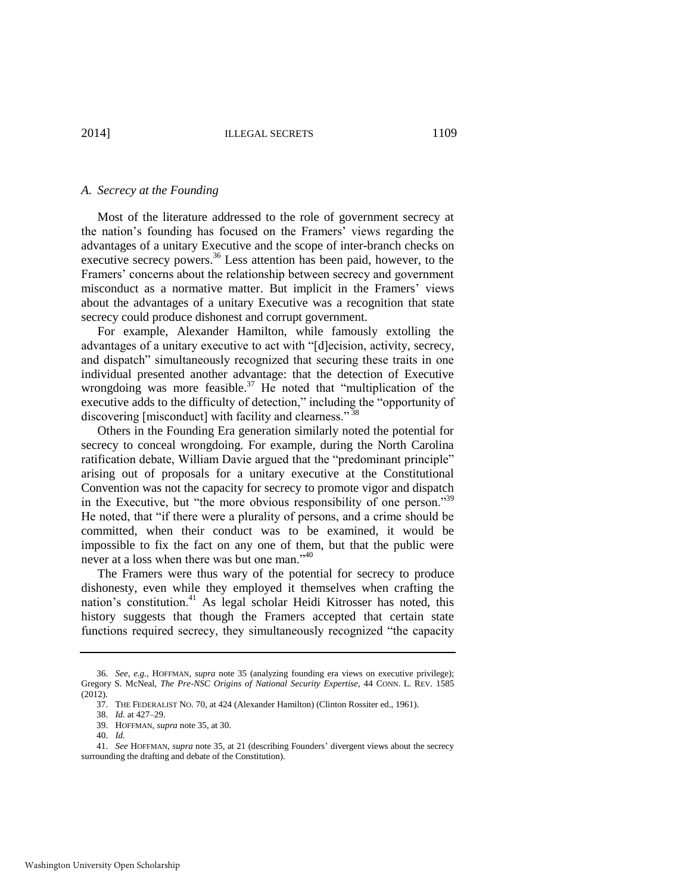#### *A. Secrecy at the Founding*

Most of the literature addressed to the role of government secrecy at the nation's founding has focused on the Framers' views regarding the advantages of a unitary Executive and the scope of inter-branch checks on executive secrecy powers.<sup>36</sup> Less attention has been paid, however, to the Framers' concerns about the relationship between secrecy and government misconduct as a normative matter. But implicit in the Framers' views about the advantages of a unitary Executive was a recognition that state secrecy could produce dishonest and corrupt government.

For example, Alexander Hamilton, while famously extolling the advantages of a unitary executive to act with "[d]ecision, activity, secrecy, and dispatch" simultaneously recognized that securing these traits in one individual presented another advantage: that the detection of Executive wrongdoing was more feasible.<sup>37</sup> He noted that "multiplication of the executive adds to the difficulty of detection," including the "opportunity of discovering [misconduct] with facility and clearness."<sup>38</sup>

Others in the Founding Era generation similarly noted the potential for secrecy to conceal wrongdoing. For example, during the North Carolina ratification debate, William Davie argued that the "predominant principle" arising out of proposals for a unitary executive at the Constitutional Convention was not the capacity for secrecy to promote vigor and dispatch in the Executive, but "the more obvious responsibility of one person."<sup>39</sup> He noted, that "if there were a plurality of persons, and a crime should be committed, when their conduct was to be examined, it would be impossible to fix the fact on any one of them, but that the public were never at a loss when there was but one man."<sup>40</sup>

The Framers were thus wary of the potential for secrecy to produce dishonesty, even while they employed it themselves when crafting the nation's constitution.<sup>41</sup> As legal scholar Heidi Kitrosser has noted, this history suggests that though the Framers accepted that certain state functions required secrecy, they simultaneously recognized "the capacity

<sup>36.</sup> *See, e.g.*, HOFFMAN, *supra* note [35](#page-10-0) (analyzing founding era views on executive privilege); Gregory S. McNeal, *The Pre-NSC Origins of National Security Expertise*, 44 CONN. L. REV. 1585 (2012).

<sup>37.</sup> THE FEDERALIST NO. 70, at 424 (Alexander Hamilton) (Clinton Rossiter ed., 1961).

<sup>38.</sup> *Id.* at 427–29.

<sup>39.</sup> HOFFMAN, *supra* not[e 35,](#page-10-0) at 30.

<sup>40.</sup> *Id.*

<sup>41.</sup> *See* HOFFMAN, *supra* not[e 35,](#page-10-0) at 21 (describing Founders' divergent views about the secrecy surrounding the drafting and debate of the Constitution).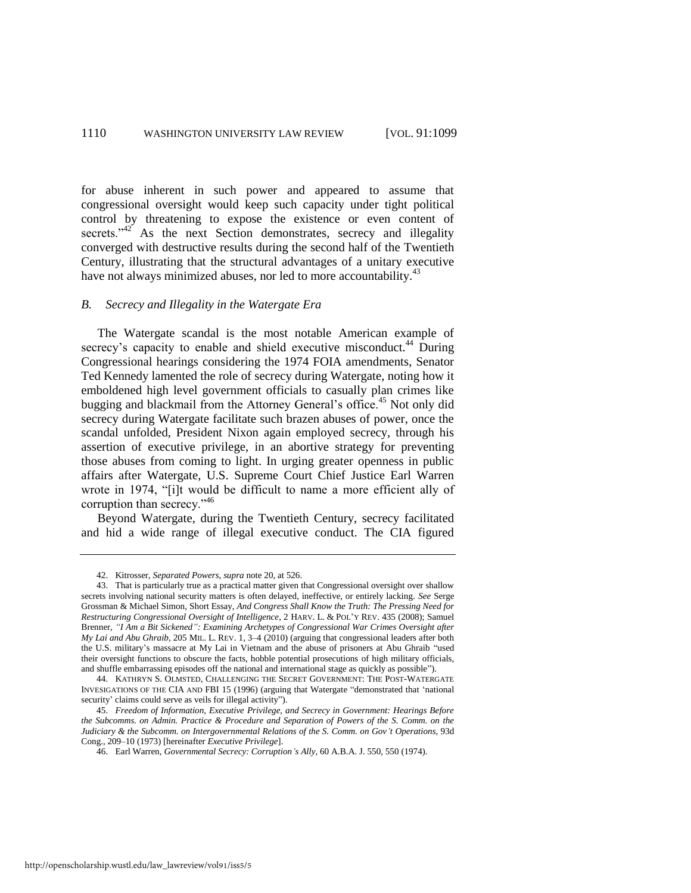for abuse inherent in such power and appeared to assume that congressional oversight would keep such capacity under tight political control by threatening to expose the existence or even content of secrets. $142$ <sup>2</sup> As the next Section demonstrates, secrecy and illegality converged with destructive results during the second half of the Twentieth Century, illustrating that the structural advantages of a unitary executive have not always minimized abuses, nor led to more accountability.<sup>43</sup>

#### <span id="page-12-1"></span>*B. Secrecy and Illegality in the Watergate Era*

<span id="page-12-2"></span><span id="page-12-0"></span>The Watergate scandal is the most notable American example of secrecy's capacity to enable and shield executive misconduct.<sup>44</sup> During Congressional hearings considering the 1974 FOIA amendments, Senator Ted Kennedy lamented the role of secrecy during Watergate, noting how it emboldened high level government officials to casually plan crimes like bugging and blackmail from the Attorney General's office.<sup>45</sup> Not only did secrecy during Watergate facilitate such brazen abuses of power, once the scandal unfolded, President Nixon again employed secrecy, through his assertion of executive privilege, in an abortive strategy for preventing those abuses from coming to light. In urging greater openness in public affairs after Watergate, U.S. Supreme Court Chief Justice Earl Warren wrote in 1974, "[i]t would be difficult to name a more efficient ally of corruption than secrecy."<sup>46</sup>

Beyond Watergate, during the Twentieth Century, secrecy facilitated and hid a wide range of illegal executive conduct. The CIA figured

44. KATHRYN S. OLMSTED, CHALLENGING THE SECRET GOVERNMENT: THE POST-WATERGATE INVESIGATIONS OF THE CIA AND FBI 15 (1996) (arguing that Watergate "demonstrated that 'national security' claims could serve as veils for illegal activity").

<sup>42.</sup> Kitrosser, *Separated Powers*, *supra* not[e 20,](#page-7-0) at 526.

<sup>43.</sup> That is particularly true as a practical matter given that Congressional oversight over shallow secrets involving national security matters is often delayed, ineffective, or entirely lacking. *See* Serge Grossman & Michael Simon, Short Essay, *And Congress Shall Know the Truth: The Pressing Need for Restructuring Congressional Oversight of Intelligence*, 2 HARV. L. & POL'Y REV. 435 (2008); Samuel Brenner, *"I Am a Bit Sickened": Examining Archetypes of Congressional War Crimes Oversight after My Lai and Abu Ghraib*, 205 MIL. L. REV. 1, 3–4 (2010) (arguing that congressional leaders after both the U.S. military's massacre at My Lai in Vietnam and the abuse of prisoners at Abu Ghraib "used their oversight functions to obscure the facts, hobble potential prosecutions of high military officials, and shuffle embarrassing episodes off the national and international stage as quickly as possible").

<sup>45.</sup> *Freedom of Information, Executive Privilege, and Secrecy in Government: Hearings Before the Subcomms. on Admin. Practice & Procedure and Separation of Powers of the S. Comm. on the Judiciary & the Subcomm. on Intergovernmental Relations of the S. Comm. on Gov't Operations*, 93d Cong., 209–10 (1973) [hereinafter *Executive Privilege*].

<sup>46.</sup> Earl Warren, *Governmental Secrecy: Corruption's Ally*, 60 A.B.A. J. 550, 550 (1974).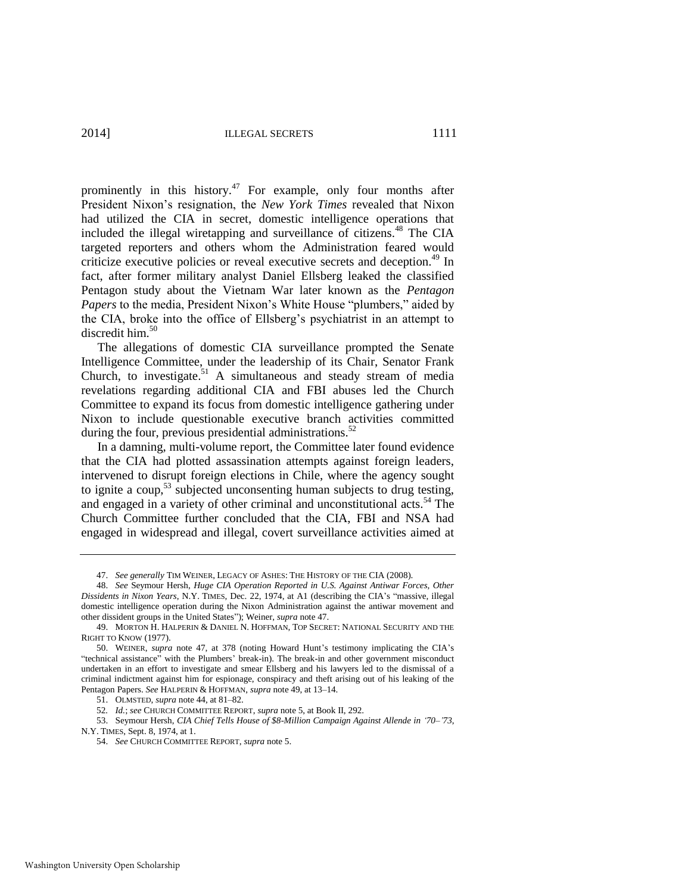<span id="page-13-1"></span><span id="page-13-0"></span>prominently in this history.<sup>47</sup> For example, only four months after President Nixon's resignation, the *New York Times* revealed that Nixon had utilized the CIA in secret, domestic intelligence operations that included the illegal wiretapping and surveillance of citizens.<sup>48</sup> The CIA targeted reporters and others whom the Administration feared would criticize executive policies or reveal executive secrets and deception.<sup>49</sup> In fact, after former military analyst Daniel Ellsberg leaked the classified Pentagon study about the Vietnam War later known as the *Pentagon Papers* to the media, President Nixon's White House "plumbers," aided by the CIA, broke into the office of Ellsberg's psychiatrist in an attempt to discredit him.<sup>50</sup>

The allegations of domestic CIA surveillance prompted the Senate Intelligence Committee, under the leadership of its Chair, Senator Frank Church, to investigate.<sup>51</sup> A simultaneous and steady stream of media revelations regarding additional CIA and FBI abuses led the Church Committee to expand its focus from domestic intelligence gathering under Nixon to include questionable executive branch activities committed during the four, previous presidential administrations. $52$ 

<span id="page-13-2"></span>In a damning, multi-volume report, the Committee later found evidence that the CIA had plotted assassination attempts against foreign leaders, intervened to disrupt foreign elections in Chile, where the agency sought to ignite a coup,<sup>53</sup> subjected unconsenting human subjects to drug testing, and engaged in a variety of other criminal and unconstitutional acts.<sup>54</sup> The Church Committee further concluded that the CIA, FBI and NSA had engaged in widespread and illegal, covert surveillance activities aimed at

<sup>47.</sup> *See generally* TIM WEINER, LEGACY OF ASHES: THE HISTORY OF THE CIA (2008).

<sup>48.</sup> *See* Seymour Hersh, *Huge CIA Operation Reported in U.S. Against Antiwar Forces, Other Dissidents in Nixon Years*, N.Y. TIMES, Dec. 22, 1974, at A1 (describing the CIA's "massive, illegal domestic intelligence operation during the Nixon Administration against the antiwar movement and other dissident groups in the United States"); Weiner, *supra* not[e 47.](#page-13-0) 

<sup>49.</sup> MORTON H. HALPERIN & DANIEL N. HOFFMAN, TOP SECRET: NATIONAL SECURITY AND THE RIGHT TO KNOW (1977).

<sup>50.</sup> WEINER, *supra* note [47,](#page-13-0) at 378 (noting Howard Hunt's testimony implicating the CIA's "technical assistance" with the Plumbers' break-in). The break-in and other government misconduct undertaken in an effort to investigate and smear Ellsberg and his lawyers led to the dismissal of a criminal indictment against him for espionage, conspiracy and theft arising out of his leaking of the Pentagon Papers. *See* HALPERIN & HOFFMAN, *supra* note [49,](#page-13-1) at 13–14.

<sup>51.</sup> OLMSTED, *supra* not[e 44,](#page-12-0) at 81–82.

<sup>52</sup>*. Id.*; *see* CHURCH COMMITTEE REPORT, *supra* not[e 5,](#page-4-2) at Book II, 292.

<sup>53.</sup> Seymour Hersh, *CIA Chief Tells House of \$8-Million Campaign Against Allende in '70–'73*, N.Y. TIMES, Sept. 8, 1974, at 1.

<sup>54.</sup> *See* CHURCH COMMITTEE REPORT, *supra* not[e 5.](#page-4-2)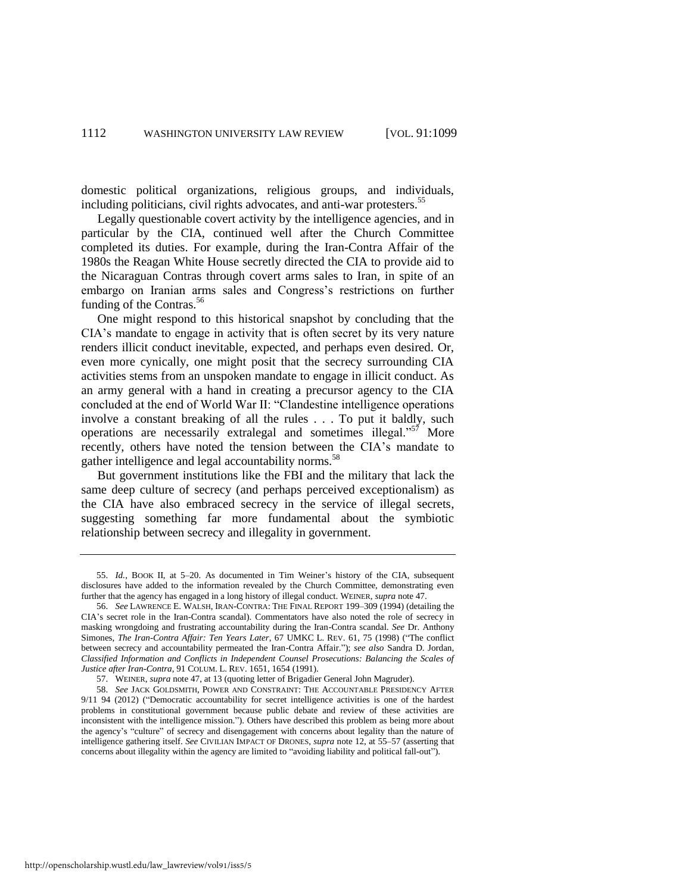domestic political organizations, religious groups, and individuals, including politicians, civil rights advocates, and anti-war protesters.<sup>55</sup>

Legally questionable covert activity by the intelligence agencies, and in particular by the CIA, continued well after the Church Committee completed its duties. For example, during the Iran-Contra Affair of the 1980s the Reagan White House secretly directed the CIA to provide aid to the Nicaraguan Contras through covert arms sales to Iran, in spite of an embargo on Iranian arms sales and Congress's restrictions on further funding of the Contras.<sup>56</sup>

One might respond to this historical snapshot by concluding that the CIA's mandate to engage in activity that is often secret by its very nature renders illicit conduct inevitable, expected, and perhaps even desired. Or, even more cynically, one might posit that the secrecy surrounding CIA activities stems from an unspoken mandate to engage in illicit conduct. As an army general with a hand in creating a precursor agency to the CIA concluded at the end of World War II: "Clandestine intelligence operations involve a constant breaking of all the rules . . . To put it baldly, such operations are necessarily extralegal and sometimes illegal."<sup>57</sup> More recently, others have noted the tension between the CIA's mandate to gather intelligence and legal accountability norms.<sup>58</sup>

<span id="page-14-0"></span>But government institutions like the FBI and the military that lack the same deep culture of secrecy (and perhaps perceived exceptionalism) as the CIA have also embraced secrecy in the service of illegal secrets, suggesting something far more fundamental about the symbiotic relationship between secrecy and illegality in government.

<sup>55.</sup> *Id.*, BOOK II, at 5–20. As documented in Tim Weiner's history of the CIA, subsequent disclosures have added to the information revealed by the Church Committee, demonstrating even further that the agency has engaged in a long history of illegal conduct. WEINER, *supra* not[e 47.](#page-13-0) 

<sup>56.</sup> *See* LAWRENCE E. WALSH, IRAN-CONTRA: THE FINAL REPORT 199–309 (1994) (detailing the CIA's secret role in the Iran-Contra scandal). Commentators have also noted the role of secrecy in masking wrongdoing and frustrating accountability during the Iran-Contra scandal. *See* Dr. Anthony Simones, *The Iran-Contra Affair: Ten Years Later*, 67 UMKC L. REV. 61, 75 (1998) ("The conflict between secrecy and accountability permeated the Iran-Contra Affair."); *see also* Sandra D. Jordan, *Classified Information and Conflicts in Independent Counsel Prosecutions: Balancing the Scales of Justice after Iran-Contra*, 91 COLUM. L. REV. 1651, 1654 (1991).

<sup>57.</sup> WEINER, *supra* not[e 47,](#page-13-0) at 13 (quoting letter of Brigadier General John Magruder).

<sup>58.</sup> *See* JACK GOLDSMITH, POWER AND CONSTRAINT: THE ACCOUNTABLE PRESIDENCY AFTER 9/11 94 (2012) ("Democratic accountability for secret intelligence activities is one of the hardest problems in constitutional government because public debate and review of these activities are inconsistent with the intelligence mission."). Others have described this problem as being more about the agency's "culture" of secrecy and disengagement with concerns about legality than the nature of intelligence gathering itself. *See* CIVILIAN IMPACT OF DRONES, *supra* not[e 12,](#page-5-3) at 55–57 (asserting that concerns about illegality within the agency are limited to "avoiding liability and political fall-out").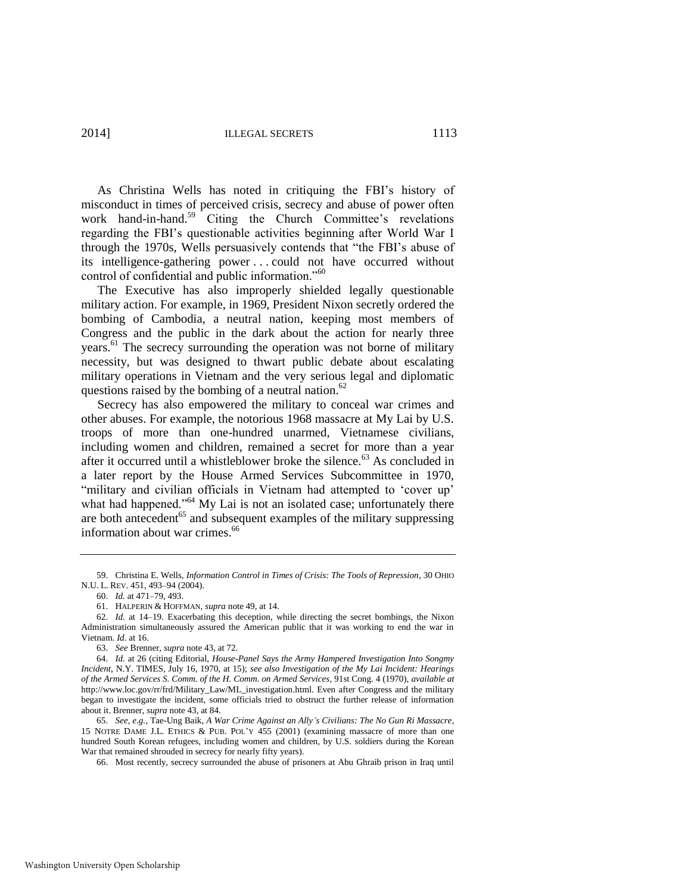<span id="page-15-1"></span>As Christina Wells has noted in critiquing the FBI's history of misconduct in times of perceived crisis, secrecy and abuse of power often work hand-in-hand.<sup>59</sup> Citing the Church Committee's revelations regarding the FBI's questionable activities beginning after World War I through the 1970s, Wells persuasively contends that "the FBI's abuse of its intelligence-gathering power . . . could not have occurred without control of confidential and public information."<sup>60</sup>

The Executive has also improperly shielded legally questionable military action. For example, in 1969, President Nixon secretly ordered the bombing of Cambodia, a neutral nation, keeping most members of Congress and the public in the dark about the action for nearly three years.<sup>61</sup> The secrecy surrounding the operation was not borne of military necessity, but was designed to thwart public debate about escalating military operations in Vietnam and the very serious legal and diplomatic questions raised by the bombing of a neutral nation. $62$ 

Secrecy has also empowered the military to conceal war crimes and other abuses. For example, the notorious 1968 massacre at My Lai by U.S. troops of more than one-hundred unarmed, Vietnamese civilians, including women and children, remained a secret for more than a year after it occurred until a whistleblower broke the silence. $63$  As concluded in a later report by the House Armed Services Subcommittee in 1970, "military and civilian officials in Vietnam had attempted to 'cover up' what had happened."<sup>64</sup> My Lai is not an isolated case; unfortunately there are both antecedent<sup>65</sup> and subsequent examples of the military suppressing information about war crimes.<sup>66</sup>

<sup>59.</sup> Christina E. Wells, *Information Control in Times of Crisis: The Tools of Repression*, 30 OHIO N.U. L. REV. 451, 493–94 (2004).

<span id="page-15-0"></span><sup>60.</sup> *Id.* at 471–79, 493.

<sup>61.</sup> HALPERIN & HOFFMAN, *supra* not[e 49,](#page-13-1) at 14.

<sup>62.</sup> *Id.* at 14–19. Exacerbating this deception, while directing the secret bombings, the Nixon Administration simultaneously assured the American public that it was working to end the war in Vietnam. *Id.* at 16.

<sup>63.</sup> *See* Brenner, *supra* not[e 43,](#page-12-1) at 72.

<sup>64.</sup> *Id.* at 26 (citing Editorial, *House-Panel Says the Army Hampered Investigation Into Songmy Incident*, N.Y. TIMES, July 16, 1970, at 15); *see also Investigation of the My Lai Incident: Hearings of the Armed Services S. Comm. of the H. Comm. on Armed Services*, 91st Cong. 4 (1970), *available at* http://www.loc.gov/rr/frd/Military\_Law/ML\_investigation.html. Even after Congress and the military began to investigate the incident, some officials tried to obstruct the further release of information about it. Brenner, *supra* not[e 43,](#page-12-1) at 84.

<sup>65.</sup> *See, e.g.*, Tae-Ung Baik, *A War Crime Against an Ally's Civilians: The No Gun Ri Massacre*, 15 NOTRE DAME J.L. ETHICS & PUB. POL'Y 455 (2001) (examining massacre of more than one hundred South Korean refugees, including women and children, by U.S. soldiers during the Korean War that remained shrouded in secrecy for nearly fifty years).

<sup>66.</sup> Most recently, secrecy surrounded the abuse of prisoners at Abu Ghraib prison in Iraq until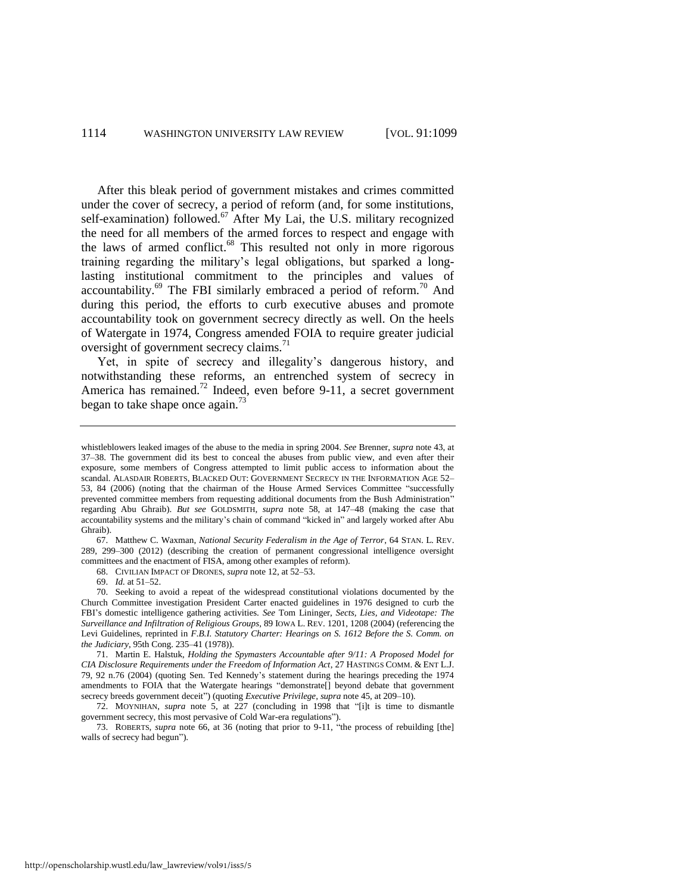After this bleak period of government mistakes and crimes committed under the cover of secrecy, a period of reform (and, for some institutions, self-examination) followed.<sup>67</sup> After My Lai, the U.S. military recognized the need for all members of the armed forces to respect and engage with the laws of armed conflict. $68$  This resulted not only in more rigorous training regarding the military's legal obligations, but sparked a longlasting institutional commitment to the principles and values of accountability. $^{69}$  The FBI similarly embraced a period of reform.<sup>70</sup> And during this period, the efforts to curb executive abuses and promote accountability took on government secrecy directly as well. On the heels of Watergate in 1974, Congress amended FOIA to require greater judicial oversight of government secrecy claims.<sup>71</sup>

<span id="page-16-0"></span>Yet, in spite of secrecy and illegality's dangerous history, and notwithstanding these reforms, an entrenched system of secrecy in America has remained.<sup>72</sup> Indeed, even before 9-11, a secret government began to take shape once again. $^{73}$ 

67. Matthew C. Waxman, *National Security Federalism in the Age of Terror*, 64 STAN. L. REV. 289, 299–300 (2012) (describing the creation of permanent congressional intelligence oversight committees and the enactment of FISA, among other examples of reform).

69. *Id.* at 51–52.

whistleblowers leaked images of the abuse to the media in spring 2004. *See* Brenner, *supra* not[e 43,](#page-12-1) at 37–38. The government did its best to conceal the abuses from public view, and even after their exposure, some members of Congress attempted to limit public access to information about the scandal. ALASDAIR ROBERTS, BLACKED OUT: GOVERNMENT SECRECY IN THE INFORMATION AGE 52– 53, 84 (2006) (noting that the chairman of the House Armed Services Committee "successfully prevented committee members from requesting additional documents from the Bush Administration" regarding Abu Ghraib). *But see* GOLDSMITH, *supra* note [58,](#page-14-0) at 147–48 (making the case that accountability systems and the military's chain of command "kicked in" and largely worked after Abu Ghraib).

<sup>68.</sup> CIVILIAN IMPACT OF DRONES, *supra* not[e 12,](#page-5-3) at 52–53.

<sup>70.</sup> Seeking to avoid a repeat of the widespread constitutional violations documented by the Church Committee investigation President Carter enacted guidelines in 1976 designed to curb the FBI's domestic intelligence gathering activities. *See* Tom Lininger, *Sects, Lies, and Videotape: The Surveillance and Infiltration of Religious Groups*, 89 IOWA L. REV. 1201, 1208 (2004) (referencing the Levi Guidelines, reprinted in *F.B.I. Statutory Charter: Hearings on S. 1612 Before the S. Comm. on the Judiciary*, 95th Cong. 235–41 (1978)).

<sup>71.</sup> Martin E. Halstuk, *Holding the Spymasters Accountable after 9/11: A Proposed Model for CIA Disclosure Requirements under the Freedom of Information Act*, 27 HASTINGS COMM. & ENT L.J. 79, 92 n.76 (2004) (quoting Sen. Ted Kennedy's statement during the hearings preceding the 1974 amendments to FOIA that the Watergate hearings "demonstrate[] beyond debate that government secrecy breeds government deceit") (quoting *Executive Privilege*, *supra* not[e 45,](#page-12-2) at 209–10).

<sup>72.</sup> MOYNIHAN, *supra* note [5,](#page-4-2) at 227 (concluding in 1998 that "[i]t is time to dismantle government secrecy, this most pervasive of Cold War-era regulations").

<sup>73.</sup> ROBERTS, *supra* note [66,](#page-15-0) at 36 (noting that prior to 9-11, "the process of rebuilding [the] walls of secrecy had begun").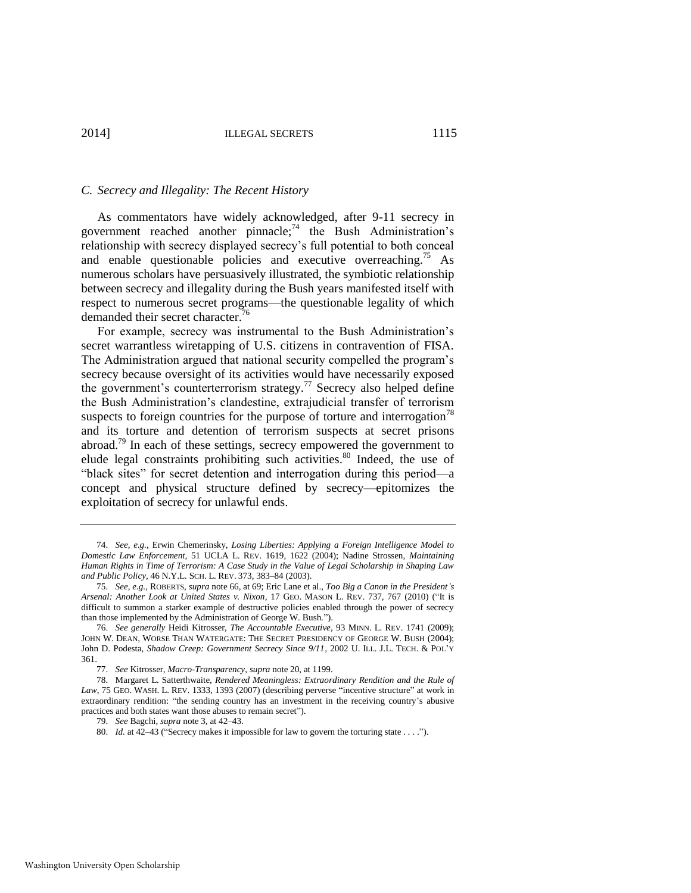#### *C. Secrecy and Illegality: The Recent History*

<span id="page-17-1"></span><span id="page-17-0"></span>As commentators have widely acknowledged, after 9-11 secrecy in government reached another pinnacle; $74$  the Bush Administration's relationship with secrecy displayed secrecy's full potential to both conceal and enable questionable policies and executive overreaching.<sup>75</sup> As numerous scholars have persuasively illustrated, the symbiotic relationship between secrecy and illegality during the Bush years manifested itself with respect to numerous secret programs—the questionable legality of which demanded their secret character.<sup>76</sup>

<span id="page-17-2"></span>For example, secrecy was instrumental to the Bush Administration's secret warrantless wiretapping of U.S. citizens in contravention of FISA. The Administration argued that national security compelled the program's secrecy because oversight of its activities would have necessarily exposed the government's counterterrorism strategy.<sup>77</sup> Secrecy also helped define the Bush Administration's clandestine, extrajudicial transfer of terrorism suspects to foreign countries for the purpose of torture and interrogation<sup>78</sup> and its torture and detention of terrorism suspects at secret prisons abroad.<sup>79</sup> In each of these settings, secrecy empowered the government to elude legal constraints prohibiting such activities.<sup>80</sup> Indeed, the use of "black sites" for secret detention and interrogation during this period—a concept and physical structure defined by secrecy—epitomizes the exploitation of secrecy for unlawful ends.

<sup>74.</sup> *See, e.g.*, Erwin Chemerinsky, *Losing Liberties: Applying a Foreign Intelligence Model to Domestic Law Enforcement*, 51 UCLA L. REV. 1619, 1622 (2004); Nadine Strossen, *Maintaining Human Rights in Time of Terrorism: A Case Study in the Value of Legal Scholarship in Shaping Law and Public Policy*, 46 N.Y.L. SCH. L. REV. 373, 383–84 (2003).

<sup>75.</sup> *See, e.g.*, ROBERTS, *supra* not[e 66,](#page-15-0) at 69; Eric Lane et al., *Too Big a Canon in the President's Arsenal: Another Look at United States v. Nixon*, 17 GEO. MASON L. REV. 737, 767 (2010) ("It is difficult to summon a starker example of destructive policies enabled through the power of secrecy than those implemented by the Administration of George W. Bush.").

<sup>76.</sup> *See generally* Heidi Kitrosser, *The Accountable Executive*, 93 MINN. L. REV. 1741 (2009); JOHN W. DEAN, WORSE THAN WATERGATE: THE SECRET PRESIDENCY OF GEORGE W. BUSH (2004); John D. Podesta, *Shadow Creep: Government Secrecy Since 9/11*, 2002 U. ILL. J.L. TECH. & POL'Y 361.

<sup>77.</sup> *See* Kitrosser, *Macro-Transparency*, *supra* not[e 20,](#page-7-0) at 1199.

<sup>78.</sup> Margaret L. Satterthwaite, *Rendered Meaningless: Extraordinary Rendition and the Rule of Law*, 75 GEO. WASH. L. REV. 1333, 1393 (2007) (describing perverse "incentive structure" at work in extraordinary rendition: "the sending country has an investment in the receiving country's abusive practices and both states want those abuses to remain secret").

<sup>79.</sup> *See* Bagchi, *supra* not[e 3,](#page-3-1) at 42–43.

<sup>80.</sup> *Id.* at 42–43 ("Secrecy makes it impossible for law to govern the torturing state . . . .").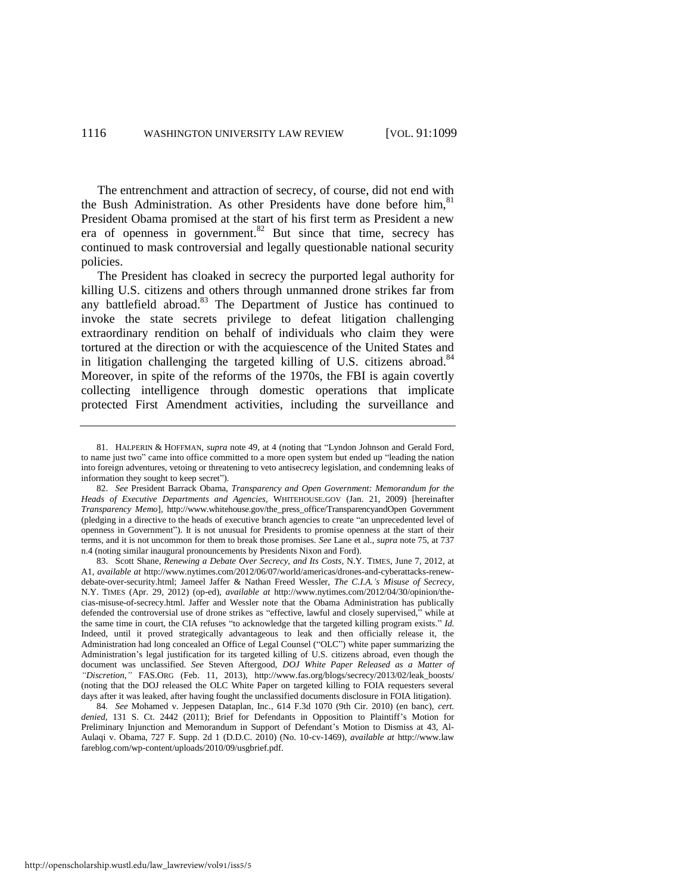The entrenchment and attraction of secrecy, of course, did not end with the Bush Administration. As other Presidents have done before him,<sup>81</sup> President Obama promised at the start of his first term as President a new era of openness in government. $82$  But since that time, secrecy has continued to mask controversial and legally questionable national security policies.

<span id="page-18-0"></span>The President has cloaked in secrecy the purported legal authority for killing U.S. citizens and others through unmanned drone strikes far from any battlefield abroad.<sup>83</sup> The Department of Justice has continued to invoke the state secrets privilege to defeat litigation challenging extraordinary rendition on behalf of individuals who claim they were tortured at the direction or with the acquiescence of the United States and in litigation challenging the targeted killing of U.S. citizens abroad. $84$ Moreover, in spite of the reforms of the 1970s, the FBI is again covertly collecting intelligence through domestic operations that implicate protected First Amendment activities, including the surveillance and

83. Scott Shane, *Renewing a Debate Over Secrecy, and Its Costs*, N.Y. TIMES, June 7, 2012, at A1, *available at* http://www.nytimes.com/2012/06/07/world/americas/drones-and-cyberattacks-renewdebate-over-security.html; Jameel Jaffer & Nathan Freed Wessler, *The C.I.A.'s Misuse of Secrecy*, N.Y. TIMES (Apr. 29, 2012) (op-ed), *available at* http://www.nytimes.com/2012/04/30/opinion/thecias-misuse-of-secrecy.html. Jaffer and Wessler note that the Obama Administration has publically defended the controversial use of drone strikes as "effective, lawful and closely supervised," while at the same time in court, the CIA refuses "to acknowledge that the targeted killing program exists." *Id.*  Indeed, until it proved strategically advantageous to leak and then officially release it, the Administration had long concealed an Office of Legal Counsel ("OLC") white paper summarizing the Administration's legal justification for its targeted killing of U.S. citizens abroad, even though the document was unclassified. *See* Steven Aftergood, *DOJ White Paper Released as a Matter of "Discretion*,*"* FAS.ORG (Feb. 11, 2013), http://www.fas.org/blogs/secrecy/2013/02/leak\_boosts/ (noting that the DOJ released the OLC White Paper on targeted killing to FOIA requesters several days after it was leaked, after having fought the unclassified documents disclosure in FOIA litigation).

84*. See* Mohamed v. Jeppesen Dataplan, Inc., 614 F.3d 1070 (9th Cir. 2010) (en banc), *cert. denied*, 131 S. Ct. 2442 (2011); Brief for Defendants in Opposition to Plaintiff's Motion for Preliminary Injunction and Memorandum in Support of Defendant's Motion to Dismiss at 43, Al-Aulaqi v. Obama, 727 F. Supp. 2d 1 (D.D.C. 2010) (No. 10-cv-1469), *available at* http://www.law fareblog.com/wp-content/uploads/2010/09/usgbrief.pdf.

<sup>81.</sup> HALPERIN & HOFFMAN, *supra* note [49,](#page-13-1) at 4 (noting that "Lyndon Johnson and Gerald Ford, to name just two" came into office committed to a more open system but ended up "leading the nation into foreign adventures, vetoing or threatening to veto antisecrecy legislation, and condemning leaks of information they sought to keep secret").

<sup>82.</sup> *See* President Barrack Obama, *Transparency and Open Government: Memorandum for the Heads of Executive Departments and Agencies*, WHITEHOUSE.GOV (Jan. 21, 2009) [hereinafter *Transparency Memo*], http://www.whitehouse.gov/the\_press\_office/TransparencyandOpen Government (pledging in a directive to the heads of executive branch agencies to create "an unprecedented level of openness in Government"). It is not unusual for Presidents to promise openness at the start of their terms, and it is not uncommon for them to break those promises. *See* Lane et al., *supra* not[e 75,](#page-17-0) at 737 n.4 (noting similar inaugural pronouncements by Presidents Nixon and Ford).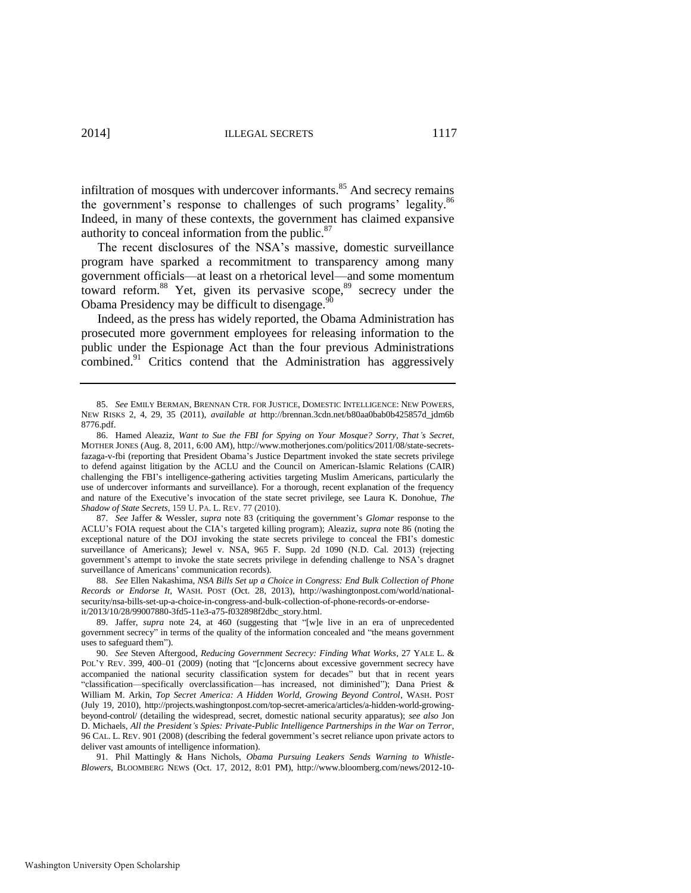<span id="page-19-0"></span>infiltration of mosques with undercover informants.<sup>85</sup> And secrecy remains the government's response to challenges of such programs' legality.<sup>86</sup> Indeed, in many of these contexts, the government has claimed expansive authority to conceal information from the public. $87$ 

The recent disclosures of the NSA's massive, domestic surveillance program have sparked a recommitment to transparency among many government officials—at least on a rhetorical level—and some momentum toward reform.<sup>88</sup> Yet, given its pervasive scope,<sup>89</sup> secrecy under the Obama Presidency may be difficult to disengage.<sup>91</sup>

<span id="page-19-3"></span><span id="page-19-2"></span><span id="page-19-1"></span>Indeed, as the press has widely reported, the Obama Administration has prosecuted more government employees for releasing information to the public under the Espionage Act than the four previous Administrations combined.<sup>91</sup> Critics contend that the Administration has aggressively

87. *See* Jaffer & Wessler, *supra* note [83](#page-18-0) (critiquing the government's *Glomar* response to the ACLU's FOIA request about the CIA's targeted killing program); Aleaziz, *supra* not[e 86](#page-19-0) (noting the exceptional nature of the DOJ invoking the state secrets privilege to conceal the FBI's domestic surveillance of Americans); Jewel v. NSA, 965 F. Supp. 2d 1090 (N.D. Cal. 2013) (rejecting government's attempt to invoke the state secrets privilege in defending challenge to NSA's dragnet surveillance of Americans' communication records).

88. *See* Ellen Nakashima, *NSA Bills Set up a Choice in Congress: End Bulk Collection of Phone Records or Endorse It*, WASH. POST (Oct. 28, 2013), http://washingtonpost.com/world/nationalsecurity/nsa-bills-set-up-a-choice-in-congress-and-bulk-collection-of-phone-records-or-endorseit/2013/10/28/99007880-3fd5-11e3-a75-f032898f2dbc\_story.html.

89. Jaffer, *supra* note [24,](#page-8-0) at 460 (suggesting that "[w]e live in an era of unprecedented government secrecy" in terms of the quality of the information concealed and "the means government uses to safeguard them").

91. Phil Mattingly & Hans Nichols, *Obama Pursuing Leakers Sends Warning to Whistle-Blowers*, BLOOMBERG NEWS (Oct. 17, 2012, 8:01 PM), http://www.bloomberg.com/news/2012-10-

<sup>85.</sup> *See* EMILY BERMAN, BRENNAN CTR. FOR JUSTICE, DOMESTIC INTELLIGENCE: NEW POWERS, NEW RISKS 2, 4, 29, 35 (2011), *available at* http://brennan.3cdn.net/b80aa0bab0b425857d\_jdm6b 8776.pdf.

<sup>86.</sup> Hamed Aleaziz, *Want to Sue the FBI for Spying on Your Mosque? Sorry, That's Secret*, MOTHER JONES (Aug. 8, 2011, 6:00 AM), http://www.motherjones.com/politics/2011/08/state-secretsfazaga-v-fbi (reporting that President Obama's Justice Department invoked the state secrets privilege to defend against litigation by the ACLU and the Council on American-Islamic Relations (CAIR) challenging the FBI's intelligence-gathering activities targeting Muslim Americans, particularly the use of undercover informants and surveillance). For a thorough, recent explanation of the frequency and nature of the Executive's invocation of the state secret privilege, see Laura K. Donohue, *The Shadow of State Secrets*, 159 U. PA. L. REV. 77 (2010).

<sup>90.</sup> *See* Steven Aftergood, *Reducing Government Secrecy: Finding What Works*, 27 YALE L. & POL'Y REV. 399, 400–01 (2009) (noting that "[c]oncerns about excessive government secrecy have accompanied the national security classification system for decades" but that in recent years "classification—specifically overclassification—has increased, not diminished"); Dana Priest & William M. Arkin, *Top Secret America: A Hidden World, Growing Beyond Control*, WASH. POST (July 19, 2010), http://projects.washingtonpost.com/top-secret-america/articles/a-hidden-world-growingbeyond-control/ (detailing the widespread, secret, domestic national security apparatus); *see also* Jon D. Michaels, *All the President's Spies: Private-Public Intelligence Partnerships in the War on Terror*, 96 CAL. L. REV. 901 (2008) (describing the federal government's secret reliance upon private actors to deliver vast amounts of intelligence information).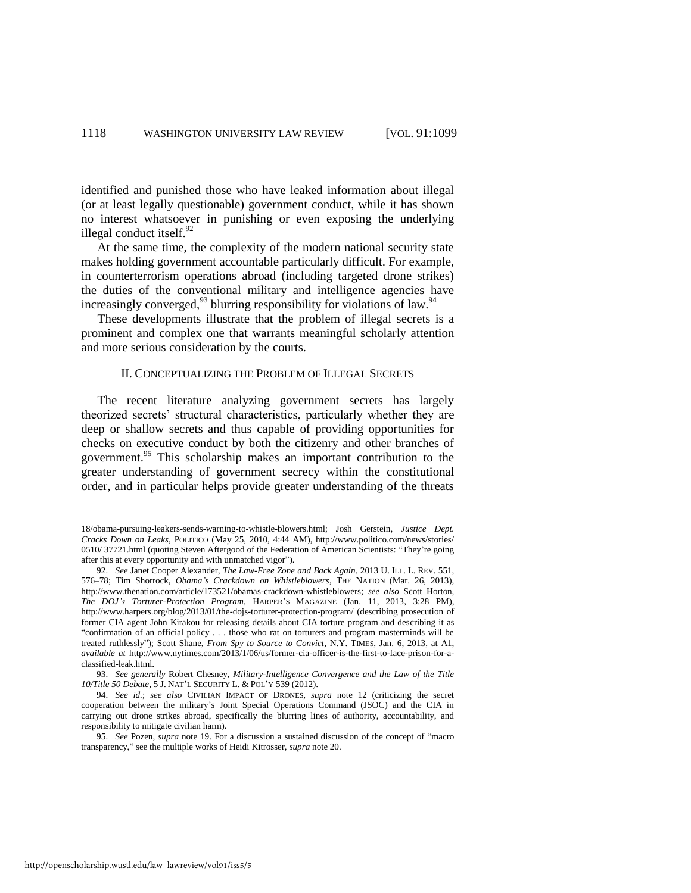identified and punished those who have leaked information about illegal (or at least legally questionable) government conduct, while it has shown no interest whatsoever in punishing or even exposing the underlying illegal conduct itself.<sup>92</sup>

At the same time, the complexity of the modern national security state makes holding government accountable particularly difficult. For example, in counterterrorism operations abroad (including targeted drone strikes) the duties of the conventional military and intelligence agencies have increasingly converged, $^{93}$  blurring responsibility for violations of law.<sup>94</sup>

These developments illustrate that the problem of illegal secrets is a prominent and complex one that warrants meaningful scholarly attention and more serious consideration by the courts.

#### II. CONCEPTUALIZING THE PROBLEM OF ILLEGAL SECRETS

The recent literature analyzing government secrets has largely theorized secrets' structural characteristics, particularly whether they are deep or shallow secrets and thus capable of providing opportunities for checks on executive conduct by both the citizenry and other branches of government.<sup>95</sup> This scholarship makes an important contribution to the greater understanding of government secrecy within the constitutional order, and in particular helps provide greater understanding of the threats

<sup>18/</sup>obama-pursuing-leakers-sends-warning-to-whistle-blowers.html; Josh Gerstein, *Justice Dept. Cracks Down on Leaks*, POLITICO (May 25, 2010, 4:44 AM), http://www.politico.com/news/stories/ 0510/ 37721.html (quoting Steven Aftergood of the Federation of American Scientists: "They're going after this at every opportunity and with unmatched vigor").

<sup>92.</sup> *See* Janet Cooper Alexander, *The Law-Free Zone and Back Again*, 2013 U. ILL. L. REV. 551, 576–78; Tim Shorrock, *Obama's Crackdown on Whistleblowers*, THE NATION (Mar. 26, 2013), http://www.thenation.com/article/173521/obamas-crackdown-whistleblowers; *see also* Scott Horton, *The DOJ's Torturer-Protection Program*, HARPER'S MAGAZINE (Jan. 11, 2013, 3:28 PM), http://www.harpers.org/blog/2013/01/the-dojs-torturer-protection-program/ (describing prosecution of former CIA agent John Kirakou for releasing details about CIA torture program and describing it as "confirmation of an official policy . . . those who rat on torturers and program masterminds will be treated ruthlessly"); Scott Shane, *From Spy to Source to Convict*, N.Y. TIMES, Jan. 6, 2013, at A1, *available at* http://www.nytimes.com/2013/1/06/us/former-cia-officer-is-the-first-to-face-prison-for-aclassified-leak.html.

<sup>93.</sup> *See generally* Robert Chesney, *Military-Intelligence Convergence and the Law of the Title 10/Title 50 Debate*, 5 J. NAT'L SECURITY L. & POL'Y 539 (2012).

<sup>94.</sup> *See id.*; *see also* CIVILIAN IMPACT OF DRONES, *supra* note [12](#page-5-3) (criticizing the secret cooperation between the military's Joint Special Operations Command (JSOC) and the CIA in carrying out drone strikes abroad, specifically the blurring lines of authority, accountability, and responsibility to mitigate civilian harm).

<sup>95.</sup> *See* Pozen, *supra* note [19.](#page-7-1) For a discussion a sustained discussion of the concept of "macro transparency," see the multiple works of Heidi Kitrosser, *supra* not[e 20.](#page-7-0)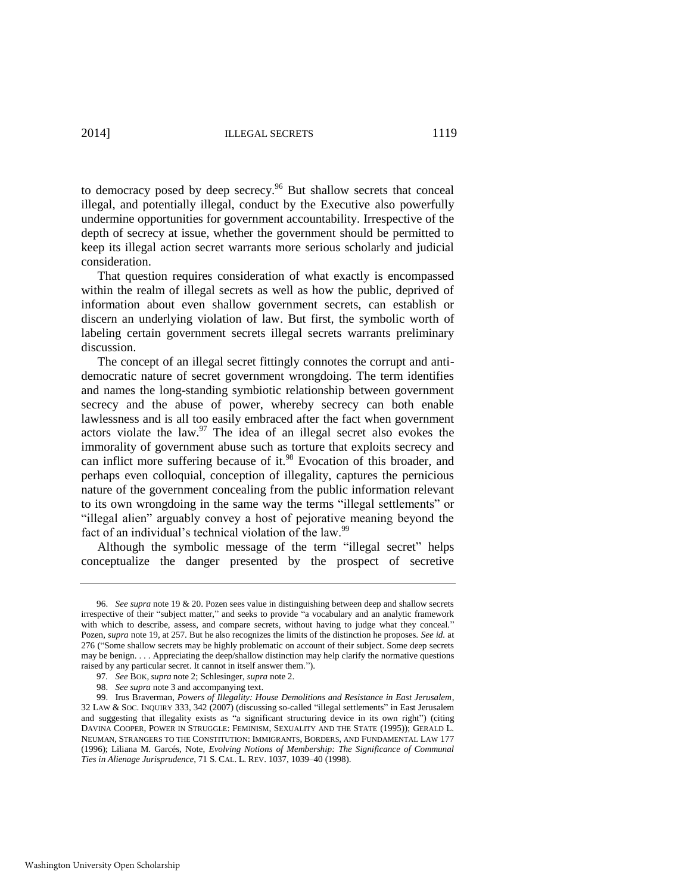to democracy posed by deep secrecy.<sup>96</sup> But shallow secrets that conceal illegal, and potentially illegal, conduct by the Executive also powerfully undermine opportunities for government accountability. Irrespective of the depth of secrecy at issue, whether the government should be permitted to keep its illegal action secret warrants more serious scholarly and judicial consideration.

That question requires consideration of what exactly is encompassed within the realm of illegal secrets as well as how the public, deprived of information about even shallow government secrets, can establish or discern an underlying violation of law. But first, the symbolic worth of labeling certain government secrets illegal secrets warrants preliminary discussion.

The concept of an illegal secret fittingly connotes the corrupt and antidemocratic nature of secret government wrongdoing. The term identifies and names the long-standing symbiotic relationship between government secrecy and the abuse of power, whereby secrecy can both enable lawlessness and is all too easily embraced after the fact when government actors violate the law. $97$  The idea of an illegal secret also evokes the immorality of government abuse such as torture that exploits secrecy and can inflict more suffering because of it.<sup>98</sup> Evocation of this broader, and perhaps even colloquial, conception of illegality, captures the pernicious nature of the government concealing from the public information relevant to its own wrongdoing in the same way the terms "illegal settlements" or "illegal alien" arguably convey a host of pejorative meaning beyond the fact of an individual's technical violation of the law.<sup>99</sup>

Although the symbolic message of the term "illegal secret" helps conceptualize the danger presented by the prospect of secretive

<sup>96.</sup> *See supra* not[e 19](#page-7-1) [& 20.](#page-7-0) Pozen sees value in distinguishing between deep and shallow secrets irrespective of their "subject matter," and seeks to provide "a vocabulary and an analytic framework with which to describe, assess, and compare secrets, without having to judge what they conceal." Pozen, *supra* note [19,](#page-7-1) at 257. But he also recognizes the limits of the distinction he proposes. *See id.* at 276 ("Some shallow secrets may be highly problematic on account of their subject. Some deep secrets may be benign. . . . Appreciating the deep/shallow distinction may help clarify the normative questions raised by any particular secret. It cannot in itself answer them.").

<sup>97</sup>*. See* BOK, *supra* not[e 2;](#page-3-0) Schlesinger, *supra* not[e 2.](#page-3-0)

<sup>98.</sup> *See supra* not[e 3 a](#page-3-1)nd accompanying text.

<sup>99.</sup> Irus Braverman, *Powers of Illegality: House Demolitions and Resistance in East Jerusalem*, 32 LAW & SOC. INQUIRY 333, 342 (2007) (discussing so-called "illegal settlements" in East Jerusalem and suggesting that illegality exists as "a significant structuring device in its own right") (citing DAVINA COOPER, POWER IN STRUGGLE: FEMINISM, SEXUALITY AND THE STATE (1995)); GERALD L. NEUMAN, STRANGERS TO THE CONSTITUTION: IMMIGRANTS, BORDERS, AND FUNDAMENTAL LAW 177 (1996); Liliana M. Garcés, Note, *Evolving Notions of Membership: The Significance of Communal Ties in Alienage Jurisprudence*, 71 S. CAL. L. REV. 1037, 1039–40 (1998).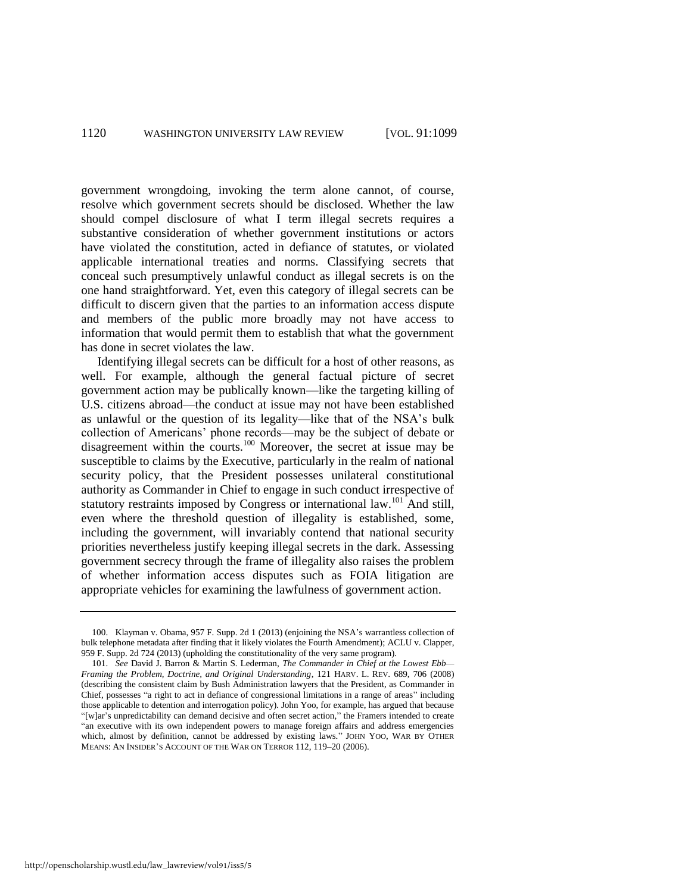government wrongdoing, invoking the term alone cannot, of course, resolve which government secrets should be disclosed. Whether the law should compel disclosure of what I term illegal secrets requires a substantive consideration of whether government institutions or actors have violated the constitution, acted in defiance of statutes, or violated applicable international treaties and norms. Classifying secrets that conceal such presumptively unlawful conduct as illegal secrets is on the one hand straightforward. Yet, even this category of illegal secrets can be difficult to discern given that the parties to an information access dispute and members of the public more broadly may not have access to information that would permit them to establish that what the government has done in secret violates the law.

Identifying illegal secrets can be difficult for a host of other reasons, as well. For example, although the general factual picture of secret government action may be publically known—like the targeting killing of U.S. citizens abroad—the conduct at issue may not have been established as unlawful or the question of its legality—like that of the NSA's bulk collection of Americans' phone records—may be the subject of debate or disagreement within the courts.<sup>100</sup> Moreover, the secret at issue may be susceptible to claims by the Executive, particularly in the realm of national security policy, that the President possesses unilateral constitutional authority as Commander in Chief to engage in such conduct irrespective of statutory restraints imposed by Congress or international law.<sup>101</sup> And still, even where the threshold question of illegality is established, some, including the government, will invariably contend that national security priorities nevertheless justify keeping illegal secrets in the dark. Assessing government secrecy through the frame of illegality also raises the problem of whether information access disputes such as FOIA litigation are appropriate vehicles for examining the lawfulness of government action.

<span id="page-22-0"></span><sup>100.</sup> Klayman v. Obama, 957 F. Supp. 2d 1 (2013) (enjoining the NSA's warrantless collection of bulk telephone metadata after finding that it likely violates the Fourth Amendment); ACLU v. Clapper, 959 F. Supp. 2d 724 (2013) (upholding the constitutionality of the very same program).

<sup>101.</sup> *See* David J. Barron & Martin S. Lederman, *The Commander in Chief at the Lowest Ebb— Framing the Problem, Doctrine, and Original Understanding*, 121 HARV. L. REV. 689, 706 (2008) (describing the consistent claim by Bush Administration lawyers that the President, as Commander in Chief, possesses "a right to act in defiance of congressional limitations in a range of areas" including those applicable to detention and interrogation policy). John Yoo, for example, has argued that because "[w]ar's unpredictability can demand decisive and often secret action," the Framers intended to create "an executive with its own independent powers to manage foreign affairs and address emergencies which, almost by definition, cannot be addressed by existing laws." JOHN YOO, WAR BY OTHER MEANS: AN INSIDER'S ACCOUNT OF THE WAR ON TERROR 112, 119–20 (2006).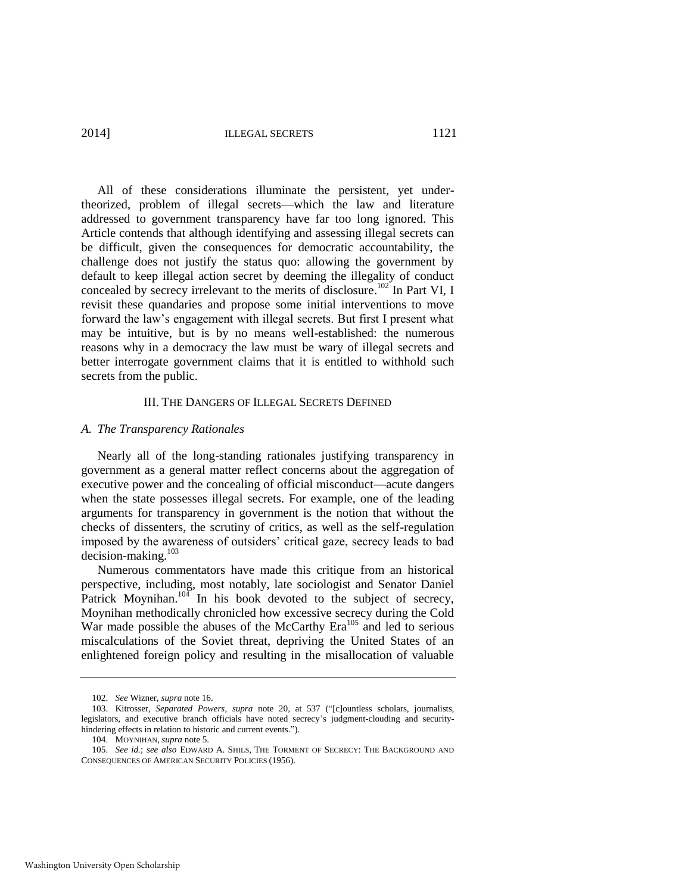2014] ILLEGAL SECRETS 1121

All of these considerations illuminate the persistent, yet undertheorized, problem of illegal secrets—which the law and literature addressed to government transparency have far too long ignored. This Article contends that although identifying and assessing illegal secrets can be difficult, given the consequences for democratic accountability, the challenge does not justify the status quo: allowing the government by default to keep illegal action secret by deeming the illegality of conduct concealed by secrecy irrelevant to the merits of disclosure.<sup>102</sup> In Part VI, I revisit these quandaries and propose some initial interventions to move forward the law's engagement with illegal secrets. But first I present what may be intuitive, but is by no means well-established: the numerous reasons why in a democracy the law must be wary of illegal secrets and better interrogate government claims that it is entitled to withhold such secrets from the public.

#### III. THE DANGERS OF ILLEGAL SECRETS DEFINED

#### *A. The Transparency Rationales*

Nearly all of the long-standing rationales justifying transparency in government as a general matter reflect concerns about the aggregation of executive power and the concealing of official misconduct—acute dangers when the state possesses illegal secrets. For example, one of the leading arguments for transparency in government is the notion that without the checks of dissenters, the scrutiny of critics, as well as the self-regulation imposed by the awareness of outsiders' critical gaze, secrecy leads to bad decision-making.<sup>103</sup>

Numerous commentators have made this critique from an historical perspective, including, most notably, late sociologist and Senator Daniel Patrick Moynihan.<sup>104</sup> In his book devoted to the subject of secrecy, Moynihan methodically chronicled how excessive secrecy during the Cold War made possible the abuses of the McCarthy Era<sup>105</sup> and led to serious miscalculations of the Soviet threat, depriving the United States of an enlightened foreign policy and resulting in the misallocation of valuable

<sup>102.</sup> *See* Wizner, *supra* note [16.](#page-6-2) 

<sup>103.</sup> Kitrosser, *Separated Powers*, *supra* note [20,](#page-7-0) at 537 ("[c]ountless scholars, journalists, legislators, and executive branch officials have noted secrecy's judgment-clouding and securityhindering effects in relation to historic and current events.").

<sup>104.</sup> MOYNIHAN, *supra* not[e 5.](#page-4-2) 

<sup>105.</sup> *See id.*; *see also* EDWARD A. SHILS, THE TORMENT OF SECRECY: THE BACKGROUND AND CONSEQUENCES OF AMERICAN SECURITY POLICIES (1956).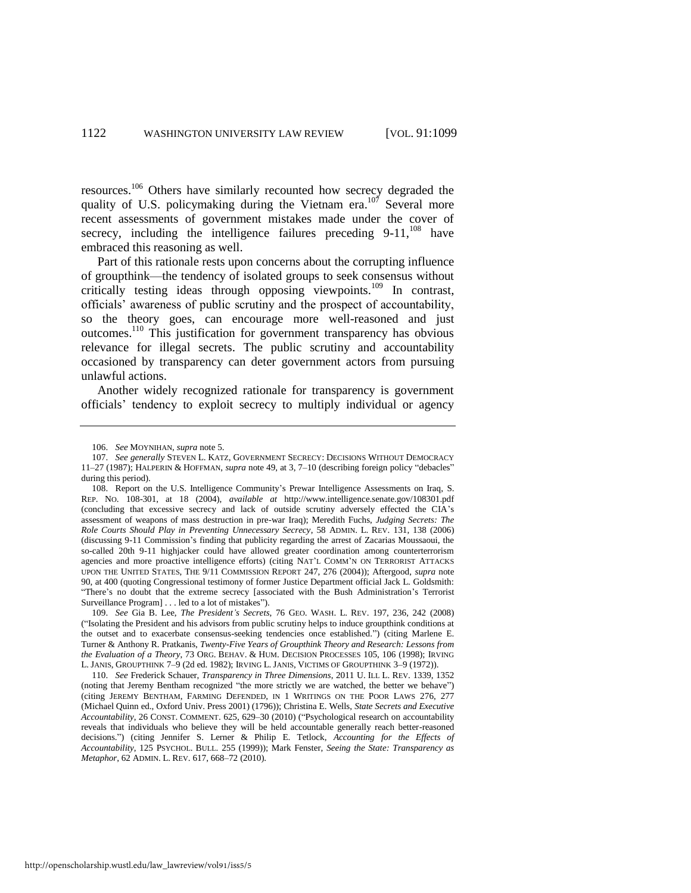resources.<sup>106</sup> Others have similarly recounted how secrecy degraded the quality of U.S. policymaking during the Vietnam era.<sup>107</sup> Several more recent assessments of government mistakes made under the cover of secrecy, including the intelligence failures preceding  $9-11$ ,  $108$  have embraced this reasoning as well.

<span id="page-24-2"></span><span id="page-24-1"></span>Part of this rationale rests upon concerns about the corrupting influence of groupthink—the tendency of isolated groups to seek consensus without critically testing ideas through opposing viewpoints.<sup>109</sup> In contrast, officials' awareness of public scrutiny and the prospect of accountability, so the theory goes, can encourage more well-reasoned and just outcomes.<sup>110</sup> This justification for government transparency has obvious relevance for illegal secrets. The public scrutiny and accountability occasioned by transparency can deter government actors from pursuing unlawful actions.

<span id="page-24-0"></span>Another widely recognized rationale for transparency is government officials' tendency to exploit secrecy to multiply individual or agency

<sup>106.</sup> *See* MOYNIHAN, *supra* note [5.](#page-4-2) 

<sup>107.</sup> *See generally* STEVEN L. KATZ, GOVERNMENT SECRECY: DECISIONS WITHOUT DEMOCRACY 11–27 (1987); HALPERIN & HOFFMAN, *supra* not[e 49,](#page-13-1) at 3, 7–10 (describing foreign policy "debacles" during this period).

<sup>108.</sup> Report on the U.S. Intelligence Community's Prewar Intelligence Assessments on Iraq, S. REP. NO. 108-301, at 18 (2004), *available at* http://www.intelligence.senate.gov/108301.pdf (concluding that excessive secrecy and lack of outside scrutiny adversely effected the CIA's assessment of weapons of mass destruction in pre-war Iraq); Meredith Fuchs, *Judging Secrets: The Role Courts Should Play in Preventing Unnecessary Secrecy*, 58 ADMIN. L. REV. 131, 138 (2006) (discussing 9-11 Commission's finding that publicity regarding the arrest of Zacarias Moussaoui, the so-called 20th 9-11 highjacker could have allowed greater coordination among counterterrorism agencies and more proactive intelligence efforts) (citing NAT'L COMM'N ON TERRORIST ATTACKS UPON THE UNITED STATES, THE 9/11 COMMISSION REPORT 247, 276 (2004)); Aftergood, *supra* note [90,](#page-19-1) at 400 (quoting Congressional testimony of former Justice Department official Jack L. Goldsmith: "There's no doubt that the extreme secrecy [associated with the Bush Administration's Terrorist Surveillance Program] . . . led to a lot of mistakes").

<sup>109.</sup> *See* Gia B. Lee, *The President's Secrets*, 76 GEO. WASH. L. REV. 197, 236, 242 (2008) ("Isolating the President and his advisors from public scrutiny helps to induce groupthink conditions at the outset and to exacerbate consensus-seeking tendencies once established.") (citing Marlene E. Turner & Anthony R. Pratkanis, *Twenty-Five Years of Groupthink Theory and Research: Lessons from the Evaluation of a Theory*, 73 ORG. BEHAV. & HUM. DECISION PROCESSES 105, 106 (1998); IRVING L. JANIS, GROUPTHINK 7–9 (2d ed. 1982); IRVING L. JANIS, VICTIMS OF GROUPTHINK 3–9 (1972)).

<sup>110.</sup> *See* Frederick Schauer, *Transparency in Three Dimensions*, 2011 U. ILL L. REV. 1339, 1352 (noting that Jeremy Bentham recognized "the more strictly we are watched, the better we behave") (citing JEREMY BENTHAM, FARMING DEFENDED, IN 1 WRITINGS ON THE POOR LAWS 276, 277 (Michael Quinn ed., Oxford Univ. Press 2001) (1796)); Christina E. Wells, *State Secrets and Executive Accountability*, 26 CONST. COMMENT. 625, 629–30 (2010) ("Psychological research on accountability reveals that individuals who believe they will be held accountable generally reach better-reasoned decisions.") (citing Jennifer S. Lerner & Philip E. Tetlock, *Accounting for the Effects of Accountability*, 125 PSYCHOL. BULL. 255 (1999)); Mark Fenster, *Seeing the State: Transparency as Metaphor*, 62 ADMIN. L. REV. 617, 668–72 (2010).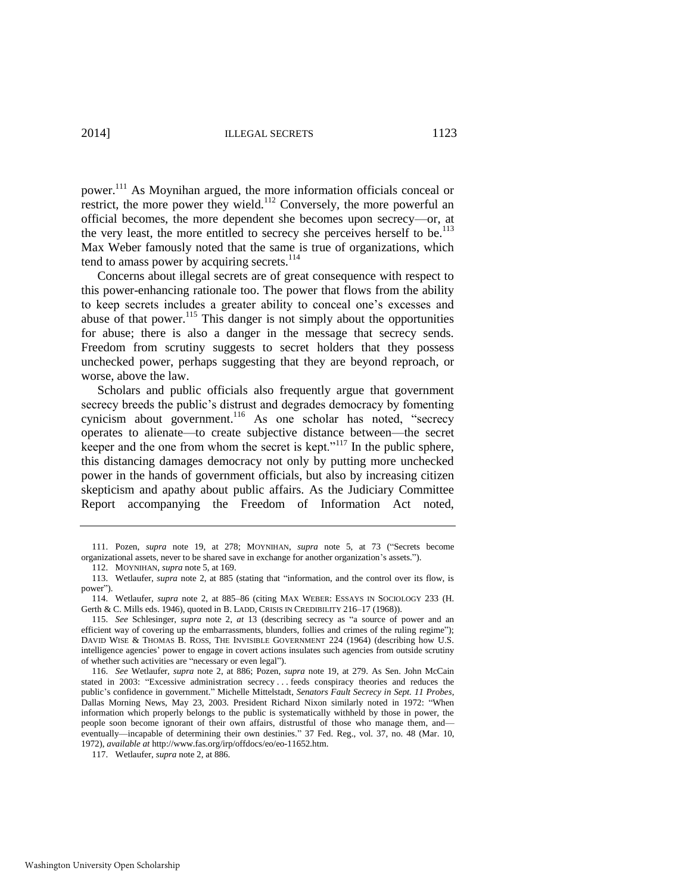power.<sup>111</sup> As Moynihan argued, the more information officials conceal or restrict, the more power they wield.<sup>112</sup> Conversely, the more powerful an official becomes, the more dependent she becomes upon secrecy—or, at the very least, the more entitled to secrecy she perceives herself to be.<sup>113</sup> Max Weber famously noted that the same is true of organizations, which tend to amass power by acquiring secrets.<sup>114</sup>

Concerns about illegal secrets are of great consequence with respect to this power-enhancing rationale too. The power that flows from the ability to keep secrets includes a greater ability to conceal one's excesses and abuse of that power.<sup>115</sup> This danger is not simply about the opportunities for abuse; there is also a danger in the message that secrecy sends. Freedom from scrutiny suggests to secret holders that they possess unchecked power, perhaps suggesting that they are beyond reproach, or worse, above the law.

Scholars and public officials also frequently argue that government secrecy breeds the public's distrust and degrades democracy by fomenting cynicism about government.<sup>116</sup> As one scholar has noted, "secrecy operates to alienate—to create subjective distance between—the secret keeper and the one from whom the secret is kept."<sup>117</sup> In the public sphere, this distancing damages democracy not only by putting more unchecked power in the hands of government officials, but also by increasing citizen skepticism and apathy about public affairs. As the Judiciary Committee Report accompanying the Freedom of Information Act noted,

<sup>111.</sup> Pozen, *supra* note [19,](#page-7-1) at 278; MOYNIHAN, *supra* note [5,](#page-4-2) at 73 ("Secrets become organizational assets, never to be shared save in exchange for another organization's assets.").

<sup>112.</sup> MOYNIHAN, *supra* not[e 5,](#page-4-2) at 169.

<sup>113.</sup> Wetlaufer, *supra* note [2,](#page-3-0) at 885 (stating that "information, and the control over its flow, is power").

<sup>114.</sup> Wetlaufer, *supra* note [2,](#page-3-0) at 885–86 (citing MAX WEBER: ESSAYS IN SOCIOLOGY 233 (H. Gerth & C. Mills eds. 1946), quoted in B. LADD, CRISIS IN CREDIBILITY 216–17 (1968)).

<sup>115.</sup> *See* Schlesinger, *supra* note [2,](#page-3-0) *at* 13 (describing secrecy as "a source of power and an efficient way of covering up the embarrassments, blunders, follies and crimes of the ruling regime"); DAVID WISE & THOMAS B. ROSS, THE INVISIBLE GOVERNMENT 224 (1964) (describing how U.S. intelligence agencies' power to engage in covert actions insulates such agencies from outside scrutiny of whether such activities are "necessary or even legal").

<sup>116.</sup> *See* Wetlaufer, *supra* note [2,](#page-3-0) at 886; Pozen, *supra* note [19,](#page-7-1) at 279. As Sen. John McCain stated in 2003: "Excessive administration secrecy . . . feeds conspiracy theories and reduces the public's confidence in government." Michelle Mittelstadt, *Senators Fault Secrecy in Sept. 11 Probes*, Dallas Morning News, May 23, 2003. President Richard Nixon similarly noted in 1972: "When information which properly belongs to the public is systematically withheld by those in power, the people soon become ignorant of their own affairs, distrustful of those who manage them, and eventually—incapable of determining their own destinies." 37 Fed. Reg., vol. 37, no. 48 (Mar. 10, 1972), *available at* http://www.fas.org/irp/offdocs/eo/eo-11652.htm.

<sup>117.</sup> Wetlaufer, *supra* not[e 2,](#page-3-0) at 886.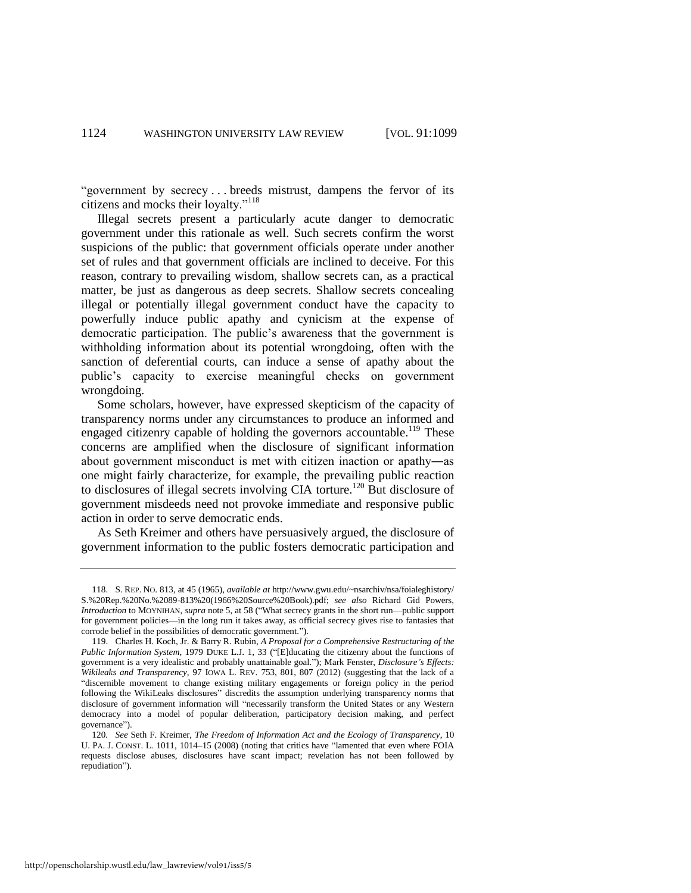"government by secrecy . . . breeds mistrust, dampens the fervor of its citizens and mocks their loyalty."<sup>118</sup>

Illegal secrets present a particularly acute danger to democratic government under this rationale as well. Such secrets confirm the worst suspicions of the public: that government officials operate under another set of rules and that government officials are inclined to deceive. For this reason, contrary to prevailing wisdom, shallow secrets can, as a practical matter, be just as dangerous as deep secrets. Shallow secrets concealing illegal or potentially illegal government conduct have the capacity to powerfully induce public apathy and cynicism at the expense of democratic participation. The public's awareness that the government is withholding information about its potential wrongdoing, often with the sanction of deferential courts, can induce a sense of apathy about the public's capacity to exercise meaningful checks on government wrongdoing.

Some scholars, however, have expressed skepticism of the capacity of transparency norms under any circumstances to produce an informed and engaged citizenry capable of holding the governors accountable.<sup>119</sup> These concerns are amplified when the disclosure of significant information about government misconduct is met with citizen inaction or apathy―as one might fairly characterize, for example, the prevailing public reaction to disclosures of illegal secrets involving CIA torture.<sup>120</sup> But disclosure of government misdeeds need not provoke immediate and responsive public action in order to serve democratic ends.

<span id="page-26-0"></span>As Seth Kreimer and others have persuasively argued, the disclosure of government information to the public fosters democratic participation and

<sup>118.</sup> S. REP. NO. 813, at 45 (1965), *available at* http://www.gwu.edu/~nsarchiv/nsa/foialeghistory/ S.%20Rep.%20No.%2089-813%20(1966%20Source%20Book).pdf; *see also* Richard Gid Powers, *Introduction* to MOYNIHAN, *supra* not[e 5,](#page-4-2) at 58 ("What secrecy grants in the short run—public support for government policies—in the long run it takes away, as official secrecy gives rise to fantasies that corrode belief in the possibilities of democratic government.").

<sup>119.</sup> Charles H. Koch, Jr. & Barry R. Rubin, *A Proposal for a Comprehensive Restructuring of the Public Information System*, 1979 DUKE L.J. 1, 33 ("[E]ducating the citizenry about the functions of government is a very idealistic and probably unattainable goal."); Mark Fenster, *Disclosure's Effects: Wikileaks and Transparency*, 97 IOWA L. REV. 753, 801, 807 (2012) (suggesting that the lack of a "discernible movement to change existing military engagements or foreign policy in the period following the WikiLeaks disclosures" discredits the assumption underlying transparency norms that disclosure of government information will "necessarily transform the United States or any Western democracy into a model of popular deliberation, participatory decision making, and perfect governance").

<sup>120</sup>*. See* Seth F. Kreimer, *The Freedom of Information Act and the Ecology of Transparency*, 10 U. PA. J. CONST. L. 1011, 1014–15 (2008) (noting that critics have "lamented that even where FOIA requests disclose abuses, disclosures have scant impact; revelation has not been followed by repudiation").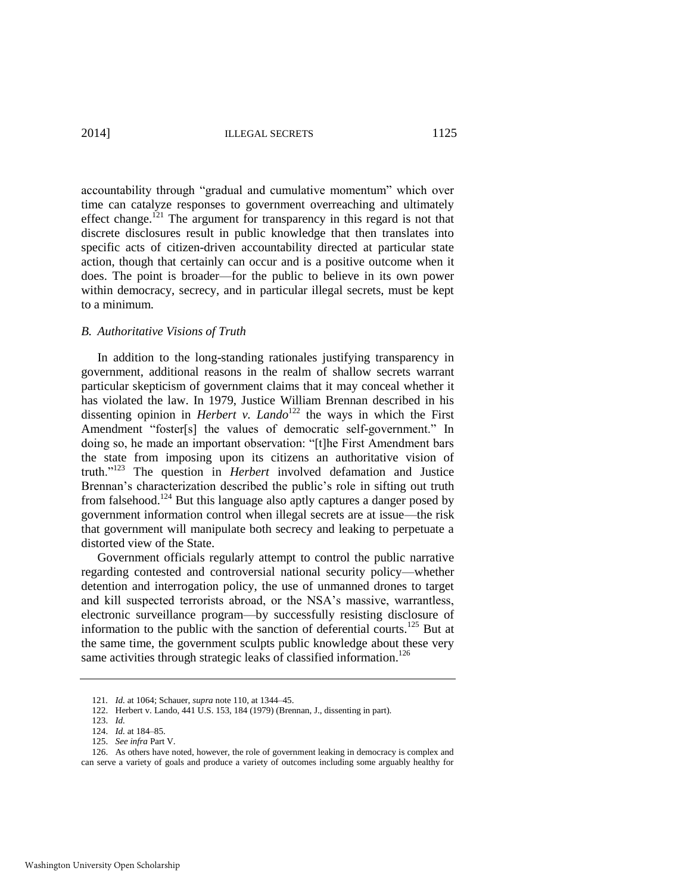accountability through "gradual and cumulative momentum" which over time can catalyze responses to government overreaching and ultimately effect change.<sup>121</sup> The argument for transparency in this regard is not that discrete disclosures result in public knowledge that then translates into specific acts of citizen-driven accountability directed at particular state action, though that certainly can occur and is a positive outcome when it does. The point is broader—for the public to believe in its own power within democracy, secrecy, and in particular illegal secrets, must be kept to a minimum.

#### *B. Authoritative Visions of Truth*

In addition to the long-standing rationales justifying transparency in government, additional reasons in the realm of shallow secrets warrant particular skepticism of government claims that it may conceal whether it has violated the law. In 1979, Justice William Brennan described in his dissenting opinion in *Herbert v. Lando*<sup>122</sup> the ways in which the First Amendment "foster[s] the values of democratic self-government." In doing so, he made an important observation: "[t]he First Amendment bars the state from imposing upon its citizens an authoritative vision of truth."<sup>123</sup> The question in *Herbert* involved defamation and Justice Brennan's characterization described the public's role in sifting out truth from falsehood.<sup>124</sup> But this language also aptly captures a danger posed by government information control when illegal secrets are at issue—the risk that government will manipulate both secrecy and leaking to perpetuate a distorted view of the State.

Government officials regularly attempt to control the public narrative regarding contested and controversial national security policy—whether detention and interrogation policy, the use of unmanned drones to target and kill suspected terrorists abroad, or the NSA's massive, warrantless, electronic surveillance program—by successfully resisting disclosure of information to the public with the sanction of deferential courts.<sup>125</sup> But at the same time, the government sculpts public knowledge about these very same activities through strategic leaks of classified information.<sup>126</sup>

<span id="page-27-0"></span><sup>121</sup>*. Id.* at 1064; Schauer, *supra* not[e 110,](#page-24-0) at 1344–45.

<sup>122.</sup> Herbert v. Lando, 441 U.S. 153, 184 (1979) (Brennan, J., dissenting in part).

<sup>123.</sup> *Id.*

<sup>124.</sup> *Id.* at 184–85.

<sup>125.</sup> *See infra* Part V.

<sup>126.</sup> As others have noted, however, the role of government leaking in democracy is complex and can serve a variety of goals and produce a variety of outcomes including some arguably healthy for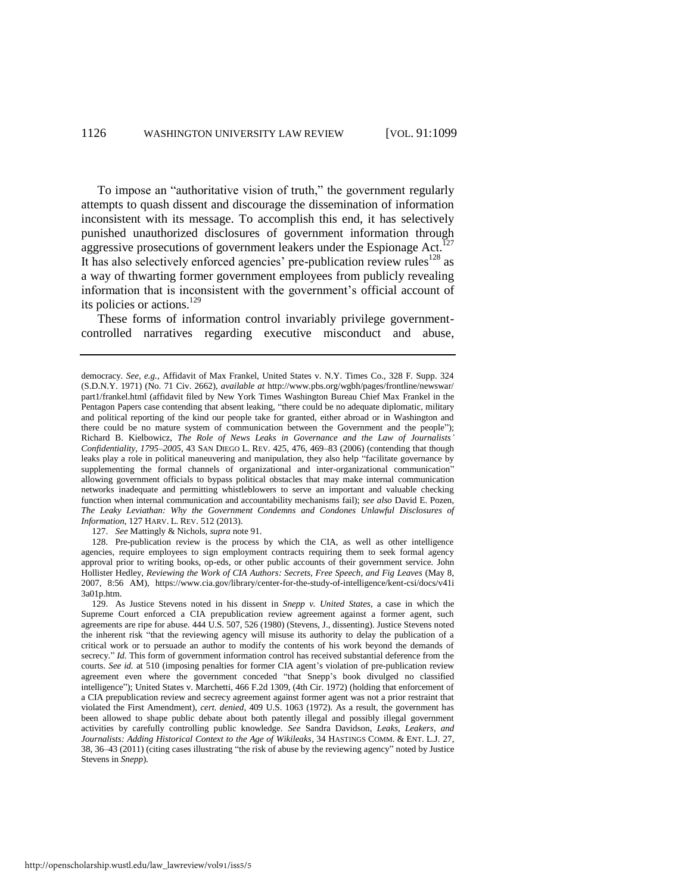To impose an "authoritative vision of truth," the government regularly attempts to quash dissent and discourage the dissemination of information inconsistent with its message. To accomplish this end, it has selectively punished unauthorized disclosures of government information through aggressive prosecutions of government leakers under the Espionage Act.<sup>127</sup> It has also selectively enforced agencies' pre-publication review rules $^{128}$  as a way of thwarting former government employees from publicly revealing information that is inconsistent with the government's official account of its policies or actions.<sup>129</sup>

<span id="page-28-0"></span>These forms of information control invariably privilege governmentcontrolled narratives regarding executive misconduct and abuse,

127. *See* Mattingly & Nichols, *supra* not[e 91.](#page-19-2)

democracy. *See, e.g.*, Affidavit of Max Frankel, United States v. N.Y. Times Co., 328 F. Supp. 324 (S.D.N.Y. 1971) (No. 71 Civ. 2662), *available at* http://www.pbs.org/wgbh/pages/frontline/newswar/ part1/frankel.html (affidavit filed by New York Times Washington Bureau Chief Max Frankel in the Pentagon Papers case contending that absent leaking, "there could be no adequate diplomatic, military and political reporting of the kind our people take for granted, either abroad or in Washington and there could be no mature system of communication between the Government and the people"); Richard B. Kielbowicz, *The Role of News Leaks in Governance and the Law of Journalists' Confidentiality, 1795–2005*, 43 SAN DIEGO L. REV. 425, 476, 469–83 (2006) (contending that though leaks play a role in political maneuvering and manipulation, they also help "facilitate governance by supplementing the formal channels of organizational and inter-organizational communication" allowing government officials to bypass political obstacles that may make internal communication networks inadequate and permitting whistleblowers to serve an important and valuable checking function when internal communication and accountability mechanisms fail); *see also* David E. Pozen, *The Leaky Leviathan: Why the Government Condemns and Condones Unlawful Disclosures of Information*, 127 HARV. L. REV. 512 (2013).

<sup>128.</sup> Pre-publication review is the process by which the CIA, as well as other intelligence agencies, require employees to sign employment contracts requiring them to seek formal agency approval prior to writing books, op-eds, or other public accounts of their government service. John Hollister Hedley, *Reviewing the Work of CIA Authors: Secrets, Free Speech, and Fig Leaves* (May 8, 2007, 8:56 AM), https://www.cia.gov/library/center-for-the-study-of-intelligence/kent-csi/docs/v41i 3a01p.htm.

<sup>129.</sup> As Justice Stevens noted in his dissent in *Snepp v. United States*, a case in which the Supreme Court enforced a CIA prepublication review agreement against a former agent, such agreements are ripe for abuse. 444 U.S. 507, 526 (1980) (Stevens, J., dissenting). Justice Stevens noted the inherent risk "that the reviewing agency will misuse its authority to delay the publication of a critical work or to persuade an author to modify the contents of his work beyond the demands of secrecy." *Id.* This form of government information control has received substantial deference from the courts. *See id.* at 510 (imposing penalties for former CIA agent's violation of pre-publication review agreement even where the government conceded "that Snepp's book divulged no classified intelligence"); United States v. Marchetti, 466 F.2d 1309, (4th Cir. 1972) (holding that enforcement of a CIA prepublication review and secrecy agreement against former agent was not a prior restraint that violated the First Amendment), *cert. denied,* 409 U.S. 1063 (1972). As a result, the government has been allowed to shape public debate about both patently illegal and possibly illegal government activities by carefully controlling public knowledge. *See* Sandra Davidson, *Leaks, Leakers, and Journalists: Adding Historical Context to the Age of Wikileaks*, 34 HASTINGS COMM. & ENT. L.J. 27, 38, 36–43 (2011) (citing cases illustrating "the risk of abuse by the reviewing agency" noted by Justice Stevens in *Snepp*).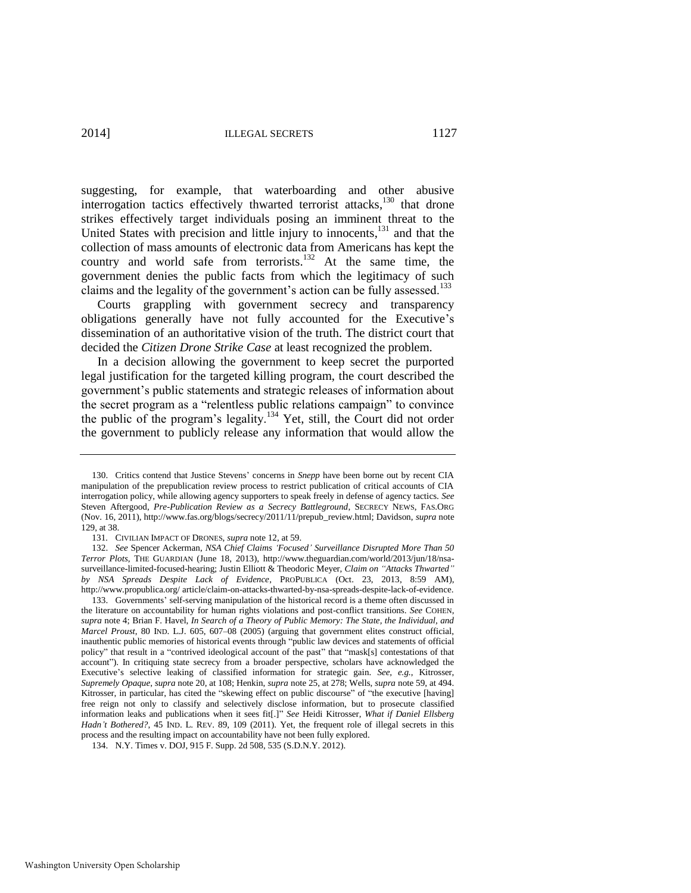suggesting, for example, that waterboarding and other abusive interrogation tactics effectively thwarted terrorist attacks, $130$  that drone strikes effectively target individuals posing an imminent threat to the United States with precision and little injury to innocents,<sup>131</sup> and that the collection of mass amounts of electronic data from Americans has kept the country and world safe from terrorists.<sup>132</sup> At the same time, the government denies the public facts from which the legitimacy of such claims and the legality of the government's action can be fully assessed.<sup>133</sup>

Courts grappling with government secrecy and transparency obligations generally have not fully accounted for the Executive's dissemination of an authoritative vision of the truth. The district court that decided the *Citizen Drone Strike Case* at least recognized the problem.

In a decision allowing the government to keep secret the purported legal justification for the targeted killing program, the court described the government's public statements and strategic releases of information about the secret program as a "relentless public relations campaign" to convince the public of the program's legality.<sup>134</sup> Yet, still, the Court did not order the government to publicly release any information that would allow the

<sup>130.</sup> Critics contend that Justice Stevens' concerns in *Snepp* have been borne out by recent CIA manipulation of the prepublication review process to restrict publication of critical accounts of CIA interrogation policy, while allowing agency supporters to speak freely in defense of agency tactics. *See*  Steven Aftergood, *Pre-Publication Review as a Secrecy Battleground*, SECRECY NEWS, FAS.ORG (Nov. 16, 2011), http://www.fas.org/blogs/secrecy/2011/11/prepub\_review.html; Davidson, *supra* note [129,](#page-28-0) at 38.

<sup>131</sup>*.* CIVILIAN IMPACT OF DRONES, *supra* not[e 12,](#page-5-3) at 59.

<sup>132.</sup> *See* Spencer Ackerman, *NSA Chief Claims 'Focused' Surveillance Disrupted More Than 50 Terror Plots*, THE GUARDIAN (June 18, 2013), http://www.theguardian.com/world/2013/jun/18/nsasurveillance-limited-focused-hearing; Justin Elliott & Theodoric Meyer, *Claim on "Attacks Thwarted" by NSA Spreads Despite Lack of Evidence*, PROPUBLICA (Oct. 23, 2013, 8:59 AM), http://www.propublica.org/ article/claim-on-attacks-thwarted-by-nsa-spreads-despite-lack-of-evidence.

<sup>133.</sup> Governments' self-serving manipulation of the historical record is a theme often discussed in the literature on accountability for human rights violations and post-conflict transitions. *See* COHEN, *supra* not[e 4;](#page-4-1) Brian F. Havel, *In Search of a Theory of Public Memory: The State, the Individual, and Marcel Proust*, 80 IND. L.J. 605, 607–08 (2005) (arguing that government elites construct official, inauthentic public memories of historical events through "public law devices and statements of official policy" that result in a "contrived ideological account of the past" that "mask[s] contestations of that account"). In critiquing state secrecy from a broader perspective, scholars have acknowledged the Executive's selective leaking of classified information for strategic gain. *See, e.g.*, Kitrosser, *Supremely Opaque*, *supra* not[e 20,](#page-7-0) at 108; Henkin, *supra* note [25,](#page-8-1) at 278; Wells, *supra* not[e 59,](#page-15-1) at 494. Kitrosser, in particular, has cited the "skewing effect on public discourse" of "the executive [having] free reign not only to classify and selectively disclose information, but to prosecute classified information leaks and publications when it sees fit[.]" *See* Heidi Kitrosser, *What if Daniel Ellsberg*  Hadn't Bothered?, 45 IND. L. REV. 89, 109 (2011). Yet, the frequent role of illegal secrets in this process and the resulting impact on accountability have not been fully explored.

<sup>134.</sup> N.Y. Times v. DOJ, 915 F. Supp. 2d 508, 535 (S.D.N.Y. 2012).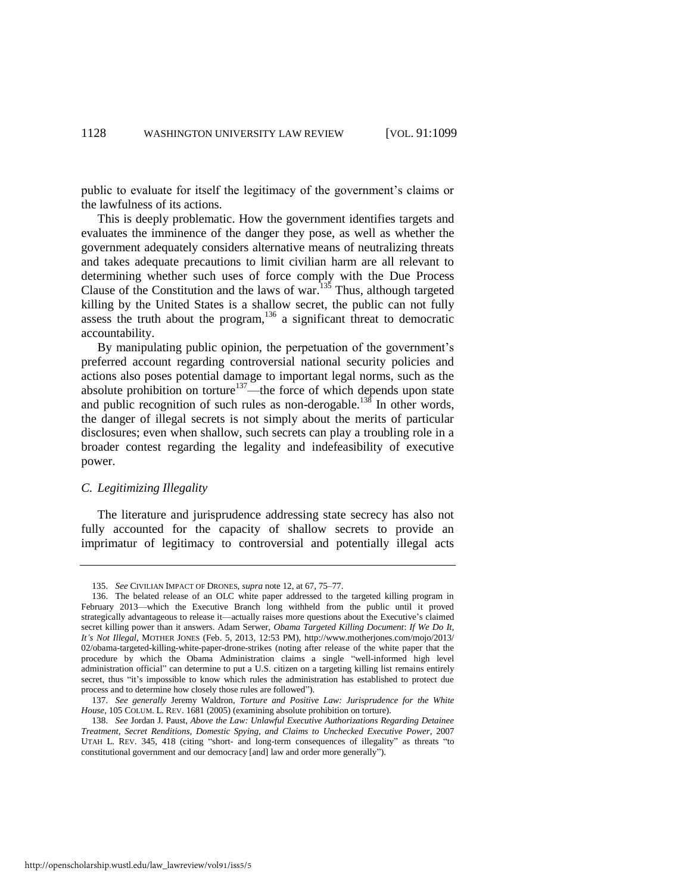public to evaluate for itself the legitimacy of the government's claims or the lawfulness of its actions.

This is deeply problematic. How the government identifies targets and evaluates the imminence of the danger they pose, as well as whether the government adequately considers alternative means of neutralizing threats and takes adequate precautions to limit civilian harm are all relevant to determining whether such uses of force comply with the Due Process Clause of the Constitution and the laws of war.<sup>135</sup> Thus, although targeted killing by the United States is a shallow secret, the public can not fully assess the truth about the program,  $136$  a significant threat to democratic accountability.

<span id="page-30-0"></span>By manipulating public opinion, the perpetuation of the government's preferred account regarding controversial national security policies and actions also poses potential damage to important legal norms, such as the absolute prohibition on torture<sup>137</sup>—the force of which depends upon state and public recognition of such rules as non-derogable.<sup>138</sup> In other words, the danger of illegal secrets is not simply about the merits of particular disclosures; even when shallow, such secrets can play a troubling role in a broader contest regarding the legality and indefeasibility of executive power.

#### *C. Legitimizing Illegality*

The literature and jurisprudence addressing state secrecy has also not fully accounted for the capacity of shallow secrets to provide an imprimatur of legitimacy to controversial and potentially illegal acts

<sup>135.</sup> *See* CIVILIAN IMPACT OF DRONES, *supra* not[e 12,](#page-5-3) at 67, 75–77.

<sup>136.</sup> The belated release of an OLC white paper addressed to the targeted killing program in February 2013—which the Executive Branch long withheld from the public until it proved strategically advantageous to release it—actually raises more questions about the Executive's claimed secret killing power than it answers. Adam Serwer, *Obama Targeted Killing Document*: *If We Do It, It's Not Illegal*, MOTHER JONES (Feb. 5, 2013, 12:53 PM), http://www.motherjones.com/mojo/2013/ 02/obama-targeted-killing-white-paper-drone-strikes (noting after release of the white paper that the procedure by which the Obama Administration claims a single "well-informed high level administration official" can determine to put a U.S. citizen on a targeting killing list remains entirely secret, thus "it's impossible to know which rules the administration has established to protect due process and to determine how closely those rules are followed").

<sup>137.</sup> *See generally* Jeremy Waldron, *Torture and Positive Law: Jurisprudence for the White House*, 105 COLUM. L. REV. 1681 (2005) (examining absolute prohibition on torture).

<sup>138.</sup> *See* Jordan J. Paust, *Above the Law: Unlawful Executive Authorizations Regarding Detainee Treatment, Secret Renditions, Domestic Spying, and Claims to Unchecked Executive Power*, 2007 UTAH L. REV. 345, 418 (citing "short- and long-term consequences of illegality" as threats "to constitutional government and our democracy [and] law and order more generally").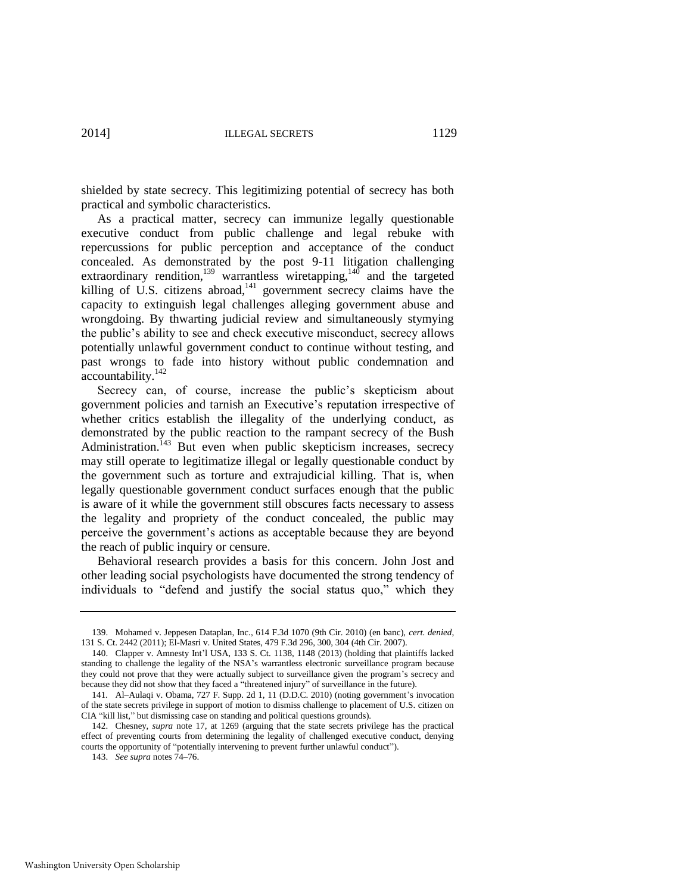shielded by state secrecy. This legitimizing potential of secrecy has both practical and symbolic characteristics.

As a practical matter, secrecy can immunize legally questionable executive conduct from public challenge and legal rebuke with repercussions for public perception and acceptance of the conduct concealed. As demonstrated by the post 9-11 litigation challenging extraordinary rendition,<sup>139</sup> warrantless wiretapping,<sup>140</sup> and the targeted killing of U.S. citizens abroad,<sup>141</sup> government secrecy claims have the capacity to extinguish legal challenges alleging government abuse and wrongdoing. By thwarting judicial review and simultaneously stymying the public's ability to see and check executive misconduct, secrecy allows potentially unlawful government conduct to continue without testing, and past wrongs to fade into history without public condemnation and accountability.<sup>142</sup>

Secrecy can, of course, increase the public's skepticism about government policies and tarnish an Executive's reputation irrespective of whether critics establish the illegality of the underlying conduct, as demonstrated by the public reaction to the rampant secrecy of the Bush Administration.<sup> $143$ </sup> But even when public skepticism increases, secrecy may still operate to legitimatize illegal or legally questionable conduct by the government such as torture and extrajudicial killing. That is, when legally questionable government conduct surfaces enough that the public is aware of it while the government still obscures facts necessary to assess the legality and propriety of the conduct concealed, the public may perceive the government's actions as acceptable because they are beyond the reach of public inquiry or censure.

Behavioral research provides a basis for this concern. John Jost and other leading social psychologists have documented the strong tendency of individuals to "defend and justify the social status quo," which they

<sup>139.</sup> Mohamed v. Jeppesen Dataplan, Inc., 614 F.3d 1070 (9th Cir. 2010) (en banc), *cert. denied*, 131 S. Ct. 2442 (2011); El-Masri v. United States, 479 F.3d 296, 300, 304 (4th Cir. 2007).

<sup>140.</sup> Clapper v. Amnesty Int'l USA, 133 S. Ct. 1138, 1148 (2013) (holding that plaintiffs lacked standing to challenge the legality of the NSA's warrantless electronic surveillance program because they could not prove that they were actually subject to surveillance given the program's secrecy and because they did not show that they faced a "threatened injury" of surveillance in the future).

<sup>141</sup>*.* Al–Aulaqi v. Obama, 727 F. Supp. 2d 1, 11 (D.D.C. 2010) (noting government's invocation of the state secrets privilege in support of motion to dismiss challenge to placement of U.S. citizen on CIA "kill list," but dismissing case on standing and political questions grounds).

<sup>142.</sup> Chesney, *supra* note [17,](#page-6-1) at 1269 (arguing that the state secrets privilege has the practical effect of preventing courts from determining the legality of challenged executive conduct, denying courts the opportunity of "potentially intervening to prevent further unlawful conduct").

<sup>143.</sup> *See supra* note[s 74](#page-17-1)[–76.](#page-17-2)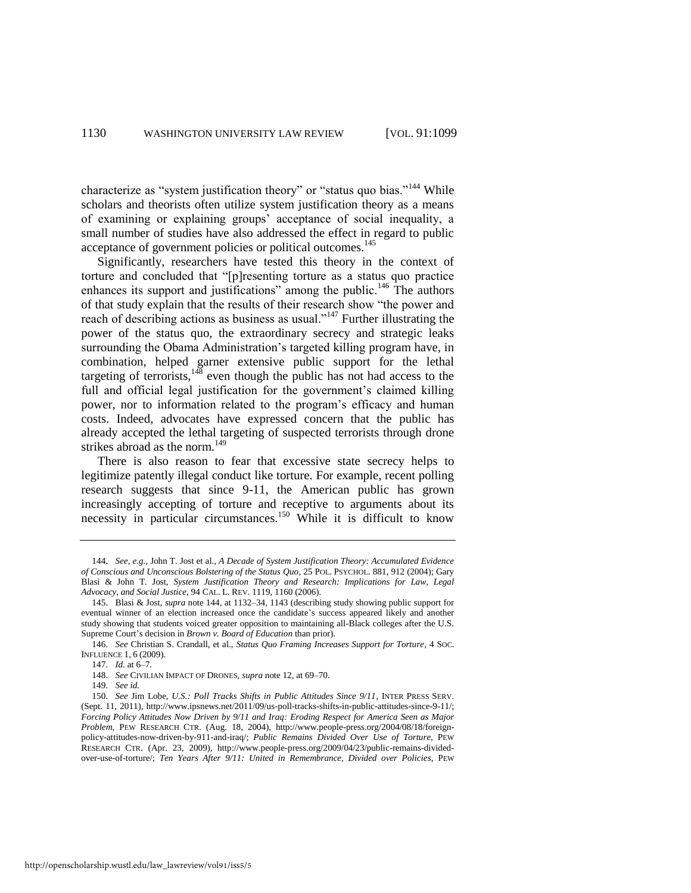<span id="page-32-0"></span>characterize as "system justification theory" or "status quo bias."<sup>144</sup> While scholars and theorists often utilize system justification theory as a means of examining or explaining groups' acceptance of social inequality, a small number of studies have also addressed the effect in regard to public acceptance of government policies or political outcomes.<sup>145</sup>

Significantly, researchers have tested this theory in the context of torture and concluded that "[p]resenting torture as a status quo practice enhances its support and justifications" among the public.<sup>146</sup> The authors of that study explain that the results of their research show "the power and reach of describing actions as business as usual."<sup>147</sup> Further illustrating the power of the status quo, the extraordinary secrecy and strategic leaks surrounding the Obama Administration's targeted killing program have, in combination, helped garner extensive public support for the lethal targeting of terrorists, $148$  even though the public has not had access to the full and official legal justification for the government's claimed killing power, nor to information related to the program's efficacy and human costs. Indeed, advocates have expressed concern that the public has already accepted the lethal targeting of suspected terrorists through drone strikes abroad as the norm.<sup>149</sup>

There is also reason to fear that excessive state secrecy helps to legitimize patently illegal conduct like torture. For example, recent polling research suggests that since 9-11, the American public has grown increasingly accepting of torture and receptive to arguments about its necessity in particular circumstances.<sup>150</sup> While it is difficult to know

<sup>144.</sup> *See, e.g.*, John T. Jost et al., *A Decade of System Justification Theory: Accumulated Evidence of Conscious and Unconscious Bolstering of the Status Quo*, 25 POL. PSYCHOL. 881, 912 (2004); Gary Blasi & John T. Jost, *System Justification Theory and Research: Implications for Law, Legal Advocacy, and Social Justice*, 94 CAL. L. REV. 1119, 1160 (2006).

<sup>145.</sup> Blasi & Jost, *supra* not[e 144,](#page-32-0) at 1132–34, 1143 (describing study showing public support for eventual winner of an election increased once the candidate's success appeared likely and another study showing that students voiced greater opposition to maintaining all-Black colleges after the U.S. Supreme Court's decision in *Brown v. Board of Education* than prior).

<sup>146.</sup> *See* Christian S. Crandall, et al., *Status Quo Framing Increases Support for Torture*, 4 SOC. INFLUENCE 1, 6 (2009).

<sup>147.</sup> *Id.* at 6–7.

<sup>148.</sup> *See* CIVILIAN IMPACT OF DRONES, *supra* not[e 12,](#page-5-3) at 69–70.

<sup>149.</sup> *See id.*

<sup>150.</sup> *See* Jim Lobe, *U.S.: Poll Tracks Shifts in Public Attitudes Since 9/11*, INTER PRESS SERV. (Sept. 11, 2011), http://www.ipsnews.net/2011/09/us-poll-tracks-shifts-in-public-attitudes-since-9-11/; *Forcing Policy Attitudes Now Driven by 9/11 and Iraq: Eroding Respect for America Seen as Major Problem*, PEW RESEARCH CTR. (Aug. 18, 2004), http://www.people-press.org/2004/08/18/foreignpolicy-attitudes-now-driven-by-911-and-iraq/; *Public Remains Divided Over Use of Torture*, PEW RESEARCH CTR. (Apr. 23, 2009), http://www.people-press.org/2009/04/23/public-remains-dividedover-use-of-torture/; *Ten Years After 9/11: United in Remembrance, Divided over Policies*, PEW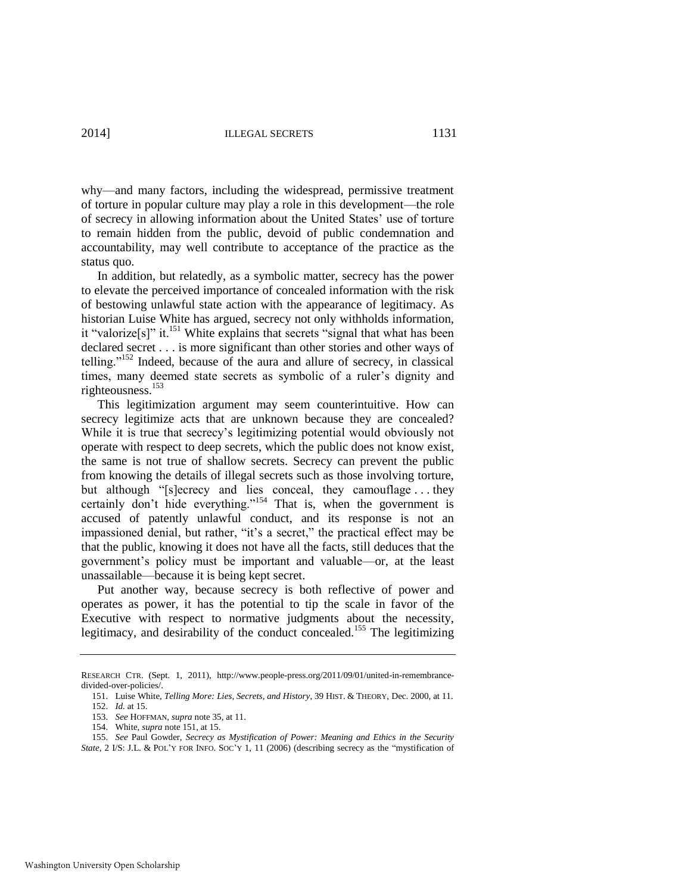why—and many factors, including the widespread, permissive treatment of torture in popular culture may play a role in this development—the role of secrecy in allowing information about the United States' use of torture to remain hidden from the public, devoid of public condemnation and accountability, may well contribute to acceptance of the practice as the status quo.

<span id="page-33-0"></span>In addition, but relatedly, as a symbolic matter, secrecy has the power to elevate the perceived importance of concealed information with the risk of bestowing unlawful state action with the appearance of legitimacy. As historian Luise White has argued, secrecy not only withholds information, it "valorize[s]" it.<sup>151</sup> White explains that secrets "signal that what has been declared secret . . . is more significant than other stories and other ways of telling."<sup>152</sup> Indeed, because of the aura and allure of secrecy, in classical times, many deemed state secrets as symbolic of a ruler's dignity and righteousness.<sup>153</sup>

This legitimization argument may seem counterintuitive. How can secrecy legitimize acts that are unknown because they are concealed? While it is true that secrecy's legitimizing potential would obviously not operate with respect to deep secrets, which the public does not know exist, the same is not true of shallow secrets. Secrecy can prevent the public from knowing the details of illegal secrets such as those involving torture, but although "[s]ecrecy and lies conceal, they camouflage . . . they certainly don't hide everything."<sup>154</sup> That is, when the government is accused of patently unlawful conduct, and its response is not an impassioned denial, but rather, "it's a secret," the practical effect may be that the public, knowing it does not have all the facts, still deduces that the government's policy must be important and valuable—or, at the least unassailable—because it is being kept secret.

Put another way, because secrecy is both reflective of power and operates as power, it has the potential to tip the scale in favor of the Executive with respect to normative judgments about the necessity, legitimacy, and desirability of the conduct concealed.<sup>155</sup> The legitimizing

RESEARCH CTR. (Sept. 1, 2011), http://www.people-press.org/2011/09/01/united-in-remembrancedivided-over-policies/.

<sup>151.</sup> Luise White, *Telling More: Lies, Secrets, and History*, 39 HIST. & THEORY, Dec. 2000, at 11. 152. *Id.* at 15.

<sup>153.</sup> *See* HOFFMAN, *supra* not[e 35,](#page-10-0) at 11.

<sup>154.</sup> White, *supra* note [151,](#page-33-0) at 15.

<sup>155.</sup> *See* Paul Gowder, *Secrecy as Mystification of Power: Meaning and Ethics in the Security State*, 2 I/S: J.L. & POL'Y FOR INFO. SOC'Y 1, 11 (2006) (describing secrecy as the "mystification of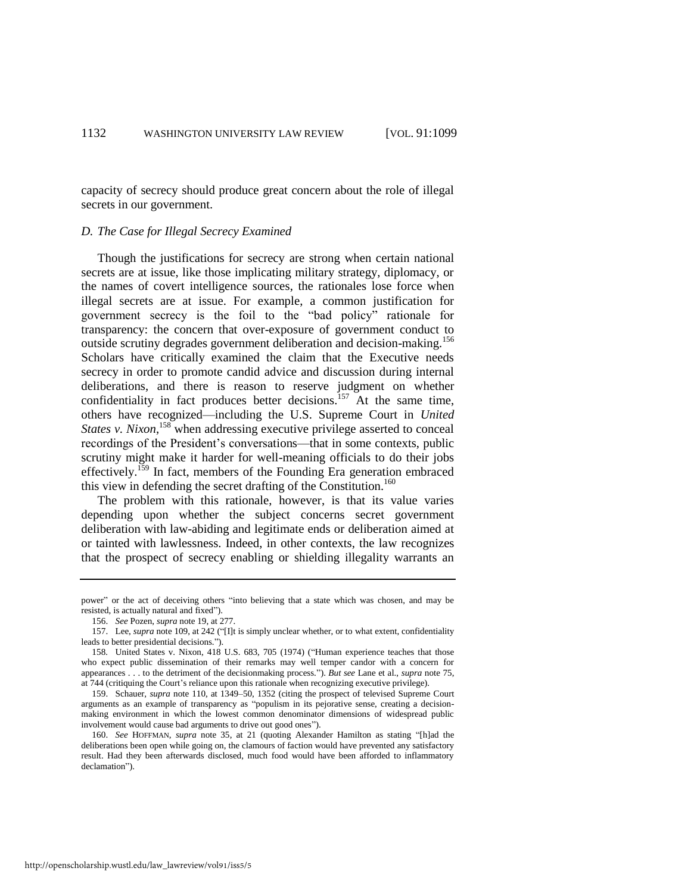capacity of secrecy should produce great concern about the role of illegal secrets in our government.

#### *D. The Case for Illegal Secrecy Examined*

Though the justifications for secrecy are strong when certain national secrets are at issue, like those implicating military strategy, diplomacy, or the names of covert intelligence sources, the rationales lose force when illegal secrets are at issue. For example, a common justification for government secrecy is the foil to the "bad policy" rationale for transparency: the concern that over-exposure of government conduct to outside scrutiny degrades government deliberation and decision-making.<sup>156</sup> Scholars have critically examined the claim that the Executive needs secrecy in order to promote candid advice and discussion during internal deliberations, and there is reason to reserve judgment on whether confidentiality in fact produces better decisions.<sup>157</sup> At the same time, others have recognized—including the U.S. Supreme Court in *United States v. Nixon*,<sup>158</sup> when addressing executive privilege asserted to conceal recordings of the President's conversations—that in some contexts, public scrutiny might make it harder for well-meaning officials to do their jobs effectively.<sup>159</sup> In fact, members of the Founding Era generation embraced this view in defending the secret drafting of the Constitution.<sup>160</sup>

<span id="page-34-0"></span>The problem with this rationale, however, is that its value varies depending upon whether the subject concerns secret government deliberation with law-abiding and legitimate ends or deliberation aimed at or tainted with lawlessness. Indeed, in other contexts, the law recognizes that the prospect of secrecy enabling or shielding illegality warrants an

power" or the act of deceiving others "into believing that a state which was chosen, and may be resisted, is actually natural and fixed").

<sup>156.</sup> *See* Pozen, *supra* not[e 19,](#page-7-1) at 277.

<sup>157.</sup> Lee, *supra* not[e 109,](#page-24-1) at 242 ("[I]t is simply unclear whether, or to what extent, confidentiality leads to better presidential decisions.").

<sup>158</sup>*.* United States v. Nixon, 418 U.S. 683, 705 (1974) ("Human experience teaches that those who expect public dissemination of their remarks may well temper candor with a concern for appearances . . . to the detriment of the decisionmaking process."). *But see* Lane et al., *supra* not[e 75,](#page-17-0)  at 744 (critiquing the Court's reliance upon this rationale when recognizing executive privilege).

<sup>159.</sup> Schauer, *supra* note [110,](#page-24-0) at 1349–50, 1352 (citing the prospect of televised Supreme Court arguments as an example of transparency as "populism in its pejorative sense, creating a decisionmaking environment in which the lowest common denominator dimensions of widespread public involvement would cause bad arguments to drive out good ones").

<sup>160.</sup> *See* HOFFMAN, *supra* note [35,](#page-10-0) at 21 (quoting Alexander Hamilton as stating "[h]ad the deliberations been open while going on, the clamours of faction would have prevented any satisfactory result. Had they been afterwards disclosed, much food would have been afforded to inflammatory declamation").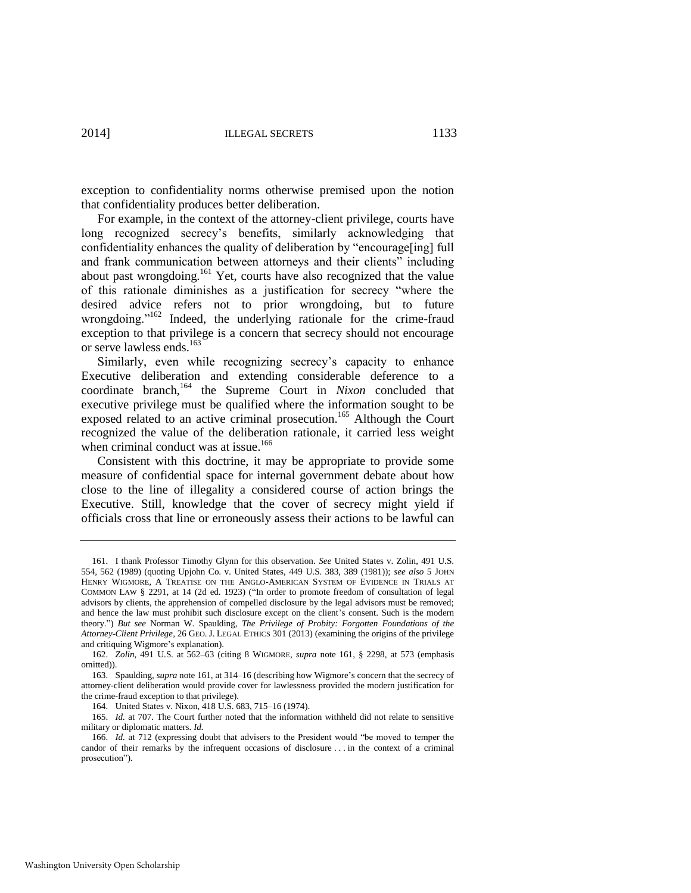exception to confidentiality norms otherwise premised upon the notion that confidentiality produces better deliberation.

<span id="page-35-0"></span>For example, in the context of the attorney-client privilege, courts have long recognized secrecy's benefits, similarly acknowledging that confidentiality enhances the quality of deliberation by "encourage[ing] full and frank communication between attorneys and their clients" including about past wrongdoing.<sup>161</sup> Yet, courts have also recognized that the value of this rationale diminishes as a justification for secrecy "where the desired advice refers not to prior wrongdoing, but to future wrongdoing."<sup>162</sup> Indeed, the underlying rationale for the crime-fraud exception to that privilege is a concern that secrecy should not encourage or serve lawless ends.<sup>163</sup>

Similarly, even while recognizing secrecy's capacity to enhance Executive deliberation and extending considerable deference to a coordinate branch,<sup>164</sup> the Supreme Court in *Nixon* concluded that executive privilege must be qualified where the information sought to be exposed related to an active criminal prosecution.<sup>165</sup> Although the Court recognized the value of the deliberation rationale, it carried less weight when criminal conduct was at issue.<sup>166</sup>

Consistent with this doctrine, it may be appropriate to provide some measure of confidential space for internal government debate about how close to the line of illegality a considered course of action brings the Executive. Still, knowledge that the cover of secrecy might yield if officials cross that line or erroneously assess their actions to be lawful can

<sup>161.</sup> I thank Professor Timothy Glynn for this observation. *See* United States v. Zolin, 491 U.S. 554, 562 (1989) (quoting Upjohn Co. v. United States, 449 U.S. 383, 389 (1981)); *see also* 5 JOHN HENRY WIGMORE, A TREATISE ON THE ANGLO-AMERICAN SYSTEM OF EVIDENCE IN TRIALS AT COMMON LAW § 2291, at 14 (2d ed. 1923) ("In order to promote freedom of consultation of legal advisors by clients, the apprehension of compelled disclosure by the legal advisors must be removed; and hence the law must prohibit such disclosure except on the client's consent. Such is the modern theory.") *But see* Norman W. Spaulding, *The Privilege of Probity: Forgotten Foundations of the Attorney-Client Privilege*, 26 GEO. J. LEGAL ETHICS 301 (2013) (examining the origins of the privilege and critiquing Wigmore's explanation).

<sup>162.</sup> *Zolin*, 491 U.S. at 562–63 (citing 8 WIGMORE, *supra* note [161,](#page-35-0) § 2298, at 573 (emphasis omitted)).

<sup>163.</sup> Spaulding, *supra* note [161,](#page-35-0) at 314–16 (describing how Wigmore's concern that the secrecy of attorney-client deliberation would provide cover for lawlessness provided the modern justification for the crime-fraud exception to that privilege).

<sup>164.</sup> United States v. Nixon, 418 U.S. 683, 715–16 (1974).

<sup>165.</sup> *Id.* at 707. The Court further noted that the information withheld did not relate to sensitive military or diplomatic matters. *Id.*

<sup>166.</sup> *Id.* at 712 (expressing doubt that advisers to the President would "be moved to temper the candor of their remarks by the infrequent occasions of disclosure . . . in the context of a criminal prosecution").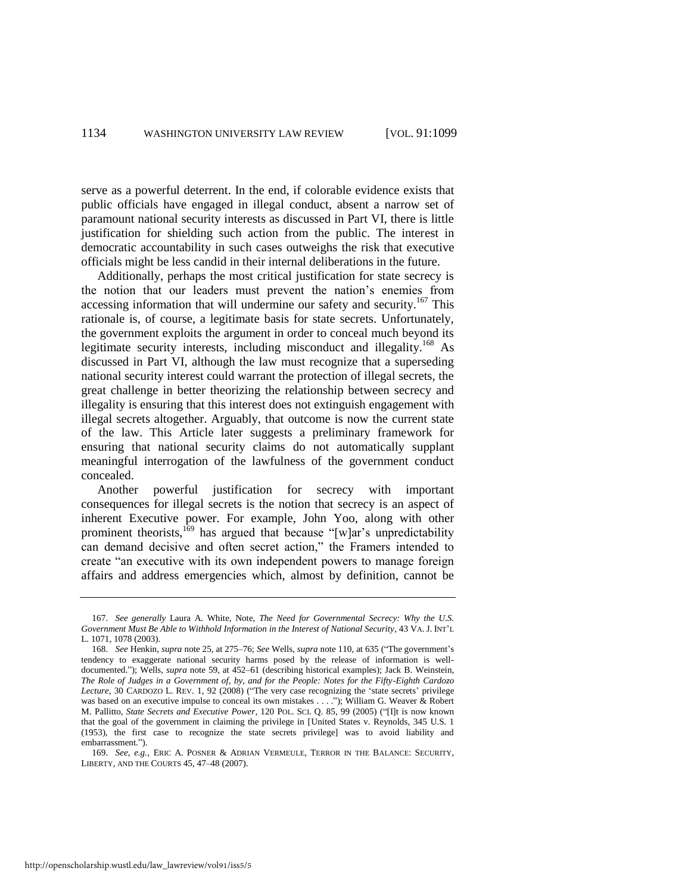serve as a powerful deterrent. In the end, if colorable evidence exists that public officials have engaged in illegal conduct, absent a narrow set of paramount national security interests as discussed in Part VI, there is little justification for shielding such action from the public. The interest in democratic accountability in such cases outweighs the risk that executive officials might be less candid in their internal deliberations in the future.

<span id="page-36-1"></span>Additionally, perhaps the most critical justification for state secrecy is the notion that our leaders must prevent the nation's enemies from accessing information that will undermine our safety and security.<sup>167</sup> This rationale is, of course, a legitimate basis for state secrets. Unfortunately, the government exploits the argument in order to conceal much beyond its legitimate security interests, including misconduct and illegality.<sup>168</sup> As discussed in Part VI, although the law must recognize that a superseding national security interest could warrant the protection of illegal secrets, the great challenge in better theorizing the relationship between secrecy and illegality is ensuring that this interest does not extinguish engagement with illegal secrets altogether. Arguably, that outcome is now the current state of the law. This Article later suggests a preliminary framework for ensuring that national security claims do not automatically supplant meaningful interrogation of the lawfulness of the government conduct concealed.

<span id="page-36-0"></span>Another powerful justification for secrecy with important consequences for illegal secrets is the notion that secrecy is an aspect of inherent Executive power. For example, John Yoo, along with other prominent theorists,<sup>169</sup> has argued that because "[w]ar's unpredictability can demand decisive and often secret action," the Framers intended to create "an executive with its own independent powers to manage foreign affairs and address emergencies which, almost by definition, cannot be

<sup>167.</sup> *See generally* Laura A. White, Note, *The Need for Governmental Secrecy: Why the U.S. Government Must Be Able to Withhold Information in the Interest of National Security*, 43 VA. J. INT'L L. 1071, 1078 (2003).

<sup>168.</sup> *See* Henkin, *supra* not[e 25,](#page-8-1) at 275–76; *See* Wells, *supra* not[e 110,](#page-24-0) at 635 ("The government's tendency to exaggerate national security harms posed by the release of information is welldocumented."); Wells, *supra* note [59,](#page-15-1) at 452–61 (describing historical examples); Jack B. Weinstein, *The Role of Judges in a Government of, by, and for the People: Notes for the Fifty-Eighth Cardozo Lecture*, 30 CARDOZO L. REV. 1, 92 (2008) ("The very case recognizing the 'state secrets' privilege was based on an executive impulse to conceal its own mistakes . . . ."); William G. Weaver & Robert M. Pallitto, *State Secrets and Executive Power*, 120 POL. SCI. Q. 85, 99 (2005) ("[I]t is now known that the goal of the government in claiming the privilege in [United States v. Reynolds, 345 U.S. 1 (1953), the first case to recognize the state secrets privilege] was to avoid liability and embarrassment.").

<sup>169.</sup> *See, e.g.*, ERIC A. POSNER & ADRIAN VERMEULE, TERROR IN THE BALANCE: SECURITY, LIBERTY, AND THE COURTS 45, 47–48 (2007).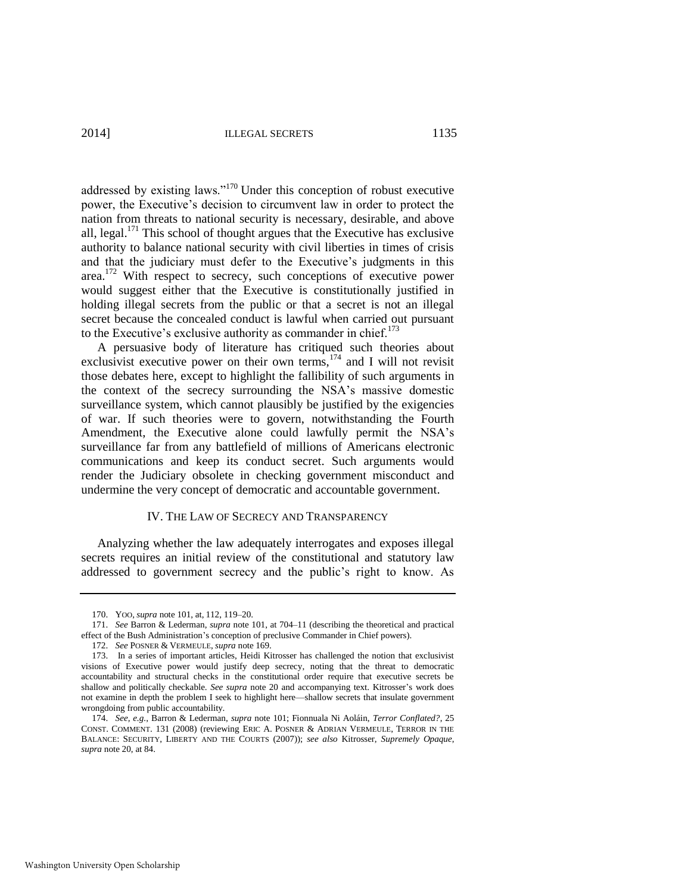2014] ILLEGAL SECRETS 1135

addressed by existing laws."<sup>170</sup> Under this conception of robust executive power, the Executive's decision to circumvent law in order to protect the nation from threats to national security is necessary, desirable, and above all, legal.<sup>171</sup> This school of thought argues that the Executive has exclusive authority to balance national security with civil liberties in times of crisis and that the judiciary must defer to the Executive's judgments in this area.<sup>172</sup> With respect to secrecy, such conceptions of executive power would suggest either that the Executive is constitutionally justified in holding illegal secrets from the public or that a secret is not an illegal secret because the concealed conduct is lawful when carried out pursuant to the Executive's exclusive authority as commander in chief.<sup>173</sup>

A persuasive body of literature has critiqued such theories about exclusivist executive power on their own terms, $174$  and I will not revisit those debates here, except to highlight the fallibility of such arguments in the context of the secrecy surrounding the NSA's massive domestic surveillance system, which cannot plausibly be justified by the exigencies of war. If such theories were to govern, notwithstanding the Fourth Amendment, the Executive alone could lawfully permit the NSA's surveillance far from any battlefield of millions of Americans electronic communications and keep its conduct secret. Such arguments would render the Judiciary obsolete in checking government misconduct and undermine the very concept of democratic and accountable government.

#### IV. THE LAW OF SECRECY AND TRANSPARENCY

Analyzing whether the law adequately interrogates and exposes illegal secrets requires an initial review of the constitutional and statutory law addressed to government secrecy and the public's right to know. As

<sup>170.</sup> YOO, *supra* not[e 101,](#page-22-0) at, 112, 119–20.

<sup>171.</sup> *See* Barron & Lederman, *supra* note [101,](#page-22-0) at 704–11 (describing the theoretical and practical effect of the Bush Administration's conception of preclusive Commander in Chief powers).

<sup>172.</sup> *See* POSNER & VERMEULE, *supra* not[e 169.](#page-36-0) 

<sup>173.</sup> In a series of important articles, Heidi Kitrosser has challenged the notion that exclusivist visions of Executive power would justify deep secrecy, noting that the threat to democratic accountability and structural checks in the constitutional order require that executive secrets be shallow and politically checkable. *See supra* note [20](#page-7-0) and accompanying text. Kitrosser's work does not examine in depth the problem I seek to highlight here—shallow secrets that insulate government wrongdoing from public accountability.

<sup>174.</sup> *See, e.g.*, Barron & Lederman, *supra* note [101;](#page-22-0) Fionnuala Ni Aoláin, *Terror Conflated?*, 25 CONST. COMMENT. 131 (2008) (reviewing ERIC A. POSNER & ADRIAN VERMEULE, TERROR IN THE BALANCE: SECURITY, LIBERTY AND THE COURTS (2007)); *see also* Kitrosser, *Supremely Opaque*, *supra* not[e 20,](#page-7-0) at 84.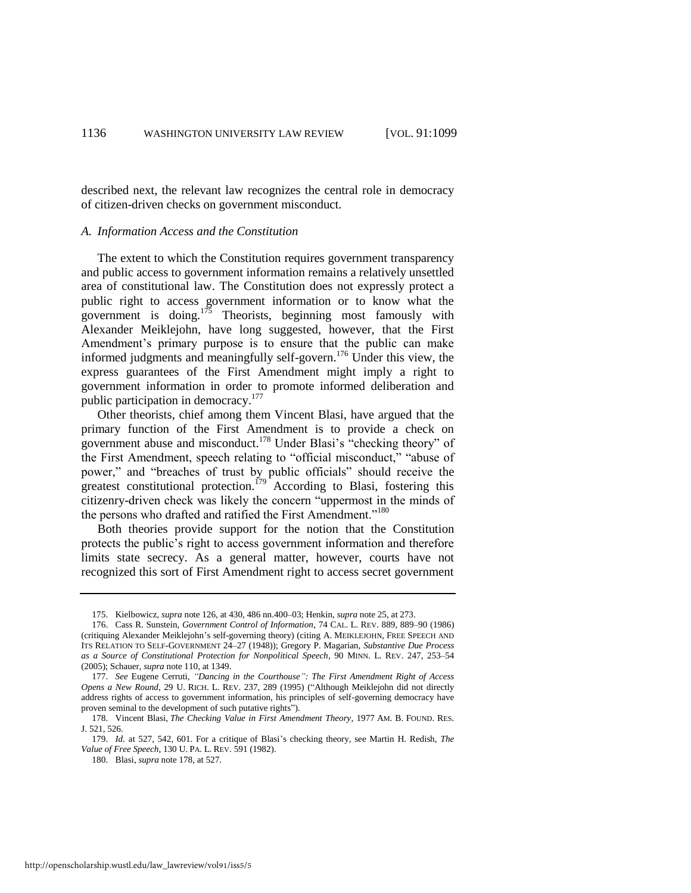described next, the relevant law recognizes the central role in democracy of citizen-driven checks on government misconduct.

#### *A. Information Access and the Constitution*

The extent to which the Constitution requires government transparency and public access to government information remains a relatively unsettled area of constitutional law. The Constitution does not expressly protect a public right to access government information or to know what the government is doing.<sup>175</sup> Theorists, beginning most famously with Alexander Meiklejohn, have long suggested, however, that the First Amendment's primary purpose is to ensure that the public can make informed judgments and meaningfully self-govern.<sup>176</sup> Under this view, the express guarantees of the First Amendment might imply a right to government information in order to promote informed deliberation and public participation in democracy.<sup>177</sup>

<span id="page-38-0"></span>Other theorists, chief among them Vincent Blasi, have argued that the primary function of the First Amendment is to provide a check on government abuse and misconduct.<sup>178</sup> Under Blasi's "checking theory" of the First Amendment, speech relating to "official misconduct," "abuse of power," and "breaches of trust by public officials" should receive the greatest constitutional protection.<sup>179</sup> According to Blasi, fostering this citizenry-driven check was likely the concern "uppermost in the minds of the persons who drafted and ratified the First Amendment."<sup>180</sup>

Both theories provide support for the notion that the Constitution protects the public's right to access government information and therefore limits state secrecy. As a general matter, however, courts have not recognized this sort of First Amendment right to access secret government

<sup>175.</sup> Kielbowicz, *supra* not[e 126,](#page-27-0) at 430, 486 nn.400–03; Henkin, *supra* not[e 25,](#page-8-1) at 273.

<sup>176.</sup> Cass R. Sunstein, *Government Control of Information*, 74 CAL. L. REV. 889, 889–90 (1986) (critiquing Alexander Meiklejohn's self-governing theory) (citing A. MEIKLEJOHN, FREE SPEECH AND ITS RELATION TO SELF-GOVERNMENT 24–27 (1948)); Gregory P. Magarian, *Substantive Due Process as a Source of Constitutional Protection for Nonpolitical Speech*, 90 MINN. L. REV. 247, 253–54 (2005); Schauer, *supra* not[e 110,](#page-24-0) at 1349.

<sup>177.</sup> *See* Eugene Cerruti, *"Dancing in the Courthouse": The First Amendment Right of Access Opens a New Round*, 29 U. RICH. L. REV. 237, 289 (1995) ("Although Meiklejohn did not directly address rights of access to government information, his principles of self-governing democracy have proven seminal to the development of such putative rights").

<sup>178.</sup> Vincent Blasi, *The Checking Value in First Amendment Theory*, 1977 AM. B. FOUND. RES. J. 521, 526.

<sup>179.</sup> *Id.* at 527, 542, 601. For a critique of Blasi's checking theory, see Martin H. Redish, *The Value of Free Speech*, 130 U. PA. L. REV. 591 (1982).

<sup>180.</sup> Blasi, *supra* not[e 178,](#page-38-0) at 527.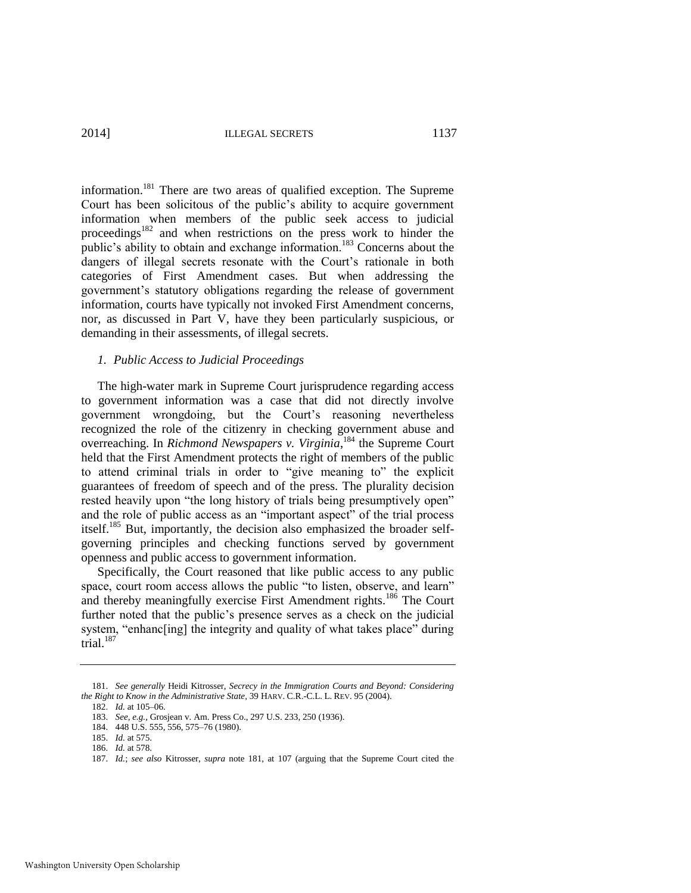2014] ILLEGAL SECRETS 1137

<span id="page-39-0"></span>information.<sup>181</sup> There are two areas of qualified exception. The Supreme Court has been solicitous of the public's ability to acquire government information when members of the public seek access to judicial proceedings<sup>182</sup> and when restrictions on the press work to hinder the public's ability to obtain and exchange information.<sup>183</sup> Concerns about the dangers of illegal secrets resonate with the Court's rationale in both categories of First Amendment cases. But when addressing the government's statutory obligations regarding the release of government information, courts have typically not invoked First Amendment concerns, nor, as discussed in Part V, have they been particularly suspicious, or demanding in their assessments, of illegal secrets.

#### *1. Public Access to Judicial Proceedings*

The high-water mark in Supreme Court jurisprudence regarding access to government information was a case that did not directly involve government wrongdoing, but the Court's reasoning nevertheless recognized the role of the citizenry in checking government abuse and overreaching. In *Richmond Newspapers v. Virginia*, <sup>184</sup> the Supreme Court held that the First Amendment protects the right of members of the public to attend criminal trials in order to "give meaning to" the explicit guarantees of freedom of speech and of the press. The plurality decision rested heavily upon "the long history of trials being presumptively open" and the role of public access as an "important aspect" of the trial process itself.<sup>185</sup> But, importantly, the decision also emphasized the broader selfgoverning principles and checking functions served by government openness and public access to government information.

Specifically, the Court reasoned that like public access to any public space, court room access allows the public "to listen, observe, and learn" and thereby meaningfully exercise First Amendment rights.<sup>186</sup> The Court further noted that the public's presence serves as a check on the judicial system, "enhanceling] the integrity and quality of what takes place" during trial. $187$ 

<sup>181.</sup> *See generally* Heidi Kitrosser, *Secrecy in the Immigration Courts and Beyond: Considering the Right to Know in the Administrative State*, 39 HARV. C.R.-C.L. L. REV. 95 (2004).

<sup>182.</sup> *Id.* at 105–06.

<sup>183.</sup> *See, e.g.*, Grosjean v. Am. Press Co., 297 U.S. 233, 250 (1936).

<sup>184. 448</sup> U.S. 555, 556, 575–76 (1980).

<sup>185.</sup> *Id.* at 575.

<sup>186.</sup> *Id.* at 578.

<sup>187.</sup> *Id.*; *see also* Kitrosser, *supra* note [181,](#page-39-0) at 107 (arguing that the Supreme Court cited the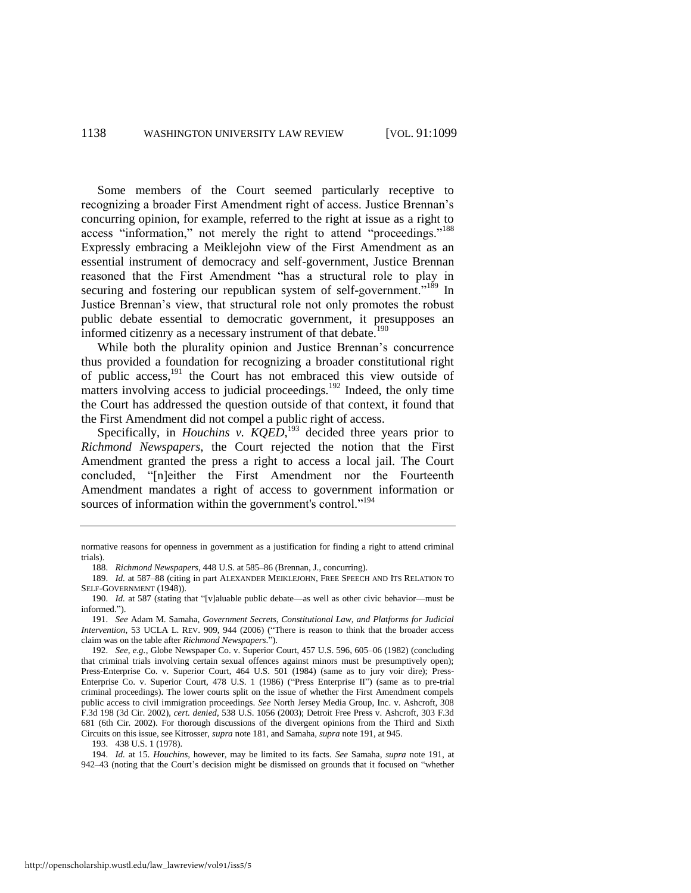Some members of the Court seemed particularly receptive to recognizing a broader First Amendment right of access. Justice Brennan's concurring opinion, for example, referred to the right at issue as a right to access "information," not merely the right to attend "proceedings."<sup>188</sup> Expressly embracing a Meiklejohn view of the First Amendment as an essential instrument of democracy and self-government, Justice Brennan reasoned that the First Amendment "has a structural role to play in securing and fostering our republican system of self-government."<sup>189</sup> In Justice Brennan's view, that structural role not only promotes the robust public debate essential to democratic government, it presupposes an informed citizenry as a necessary instrument of that debate.<sup>190</sup>

<span id="page-40-0"></span>While both the plurality opinion and Justice Brennan's concurrence thus provided a foundation for recognizing a broader constitutional right of public  $access$ ,<sup>191</sup>, the Court has not embraced this view outside of matters involving access to judicial proceedings.<sup>192</sup> Indeed, the only time the Court has addressed the question outside of that context, it found that the First Amendment did not compel a public right of access.

Specifically, in *Houchins v. KQED*,<sup>193</sup> decided three years prior to *Richmond Newspapers*, the Court rejected the notion that the First Amendment granted the press a right to access a local jail. The Court concluded, "[n]either the First Amendment nor the Fourteenth Amendment mandates a right of access to government information or sources of information within the government's control."<sup>194</sup>

193. 438 U.S. 1 (1978).

194. *Id.* at 15. *Houchins*, however, may be limited to its facts. *See* Samaha, *supra* note [191,](#page-40-0) at 942–43 (noting that the Court's decision might be dismissed on grounds that it focused on "whether

normative reasons for openness in government as a justification for finding a right to attend criminal trials).

<sup>188.</sup> *Richmond Newspapers*, 448 U.S. at 585–86 (Brennan, J., concurring).

<sup>189.</sup> *Id.* at 587–88 (citing in part ALEXANDER MEIKLEJOHN, FREE SPEECH AND ITS RELATION TO SELF-GOVERNMENT (1948)).

<sup>190.</sup> *Id.* at 587 (stating that "[v]aluable public debate—as well as other civic behavior—must be informed.").

<sup>191.</sup> *See* Adam M. Samaha, *Government Secrets, Constitutional Law, and Platforms for Judicial Intervention*, 53 UCLA L. REV. 909, 944 (2006) ("There is reason to think that the broader access claim was on the table after *Richmond Newspapers*.").

<sup>192.</sup> *See, e.g.*, Globe Newspaper Co. v. Superior Court, 457 U.S. 596, 605–06 (1982) (concluding that criminal trials involving certain sexual offences against minors must be presumptively open); Press-Enterprise Co. v. Superior Court, 464 U.S. 501 (1984) (same as to jury voir dire); Press-Enterprise Co. v. Superior Court, 478 U.S. 1 (1986) ("Press Enterprise II") (same as to pre-trial criminal proceedings). The lower courts split on the issue of whether the First Amendment compels public access to civil immigration proceedings. *See* North Jersey Media Group, Inc. v. Ashcroft, 308 F.3d 198 (3d Cir. 2002), *cert. denied*, 538 U.S. 1056 (2003); Detroit Free Press v. Ashcroft, 303 F.3d 681 (6th Cir. 2002). For thorough discussions of the divergent opinions from the Third and Sixth Circuits on this issue, see Kitrosser, *supra* not[e 181,](#page-39-0) and Samaha, *supra* not[e 191,](#page-40-0) at 945.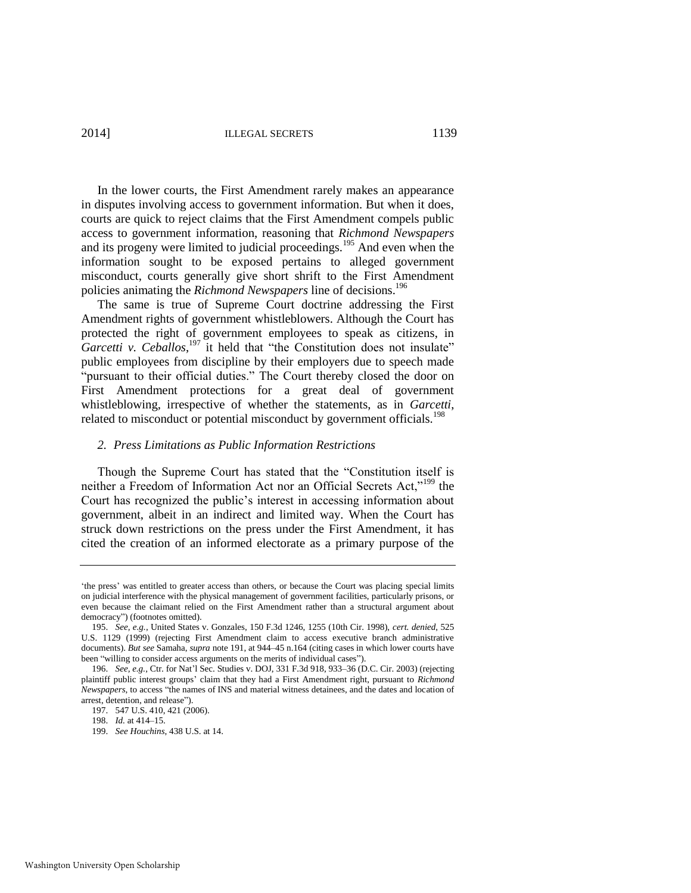2014] ILLEGAL SECRETS 1139

In the lower courts, the First Amendment rarely makes an appearance in disputes involving access to government information. But when it does, courts are quick to reject claims that the First Amendment compels public access to government information, reasoning that *Richmond Newspapers*  and its progeny were limited to judicial proceedings.<sup>195</sup> And even when the information sought to be exposed pertains to alleged government misconduct, courts generally give short shrift to the First Amendment policies animating the *Richmond Newspapers* line of decisions.<sup>196</sup>

The same is true of Supreme Court doctrine addressing the First Amendment rights of government whistleblowers. Although the Court has protected the right of government employees to speak as citizens, in Garcetti v. Ceballos,<sup>197</sup> it held that "the Constitution does not insulate" public employees from discipline by their employers due to speech made "pursuant to their official duties." The Court thereby closed the door on First Amendment protections for a great deal of government whistleblowing, irrespective of whether the statements, as in *Garcetti*, related to misconduct or potential misconduct by government officials.<sup>198</sup>

#### *2. Press Limitations as Public Information Restrictions*

Though the Supreme Court has stated that the "Constitution itself is neither a Freedom of Information Act nor an Official Secrets Act,"<sup>199</sup> the Court has recognized the public's interest in accessing information about government, albeit in an indirect and limited way. When the Court has struck down restrictions on the press under the First Amendment, it has cited the creation of an informed electorate as a primary purpose of the

<sup>&#</sup>x27;the press' was entitled to greater access than others, or because the Court was placing special limits on judicial interference with the physical management of government facilities, particularly prisons, or even because the claimant relied on the First Amendment rather than a structural argument about democracy") (footnotes omitted).

<sup>195.</sup> *See, e.g.*, United States v. Gonzales, 150 F.3d 1246, 1255 (10th Cir. 1998), *cert. denied*, 525 U.S. 1129 (1999) (rejecting First Amendment claim to access executive branch administrative documents). *But see* Samaha, *supra* not[e 191,](#page-40-0) at 944–45 n.164 (citing cases in which lower courts have been "willing to consider access arguments on the merits of individual cases").

<sup>196.</sup> *See, e.g.*, Ctr. for Nat'l Sec. Studies v. DOJ, 331 F.3d 918, 933–36 (D.C. Cir. 2003) (rejecting plaintiff public interest groups' claim that they had a First Amendment right, pursuant to *Richmond Newspapers*, to access "the names of INS and material witness detainees, and the dates and location of arrest, detention, and release").

<sup>197. 547</sup> U.S. 410, 421 (2006).

<sup>198.</sup> *Id.* at 414–15.

<sup>199.</sup> *See Houchins*, 438 U.S. at 14.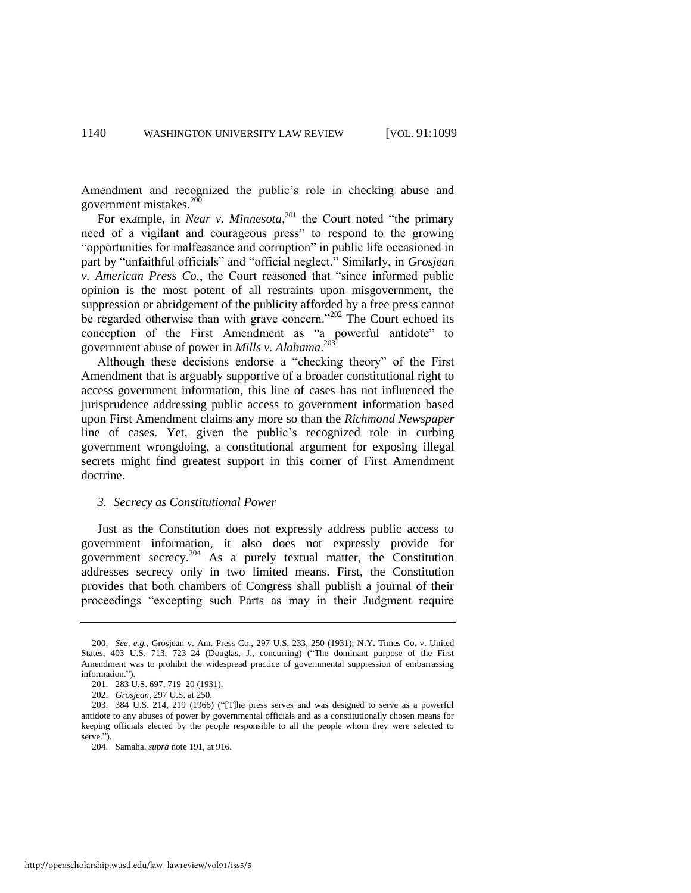Amendment and recognized the public's role in checking abuse and government mistakes. $200$ 

For example, in *Near v. Minnesota*,<sup>201</sup> the Court noted "the primary need of a vigilant and courageous press" to respond to the growing "opportunities for malfeasance and corruption" in public life occasioned in part by "unfaithful officials" and "official neglect." Similarly, in *Grosjean v. American Press Co.*, the Court reasoned that "since informed public opinion is the most potent of all restraints upon misgovernment, the suppression or abridgement of the publicity afforded by a free press cannot be regarded otherwise than with grave concern."<sup>202</sup> The Court echoed its conception of the First Amendment as "a powerful antidote" to government abuse of power in *Mills v. Alabama*. 203

Although these decisions endorse a "checking theory" of the First Amendment that is arguably supportive of a broader constitutional right to access government information, this line of cases has not influenced the jurisprudence addressing public access to government information based upon First Amendment claims any more so than the *Richmond Newspaper*  line of cases. Yet, given the public's recognized role in curbing government wrongdoing, a constitutional argument for exposing illegal secrets might find greatest support in this corner of First Amendment doctrine.

#### *3. Secrecy as Constitutional Power*

Just as the Constitution does not expressly address public access to government information, it also does not expressly provide for government secrecy.<sup>204</sup> As a purely textual matter, the Constitution addresses secrecy only in two limited means. First, the Constitution provides that both chambers of Congress shall publish a journal of their proceedings "excepting such Parts as may in their Judgment require

<sup>200.</sup> *See, e.g.*, Grosjean v. Am. Press Co., 297 U.S. 233, 250 (1931); N.Y. Times Co. v. United States, 403 U.S. 713, 723–24 (Douglas, J., concurring) ("The dominant purpose of the First Amendment was to prohibit the widespread practice of governmental suppression of embarrassing information.").

<sup>201. 283</sup> U.S. 697, 719–20 (1931).

<sup>202.</sup> *Grosjean*, 297 U.S. at 250.

<sup>203. 384</sup> U.S. 214, 219 (1966) ("[T]he press serves and was designed to serve as a powerful antidote to any abuses of power by governmental officials and as a constitutionally chosen means for keeping officials elected by the people responsible to all the people whom they were selected to serve."

<sup>204.</sup> Samaha, *supra* not[e 191,](#page-40-0) at 916.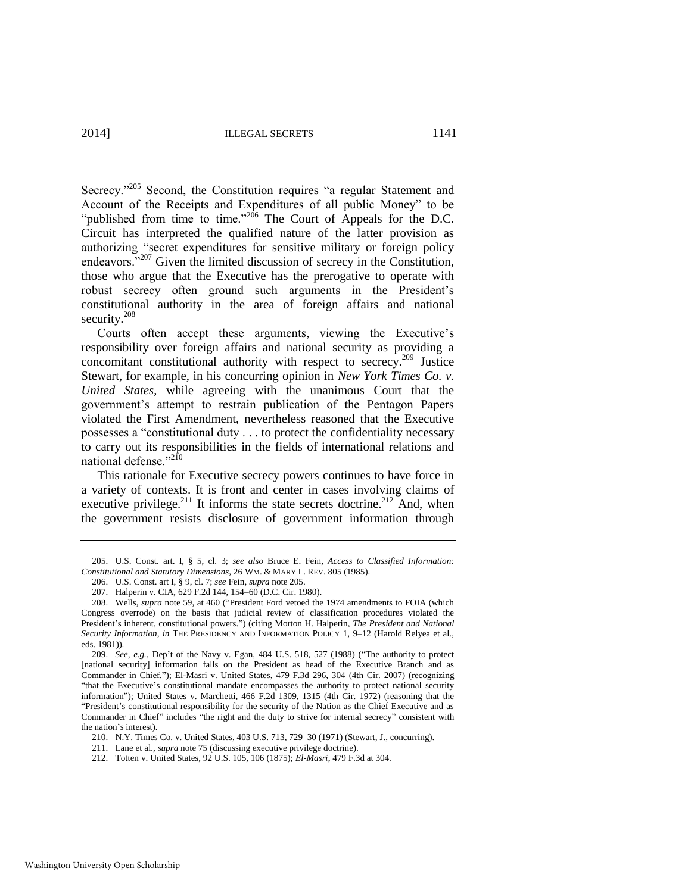<span id="page-43-0"></span>Secrecy."<sup>205</sup> Second, the Constitution requires "a regular Statement and Account of the Receipts and Expenditures of all public Money" to be "published from time to time."<sup>206</sup> The Court of Appeals for the D.C. Circuit has interpreted the qualified nature of the latter provision as authorizing "secret expenditures for sensitive military or foreign policy endeavors."<sup>207</sup> Given the limited discussion of secrecy in the Constitution, those who argue that the Executive has the prerogative to operate with robust secrecy often ground such arguments in the President's constitutional authority in the area of foreign affairs and national security.<sup>208</sup>

Courts often accept these arguments, viewing the Executive's responsibility over foreign affairs and national security as providing a concomitant constitutional authority with respect to secrecy.<sup>209</sup> Justice Stewart, for example, in his concurring opinion in *New York Times Co. v. United States*, while agreeing with the unanimous Court that the government's attempt to restrain publication of the Pentagon Papers violated the First Amendment, nevertheless reasoned that the Executive possesses a "constitutional duty . . . to protect the confidentiality necessary to carry out its responsibilities in the fields of international relations and national defense."<sup>210</sup>

This rationale for Executive secrecy powers continues to have force in a variety of contexts. It is front and center in cases involving claims of executive privilege.<sup>211</sup> It informs the state secrets doctrine.<sup>212</sup> And, when the government resists disclosure of government information through

<sup>205.</sup> U.S. Const. art. I, § 5, cl. 3; *see also* Bruce E. Fein, *Access to Classified Information: Constitutional and Statutory Dimensions*, 26 WM. & MARY L. REV. 805 (1985).

<sup>206.</sup> U.S. Const. art I, § 9, cl. 7; *see* Fein, *supra* not[e 205.](#page-43-0) 

<sup>207.</sup> Halperin v. CIA, 629 F.2d 144, 154–60 (D.C. Cir. 1980).

<sup>208.</sup> Wells, *supra* note [59,](#page-15-1) at 460 ("President Ford vetoed the 1974 amendments to FOIA (which Congress overrode) on the basis that judicial review of classification procedures violated the President's inherent, constitutional powers.") (citing Morton H. Halperin, *The President and National Security Information*, *in* THE PRESIDENCY AND INFORMATION POLICY 1, 9–12 (Harold Relyea et al., eds. 1981)).

<sup>209.</sup> *See, e.g.*, Dep't of the Navy v. Egan, 484 U.S. 518, 527 (1988) ("The authority to protect [national security] information falls on the President as head of the Executive Branch and as Commander in Chief."); El-Masri v. United States, 479 F.3d 296, 304 (4th Cir. 2007) (recognizing "that the Executive's constitutional mandate encompasses the authority to protect national security information"); United States v. Marchetti, 466 F.2d 1309, 1315 (4th Cir. 1972) (reasoning that the "President's constitutional responsibility for the security of the Nation as the Chief Executive and as Commander in Chief" includes "the right and the duty to strive for internal secrecy" consistent with the nation's interest).

<sup>210.</sup> N.Y. Times Co. v. United States, 403 U.S. 713, 729–30 (1971) (Stewart, J., concurring).

<sup>211.</sup> Lane et al., *supra* note [75 \(](#page-17-0)discussing executive privilege doctrine).

<sup>212.</sup> Totten v. United States, 92 U.S. 105, 106 (1875); *El-Masri*, 479 F.3d at 304.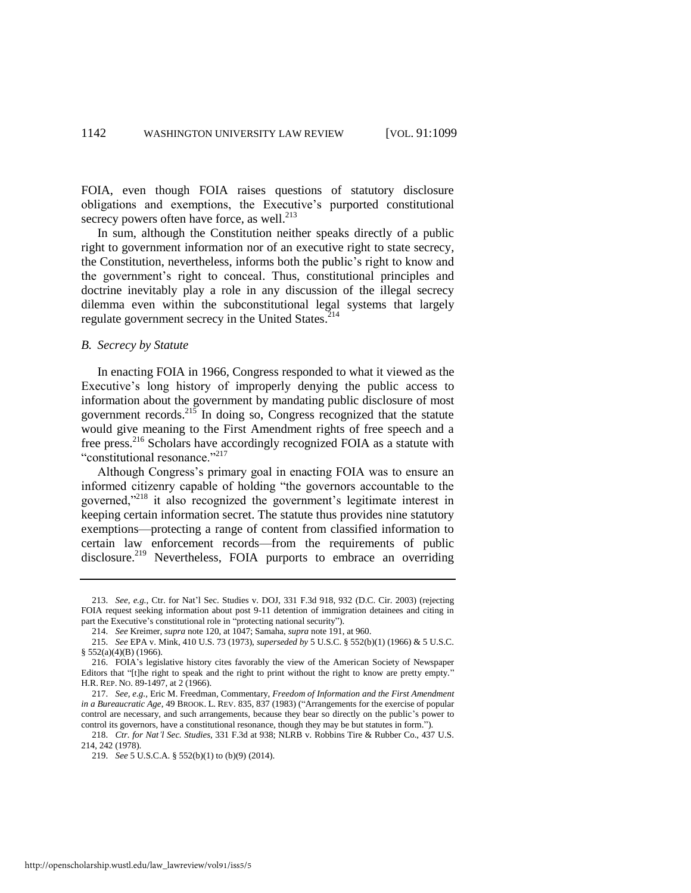FOIA, even though FOIA raises questions of statutory disclosure obligations and exemptions, the Executive's purported constitutional secrecy powers often have force, as well. $^{213}$ 

In sum, although the Constitution neither speaks directly of a public right to government information nor of an executive right to state secrecy, the Constitution, nevertheless, informs both the public's right to know and the government's right to conceal. Thus, constitutional principles and doctrine inevitably play a role in any discussion of the illegal secrecy dilemma even within the subconstitutional legal systems that largely regulate government secrecy in the United States.<sup>214</sup>

#### *B. Secrecy by Statute*

In enacting FOIA in 1966, Congress responded to what it viewed as the Executive's long history of improperly denying the public access to information about the government by mandating public disclosure of most government records.<sup>215</sup> In doing so, Congress recognized that the statute would give meaning to the First Amendment rights of free speech and a free press.<sup>216</sup> Scholars have accordingly recognized FOIA as a statute with "constitutional resonance."<sup>217</sup>

<span id="page-44-0"></span>Although Congress's primary goal in enacting FOIA was to ensure an informed citizenry capable of holding "the governors accountable to the governed,"<sup>218</sup> it also recognized the government's legitimate interest in keeping certain information secret. The statute thus provides nine statutory exemptions—protecting a range of content from classified information to certain law enforcement records—from the requirements of public disclosure.<sup>219</sup> Nevertheless, FOIA purports to embrace an overriding

<sup>213.</sup> *See, e.g.*, Ctr. for Nat'l Sec. Studies v. DOJ, 331 F.3d 918, 932 (D.C. Cir. 2003) (rejecting FOIA request seeking information about post 9-11 detention of immigration detainees and citing in part the Executive's constitutional role in "protecting national security").

<sup>214.</sup> *See* Kreimer, *supra* not[e 120,](#page-26-0) at 1047; Samaha, *supra* not[e 191,](#page-40-0) at 960.

<sup>215.</sup> *See* EPA v. Mink, 410 U.S. 73 (1973), *superseded by* 5 U.S.C. § 552(b)(1) (1966) & 5 U.S.C. § 552(a)(4)(B) (1966).

<sup>216.</sup> FOIA's legislative history cites favorably the view of the American Society of Newspaper Editors that "[t]he right to speak and the right to print without the right to know are pretty empty." H.R. REP. NO. 89-1497, at 2 (1966).

<sup>217.</sup> *See, e.g.*, Eric M. Freedman, Commentary, *Freedom of Information and the First Amendment in a Bureaucratic Age*, 49 BROOK. L. REV. 835, 837 (1983) ("Arrangements for the exercise of popular control are necessary, and such arrangements, because they bear so directly on the public's power to control its governors, have a constitutional resonance, though they may be but statutes in form.").

<sup>218.</sup> *Ctr. for Nat'l Sec. Studies*, 331 F.3d at 938; NLRB v. Robbins Tire & Rubber Co., 437 U.S. 214, 242 (1978).

<sup>219.</sup> *See* 5 U.S.C.A. § 552(b)(1) to (b)(9) (2014).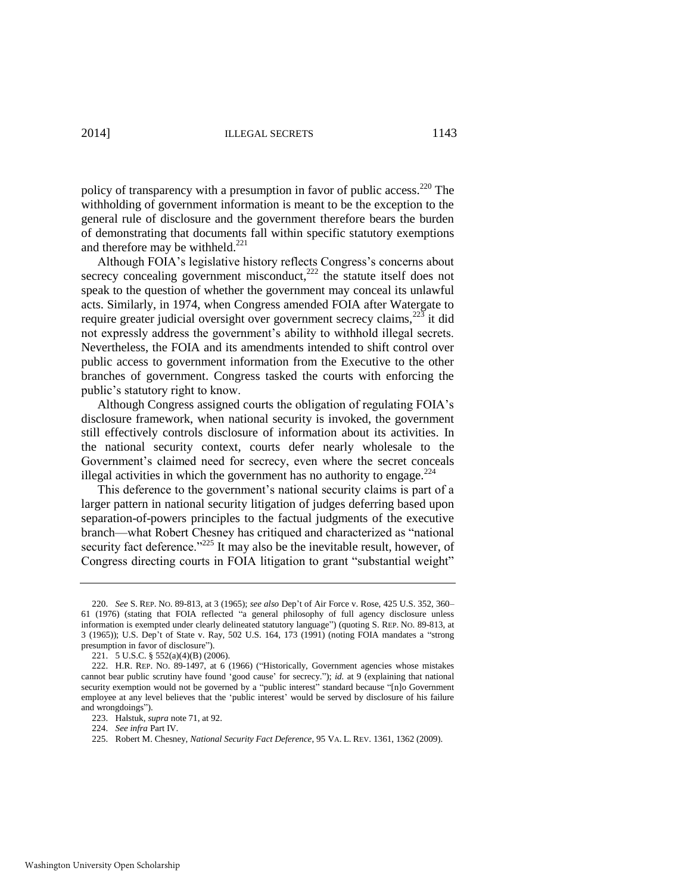policy of transparency with a presumption in favor of public access.<sup>220</sup> The withholding of government information is meant to be the exception to the general rule of disclosure and the government therefore bears the burden of demonstrating that documents fall within specific statutory exemptions and therefore may be withheld. $^{221}$ 

Although FOIA's legislative history reflects Congress's concerns about secrecy concealing government misconduct, $^{222}$  the statute itself does not speak to the question of whether the government may conceal its unlawful acts. Similarly, in 1974, when Congress amended FOIA after Watergate to require greater judicial oversight over government secrecy claims, $^{223}$  it did not expressly address the government's ability to withhold illegal secrets. Nevertheless, the FOIA and its amendments intended to shift control over public access to government information from the Executive to the other branches of government. Congress tasked the courts with enforcing the public's statutory right to know.

Although Congress assigned courts the obligation of regulating FOIA's disclosure framework, when national security is invoked, the government still effectively controls disclosure of information about its activities. In the national security context, courts defer nearly wholesale to the Government's claimed need for secrecy, even where the secret conceals illegal activities in which the government has no authority to engage.<sup> $224$ </sup>

This deference to the government's national security claims is part of a larger pattern in national security litigation of judges deferring based upon separation-of-powers principles to the factual judgments of the executive branch—what Robert Chesney has critiqued and characterized as "national security fact deference."<sup>225</sup> It may also be the inevitable result, however, of Congress directing courts in FOIA litigation to grant "substantial weight"

<sup>220.</sup> *See* S. REP. NO. 89-813, at 3 (1965); *see also* Dep't of Air Force v. Rose, 425 U.S. 352, 360– 61 (1976) (stating that FOIA reflected "a general philosophy of full agency disclosure unless information is exempted under clearly delineated statutory language") (quoting S. REP. NO. 89-813, at 3 (1965)); U.S. Dep't of State v. Ray, 502 U.S. 164, 173 (1991) (noting FOIA mandates a "strong presumption in favor of disclosure").

<sup>221. 5</sup> U.S.C. § 552(a)(4)(B) (2006).

<sup>222.</sup> H.R. REP. NO. 89-1497, at 6 (1966) ("Historically, Government agencies whose mistakes cannot bear public scrutiny have found 'good cause' for secrecy."); *id.* at 9 (explaining that national security exemption would not be governed by a "public interest" standard because "[n]o Government employee at any level believes that the 'public interest' would be served by disclosure of his failure and wrongdoings").

<sup>223.</sup> Halstuk, *supra* not[e 71,](#page-16-0) at 92.

<sup>224.</sup> *See infra* Part IV.

<sup>225.</sup> Robert M. Chesney, *National Security Fact Deference*, 95 VA. L. REV. 1361, 1362 (2009).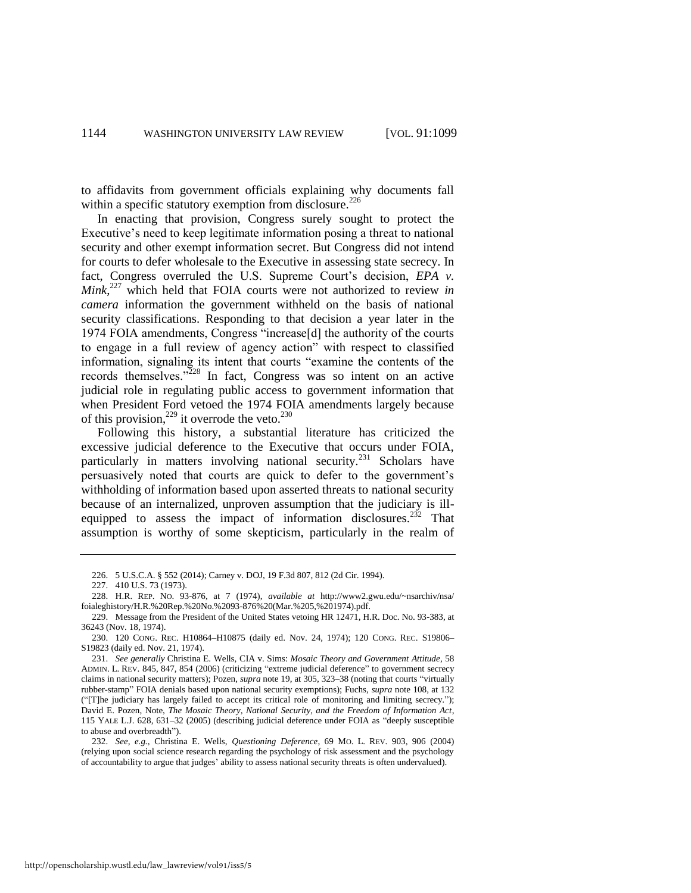to affidavits from government officials explaining why documents fall within a specific statutory exemption from disclosure.<sup>226</sup>

In enacting that provision, Congress surely sought to protect the Executive's need to keep legitimate information posing a threat to national security and other exempt information secret. But Congress did not intend for courts to defer wholesale to the Executive in assessing state secrecy. In fact, Congress overruled the U.S. Supreme Court's decision, *EPA v. Mink*, <sup>227</sup> which held that FOIA courts were not authorized to review *in camera* information the government withheld on the basis of national security classifications. Responding to that decision a year later in the 1974 FOIA amendments, Congress "increase[d] the authority of the courts to engage in a full review of agency action" with respect to classified information, signaling its intent that courts "examine the contents of the records themselves."<sup>228</sup> In fact, Congress was so intent on an active judicial role in regulating public access to government information that when President Ford vetoed the 1974 FOIA amendments largely because of this provision,<sup>229</sup> it overrode the veto.<sup>230</sup>

<span id="page-46-0"></span>Following this history, a substantial literature has criticized the excessive judicial deference to the Executive that occurs under FOIA, particularly in matters involving national security.<sup>231</sup> Scholars have persuasively noted that courts are quick to defer to the government's withholding of information based upon asserted threats to national security because of an internalized, unproven assumption that the judiciary is illequipped to assess the impact of information disclosures.<sup>232</sup> That assumption is worthy of some skepticism, particularly in the realm of

<sup>226. 5</sup> U.S.C.A. § 552 (2014); Carney v. DOJ, 19 F.3d 807, 812 (2d Cir. 1994).

<sup>227. 410</sup> U.S. 73 (1973).

<sup>228.</sup> H.R. REP. NO. 93-876, at 7 (1974), *available at* http://www2.gwu.edu/~nsarchiv/nsa/ foialeghistory/H.R.%20Rep.%20No.%2093-876%20(Mar.%205,%201974).pdf.

<sup>229.</sup> Message from the President of the United States vetoing HR 12471, H.R. Doc. No. 93-383, at 36243 (Nov. 18, 1974).

<sup>230. 120</sup> CONG. REC. H10864–H10875 (daily ed. Nov. 24, 1974); 120 CONG. REC. S19806– S19823 (daily ed. Nov. 21, 1974).

<sup>231.</sup> *See generally* Christina E. Wells*,* CIA v. Sims: *Mosaic Theory and Government Attitude*, 58 ADMIN. L. REV. 845, 847, 854 (2006) (criticizing "extreme judicial deference" to government secrecy claims in national security matters); Pozen, *supra* note [19,](#page-7-1) at 305, 323–38 (noting that courts "virtually rubber-stamp" FOIA denials based upon national security exemptions); Fuchs, *supra* note [108,](#page-24-2) at 132 ("[T]he judiciary has largely failed to accept its critical role of monitoring and limiting secrecy."); David E. Pozen, Note, *The Mosaic Theory, National Security, and the Freedom of Information Act*, 115 YALE L.J. 628, 631–32 (2005) (describing judicial deference under FOIA as "deeply susceptible to abuse and overbreadth").

<sup>232.</sup> *See, e.g.*, Christina E. Wells, *Questioning Deference*, 69 MO. L. REV. 903, 906 (2004) (relying upon social science research regarding the psychology of risk assessment and the psychology of accountability to argue that judges' ability to assess national security threats is often undervalued).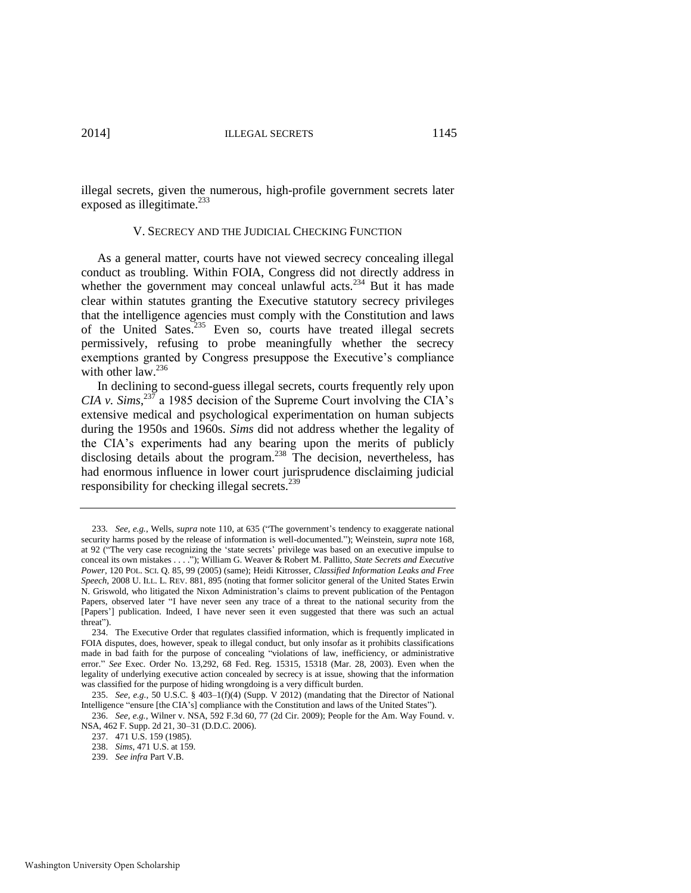illegal secrets, given the numerous, high-profile government secrets later exposed as illegitimate.<sup>233</sup>

#### <span id="page-47-0"></span>V. SECRECY AND THE JUDICIAL CHECKING FUNCTION

As a general matter, courts have not viewed secrecy concealing illegal conduct as troubling. Within FOIA, Congress did not directly address in whether the government may conceal unlawful acts.<sup>234</sup> But it has made clear within statutes granting the Executive statutory secrecy privileges that the intelligence agencies must comply with the Constitution and laws of the United Sates.<sup>235</sup> Even so, courts have treated illegal secrets permissively, refusing to probe meaningfully whether the secrecy exemptions granted by Congress presuppose the Executive's compliance with other law.<sup>236</sup>

In declining to second-guess illegal secrets, courts frequently rely upon *CIA v. Sims*,<sup>237</sup> a 1985 decision of the Supreme Court involving the CIA's extensive medical and psychological experimentation on human subjects during the 1950s and 1960s. *Sims* did not address whether the legality of the CIA's experiments had any bearing upon the merits of publicly disclosing details about the program.<sup>238</sup> The decision, nevertheless, has had enormous influence in lower court jurisprudence disclaiming judicial responsibility for checking illegal secrets.<sup>239</sup>

<sup>233</sup>*. See, e.g.*, Wells, *supra* not[e 110,](#page-24-0) at 635 ("The government's tendency to exaggerate national security harms posed by the release of information is well-documented."); Weinstein, *supra* not[e 168,](#page-36-1)  at 92 ("The very case recognizing the 'state secrets' privilege was based on an executive impulse to conceal its own mistakes . . . ."); William G. Weaver & Robert M. Pallitto, *State Secrets and Executive Power*, 120 POL. SCI. Q. 85, 99 (2005) (same); Heidi Kitrosser, *Classified Information Leaks and Free Speech,* 2008 U. ILL. L. REV. 881, 895 (noting that former solicitor general of the United States Erwin N. Griswold, who litigated the Nixon Administration's claims to prevent publication of the Pentagon Papers, observed later "I have never seen any trace of a threat to the national security from the [Papers'] publication. Indeed, I have never seen it even suggested that there was such an actual threat").

<sup>234.</sup> The Executive Order that regulates classified information, which is frequently implicated in FOIA disputes, does, however, speak to illegal conduct, but only insofar as it prohibits classifications made in bad faith for the purpose of concealing "violations of law, inefficiency, or administrative error." *See* Exec. Order No. 13,292, 68 Fed. Reg. 15315, 15318 (Mar. 28, 2003). Even when the legality of underlying executive action concealed by secrecy is at issue, showing that the information was classified for the purpose of hiding wrongdoing is a very difficult burden.

<sup>235.</sup> *See, e.g.*, 50 U.S.C. § 403–1(f)(4) (Supp. V 2012) (mandating that the Director of National Intelligence "ensure [the CIA's] compliance with the Constitution and laws of the United States").

<sup>236.</sup> *See, e.g.*, Wilner v. NSA, 592 F.3d 60, 77 (2d Cir. 2009); People for the Am. Way Found. v. NSA, 462 F. Supp. 2d 21, 30–31 (D.D.C. 2006).

<sup>237. 471</sup> U.S. 159 (1985).

<sup>238.</sup> *Sims*, 471 U.S. at 159.

<sup>239.</sup> *See infra* Part V.B.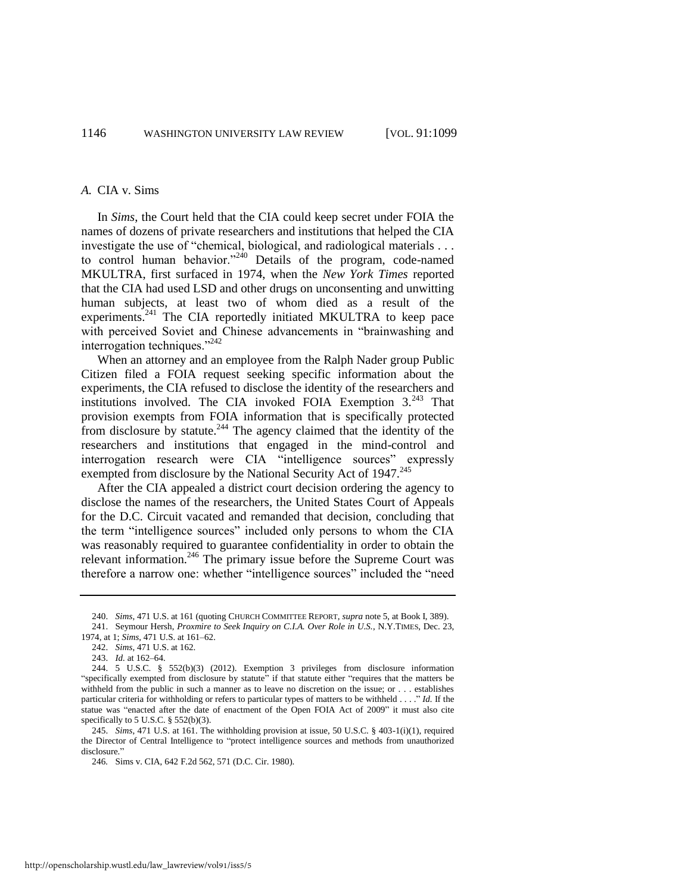#### *A.* CIA v. Sims

In *Sims*, the Court held that the CIA could keep secret under FOIA the names of dozens of private researchers and institutions that helped the CIA investigate the use of "chemical, biological, and radiological materials . . . to control human behavior."<sup>240</sup> Details of the program, code-named MKULTRA, first surfaced in 1974, when the *New York Times* reported that the CIA had used LSD and other drugs on unconsenting and unwitting human subjects, at least two of whom died as a result of the experiments.<sup>241</sup> The CIA reportedly initiated MKULTRA to keep pace with perceived Soviet and Chinese advancements in "brainwashing and interrogation techniques."<sup>242</sup>

When an attorney and an employee from the Ralph Nader group Public Citizen filed a FOIA request seeking specific information about the experiments, the CIA refused to disclose the identity of the researchers and institutions involved. The CIA invoked FOIA Exemption  $3.^{243}$  That provision exempts from FOIA information that is specifically protected from disclosure by statute.<sup>244</sup> The agency claimed that the identity of the researchers and institutions that engaged in the mind-control and interrogation research were CIA "intelligence sources" expressly exempted from disclosure by the National Security Act of 1947.<sup>245</sup>

After the CIA appealed a district court decision ordering the agency to disclose the names of the researchers, the United States Court of Appeals for the D.C. Circuit vacated and remanded that decision, concluding that the term "intelligence sources" included only persons to whom the CIA was reasonably required to guarantee confidentiality in order to obtain the relevant information.<sup>246</sup> The primary issue before the Supreme Court was therefore a narrow one: whether "intelligence sources" included the "need

<sup>240.</sup> *Sims*, 471 U.S. at 161 (quoting CHURCH COMMITTEE REPORT, *supra* not[e 5,](#page-4-2) at Book I, 389).

<sup>241.</sup> Seymour Hersh, *Proxmire to Seek Inquiry on C.I.A. Over Role in U.S.*, N.Y.TIMES, Dec. 23, 1974, at 1; *Sims*, 471 U.S. at 161–62.

<sup>242.</sup> *Sims*, 471 U.S. at 162.

<sup>243.</sup> *Id.* at 162–64.

<sup>244. 5</sup> U.S.C. § 552(b)(3) (2012). Exemption 3 privileges from disclosure information "specifically exempted from disclosure by statute" if that statute either "requires that the matters be withheld from the public in such a manner as to leave no discretion on the issue; or . . . establishes particular criteria for withholding or refers to particular types of matters to be withheld . . . ." *Id.* If the statue was "enacted after the date of enactment of the Open FOIA Act of 2009" it must also cite specifically to 5 U.S.C. § 552(b)(3).

<sup>245.</sup> *Sims*, 471 U.S. at 161. The withholding provision at issue, 50 U.S.C. § 403-1(i)(1), required the Director of Central Intelligence to "protect intelligence sources and methods from unauthorized disclosure.'

<sup>246</sup>*.* Sims v. CIA, 642 F.2d 562, 571 (D.C. Cir. 1980).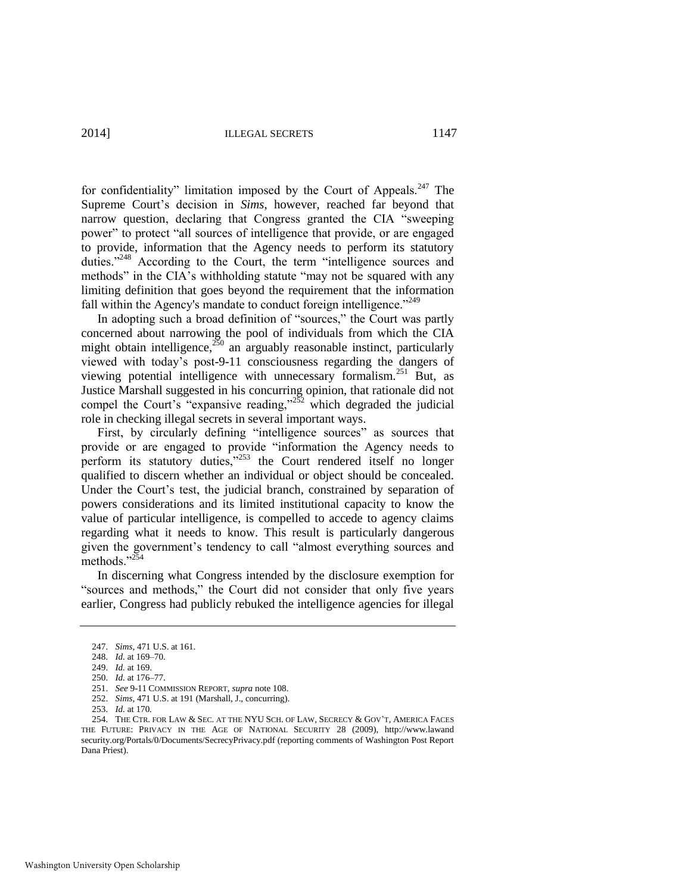2014] ILLEGAL SECRETS 1147

for confidentiality" limitation imposed by the Court of Appeals. $247$  The Supreme Court's decision in *Sims*, however, reached far beyond that narrow question, declaring that Congress granted the CIA "sweeping power" to protect "all sources of intelligence that provide, or are engaged to provide, information that the Agency needs to perform its statutory duties."<sup>248</sup> According to the Court, the term "intelligence sources and methods" in the CIA's withholding statute "may not be squared with any limiting definition that goes beyond the requirement that the information fall within the Agency's mandate to conduct foreign intelligence."<sup>249</sup>

In adopting such a broad definition of "sources," the Court was partly concerned about narrowing the pool of individuals from which the CIA might obtain intelligence,  $250$  an arguably reasonable instinct, particularly viewed with today's post-9-11 consciousness regarding the dangers of viewing potential intelligence with unnecessary formalism.<sup>251</sup> But, as Justice Marshall suggested in his concurring opinion, that rationale did not compel the Court's "expansive reading,"<sup>252</sup> which degraded the judicial role in checking illegal secrets in several important ways.

First, by circularly defining "intelligence sources" as sources that provide or are engaged to provide "information the Agency needs to perform its statutory duties," $253$  the Court rendered itself no longer qualified to discern whether an individual or object should be concealed. Under the Court's test, the judicial branch, constrained by separation of powers considerations and its limited institutional capacity to know the value of particular intelligence, is compelled to accede to agency claims regarding what it needs to know. This result is particularly dangerous given the government's tendency to call "almost everything sources and methods."<sup>254</sup>

In discerning what Congress intended by the disclosure exemption for "sources and methods," the Court did not consider that only five years earlier, Congress had publicly rebuked the intelligence agencies for illegal

<sup>247.</sup> *Sims*, 471 U.S. at 161.

<sup>248.</sup> *Id.* at 169–70.

<sup>249.</sup> *Id.* at 169.

<sup>250.</sup> *Id.* at 176–77.

<sup>251.</sup> *See* 9-11 COMMISSION REPORT, *supra* not[e 108.](#page-24-2)  252. *Sims*, 471 U.S. at 191 (Marshall, J., concurring)*.*

<sup>253.</sup> *Id.* at 170*.*

<sup>254.</sup> THE CTR. FOR LAW & SEC. AT THE NYU SCH. OF LAW, SECRECY & GOV'T, AMERICA FACES THE FUTURE: PRIVACY IN THE AGE OF NATIONAL SECURITY 28 (2009), http://www.lawand security.org/Portals/0/Documents/SecrecyPrivacy.pdf (reporting comments of Washington Post Report Dana Priest).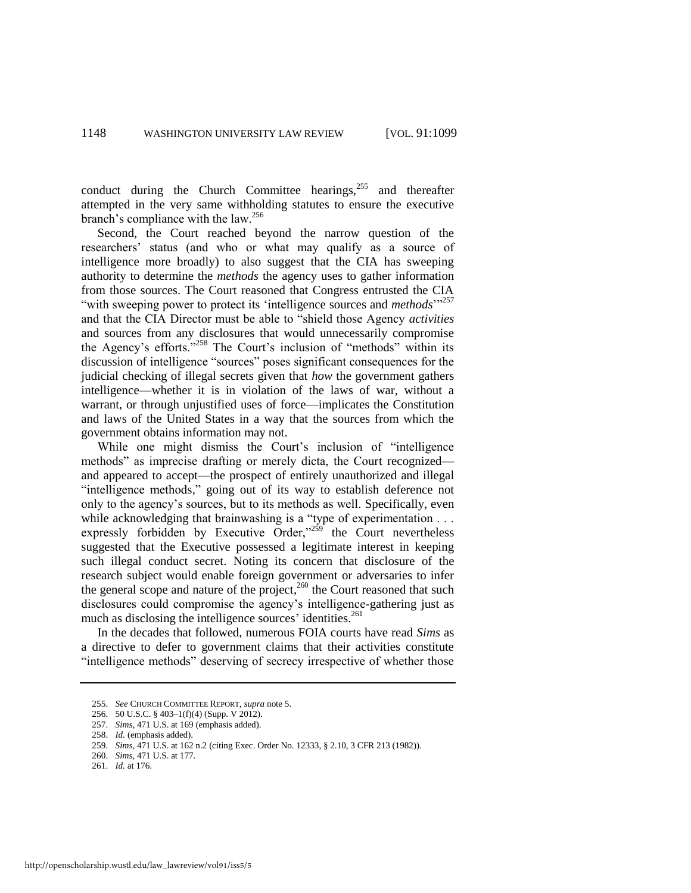conduct during the Church Committee hearings, $255$  and thereafter attempted in the very same withholding statutes to ensure the executive branch's compliance with the law.<sup>256</sup>

Second, the Court reached beyond the narrow question of the researchers' status (and who or what may qualify as a source of intelligence more broadly) to also suggest that the CIA has sweeping authority to determine the *methods* the agency uses to gather information from those sources. The Court reasoned that Congress entrusted the CIA "with sweeping power to protect its 'intelligence sources and *methods*"<sup>257</sup> and that the CIA Director must be able to "shield those Agency *activities* and sources from any disclosures that would unnecessarily compromise the Agency's efforts."<sup>258</sup> The Court's inclusion of "methods" within its discussion of intelligence "sources" poses significant consequences for the judicial checking of illegal secrets given that *how* the government gathers intelligence—whether it is in violation of the laws of war, without a warrant, or through unjustified uses of force—implicates the Constitution and laws of the United States in a way that the sources from which the government obtains information may not.

While one might dismiss the Court's inclusion of "intelligence methods" as imprecise drafting or merely dicta, the Court recognized and appeared to accept—the prospect of entirely unauthorized and illegal "intelligence methods," going out of its way to establish deference not only to the agency's sources, but to its methods as well. Specifically, even while acknowledging that brainwashing is a "type of experimentation . . . expressly forbidden by Executive Order," $259$  the Court nevertheless suggested that the Executive possessed a legitimate interest in keeping such illegal conduct secret. Noting its concern that disclosure of the research subject would enable foreign government or adversaries to infer the general scope and nature of the project,<sup>260</sup> the Court reasoned that such disclosures could compromise the agency's intelligence-gathering just as much as disclosing the intelligence sources' identities.<sup>261</sup>

In the decades that followed, numerous FOIA courts have read *Sims* as a directive to defer to government claims that their activities constitute "intelligence methods" deserving of secrecy irrespective of whether those

<sup>255.</sup> *See* CHURCH COMMITTEE REPORT, *supra* not[e 5.](#page-4-2)

<sup>256. 50</sup> U.S.C. § 403–1(f)(4) (Supp. V 2012).

<sup>257.</sup> *Sims*, 471 U.S. at 169 (emphasis added).

<sup>258.</sup> *Id.* (emphasis added).

<sup>259.</sup> *Sims*, 471 U.S. at 162 n.2 (citing Exec. Order No. 12333, § 2.10, 3 CFR 213 (1982)).

<sup>260.</sup> *Sims*, 471 U.S. at 177.

<sup>261.</sup> *Id.* at 176.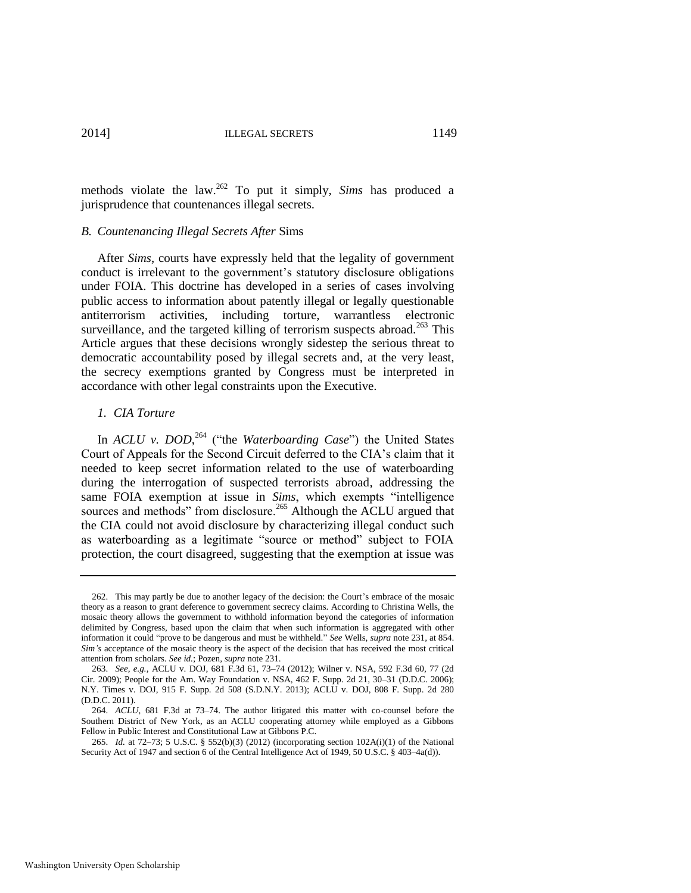methods violate the law.<sup>262</sup> To put it simply, *Sims* has produced a jurisprudence that countenances illegal secrets.

#### *B. Countenancing Illegal Secrets After* Sims

After *Sims*, courts have expressly held that the legality of government conduct is irrelevant to the government's statutory disclosure obligations under FOIA. This doctrine has developed in a series of cases involving public access to information about patently illegal or legally questionable antiterrorism activities, including torture, warrantless electronic surveillance, and the targeted killing of terrorism suspects abroad.<sup>263</sup> This Article argues that these decisions wrongly sidestep the serious threat to democratic accountability posed by illegal secrets and, at the very least, the secrecy exemptions granted by Congress must be interpreted in accordance with other legal constraints upon the Executive.

#### *1. CIA Torture*

In *ACLU v. DOD*, <sup>264</sup> ("the *Waterboarding Case*") the United States Court of Appeals for the Second Circuit deferred to the CIA's claim that it needed to keep secret information related to the use of waterboarding during the interrogation of suspected terrorists abroad, addressing the same FOIA exemption at issue in *Sims*, which exempts "intelligence sources and methods" from disclosure.<sup>265</sup> Although the ACLU argued that the CIA could not avoid disclosure by characterizing illegal conduct such as waterboarding as a legitimate "source or method" subject to FOIA protection, the court disagreed, suggesting that the exemption at issue was

<sup>262.</sup> This may partly be due to another legacy of the decision: the Court's embrace of the mosaic theory as a reason to grant deference to government secrecy claims. According to Christina Wells, the mosaic theory allows the government to withhold information beyond the categories of information delimited by Congress, based upon the claim that when such information is aggregated with other information it could "prove to be dangerous and must be withheld." *See* Wells, *supra* not[e 231,](#page-46-0) at 854. *Sim's* acceptance of the mosaic theory is the aspect of the decision that has received the most critical attention from scholars. *See id.*; Pozen, *supra* not[e 231.](#page-46-0) 

<sup>263.</sup> *See, e.g.*, ACLU v. DOJ, 681 F.3d 61, 73–74 (2012); Wilner v. NSA, 592 F.3d 60, 77 (2d Cir. 2009); People for the Am. Way Foundation v. NSA, 462 F. Supp. 2d 21, 30–31 (D.D.C. 2006); N.Y. Times v. DOJ, 915 F. Supp. 2d 508 (S.D.N.Y. 2013); ACLU v. DOJ, 808 F. Supp. 2d 280 (D.D.C. 2011).

<sup>264.</sup> *ACLU*, 681 F.3d at 73–74. The author litigated this matter with co-counsel before the Southern District of New York, as an ACLU cooperating attorney while employed as a Gibbons Fellow in Public Interest and Constitutional Law at Gibbons P.C.

<sup>265.</sup> *Id.* at 72–73; 5 U.S.C. § 552(b)(3) (2012) (incorporating section 102A(i)(1) of the National Security Act of 1947 and section 6 of the Central Intelligence Act of 1949, 50 U.S.C. § 403–4a(d)).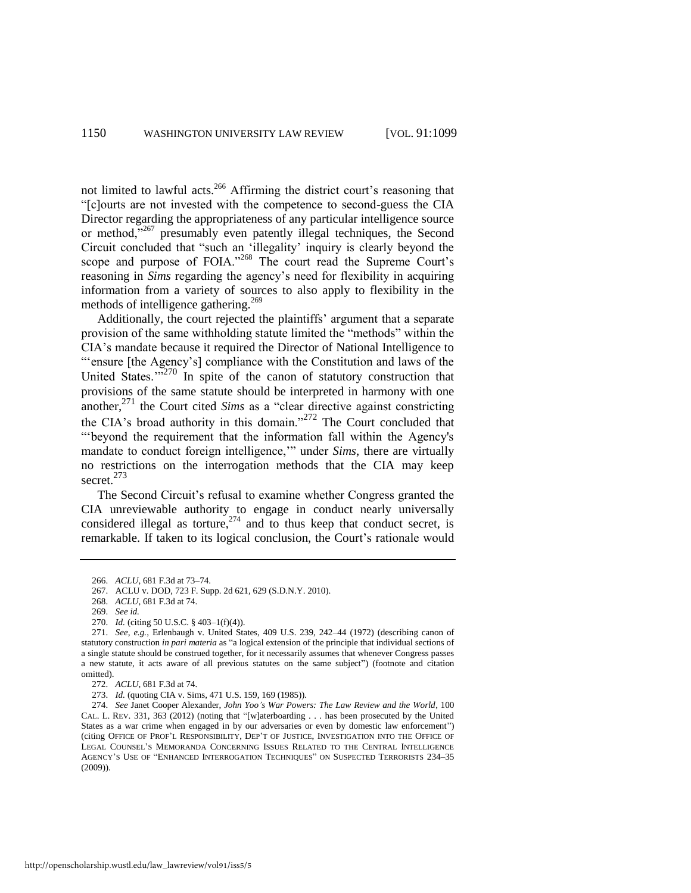not limited to lawful acts.<sup>266</sup> Affirming the district court's reasoning that "[c]ourts are not invested with the competence to second-guess the CIA Director regarding the appropriateness of any particular intelligence source or method,"<sup>267</sup> presumably even patently illegal techniques, the Second Circuit concluded that "such an 'illegality' inquiry is clearly beyond the scope and purpose of FOIA."<sup>268</sup> The court read the Supreme</sup> Court's reasoning in *Sims* regarding the agency's need for flexibility in acquiring information from a variety of sources to also apply to flexibility in the methods of intelligence gathering.<sup>269</sup>

Additionally, the court rejected the plaintiffs' argument that a separate provision of the same withholding statute limited the "methods" within the CIA's mandate because it required the Director of National Intelligence to "'ensure [the Agency's] compliance with the Constitution and laws of the United States. $12.270$  In spite of the canon of statutory construction that provisions of the same statute should be interpreted in harmony with one another,<sup>271</sup> the Court cited *Sims* as a "clear directive against constricting the CIA's broad authority in this domain."<sup>272</sup> The Court concluded that "'beyond the requirement that the information fall within the Agency's mandate to conduct foreign intelligence,'" under *Sims*, there are virtually no restrictions on the interrogation methods that the CIA may keep secret.<sup>273</sup>

The Second Circuit's refusal to examine whether Congress granted the CIA unreviewable authority to engage in conduct nearly universally considered illegal as torture,  $274$  and to thus keep that conduct secret, is remarkable. If taken to its logical conclusion, the Court's rationale would

<sup>266.</sup> *ACLU*, 681 F.3d at 73–74.

<sup>267.</sup> ACLU v. DOD, 723 F. Supp. 2d 621, 629 (S.D.N.Y. 2010).

<sup>268.</sup> *ACLU*, 681 F.3d at 74.

<sup>269.</sup> *See id.*

<sup>270.</sup> *Id.* (citing 50 U.S.C. § 403–1(f)(4)).

<sup>271.</sup> *See, e.g.*, Erlenbaugh v. United States, 409 U.S. 239, 242–44 (1972) (describing canon of statutory construction *in pari materia* as "a logical extension of the principle that individual sections of a single statute should be construed together, for it necessarily assumes that whenever Congress passes a new statute, it acts aware of all previous statutes on the same subject") (footnote and citation omitted).

<sup>272.</sup> *ACLU*, 681 F.3d at 74.

<sup>273.</sup> *Id.* (quoting CIA v. Sims, 471 U.S. 159, 169 (1985)).

<sup>274.</sup> *See* Janet Cooper Alexander, *John Yoo's War Powers: The Law Review and the World*, 100 CAL. L. REV. 331, 363 (2012) (noting that "[w]aterboarding . . . has been prosecuted by the United States as a war crime when engaged in by our adversaries or even by domestic law enforcement") (citing OFFICE OF PROF'L RESPONSIBILITY, DEP'T OF JUSTICE, INVESTIGATION INTO THE OFFICE OF LEGAL COUNSEL'S MEMORANDA CONCERNING ISSUES RELATED TO THE CENTRAL INTELLIGENCE AGENCY'S USE OF "ENHANCED INTERROGATION TECHNIQUES" ON SUSPECTED TERRORISTS 234–35 (2009)).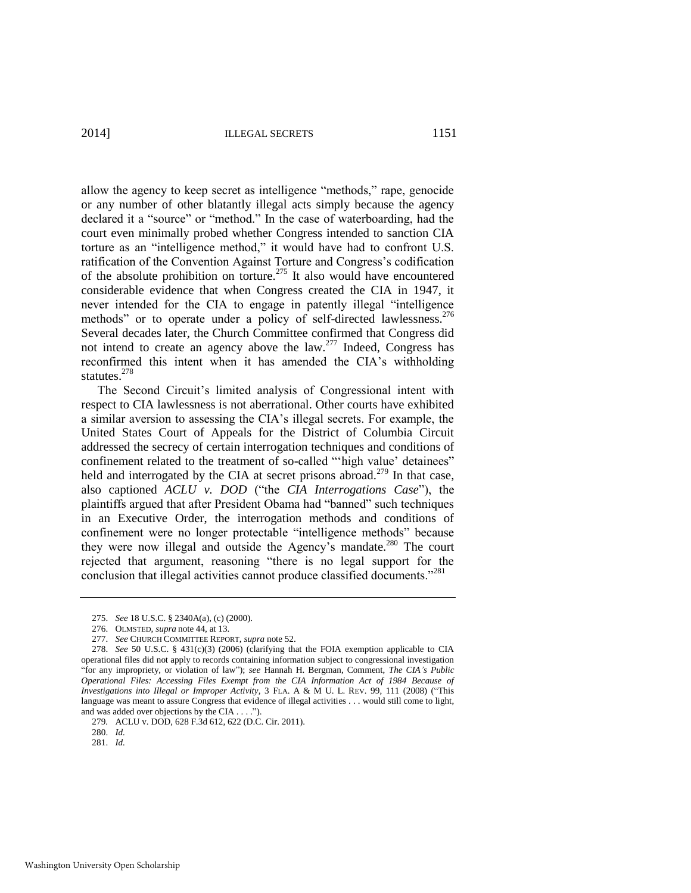2014] ILLEGAL SECRETS 1151

allow the agency to keep secret as intelligence "methods," rape, genocide or any number of other blatantly illegal acts simply because the agency declared it a "source" or "method." In the case of waterboarding, had the court even minimally probed whether Congress intended to sanction CIA torture as an "intelligence method," it would have had to confront U.S. ratification of the Convention Against Torture and Congress's codification of the absolute prohibition on torture.<sup>275</sup> It also would have encountered considerable evidence that when Congress created the CIA in 1947, it never intended for the CIA to engage in patently illegal "intelligence methods" or to operate under a policy of self-directed lawlessness.<sup>276</sup> Several decades later, the Church Committee confirmed that Congress did not intend to create an agency above the law.<sup>277</sup> Indeed, Congress has reconfirmed this intent when it has amended the CIA's withholding statutes.<sup>278</sup>

The Second Circuit's limited analysis of Congressional intent with respect to CIA lawlessness is not aberrational. Other courts have exhibited a similar aversion to assessing the CIA's illegal secrets. For example, the United States Court of Appeals for the District of Columbia Circuit addressed the secrecy of certain interrogation techniques and conditions of confinement related to the treatment of so-called "'high value' detainees" held and interrogated by the CIA at secret prisons abroad.<sup>279</sup> In that case, also captioned *ACLU v. DOD* ("the *CIA Interrogations Case*"), the plaintiffs argued that after President Obama had "banned" such techniques in an Executive Order, the interrogation methods and conditions of confinement were no longer protectable "intelligence methods" because they were now illegal and outside the Agency's mandate.<sup>280</sup> The court rejected that argument, reasoning "there is no legal support for the conclusion that illegal activities cannot produce classified documents.<sup>"281</sup>

281. *Id.*

<sup>275.</sup> *See* 18 U.S.C. § 2340A(a), (c) (2000).

<sup>276.</sup> OLMSTED, *supra* not[e 44,](#page-12-0) at 13.

<sup>277.</sup> *See* CHURCH COMMITTEE REPORT, *supra* not[e 52.](#page-13-2)

<sup>278.</sup> *See* 50 U.S.C. § 431(c)(3) (2006) (clarifying that the FOIA exemption applicable to CIA operational files did not apply to records containing information subject to congressional investigation "for any impropriety, or violation of law"); *see* Hannah H. Bergman, Comment, *The CIA's Public Operational Files: Accessing Files Exempt from the CIA Information Act of 1984 Because of Investigations into Illegal or Improper Activity*, 3 FLA. A & M U. L. REV. 99, 111 (2008) ("This language was meant to assure Congress that evidence of illegal activities . . . would still come to light, and was added over objections by the CIA . . . .").

<sup>279</sup>*.* ACLU v. DOD, 628 F.3d 612, 622 (D.C. Cir. 2011).

<sup>280.</sup> *Id.*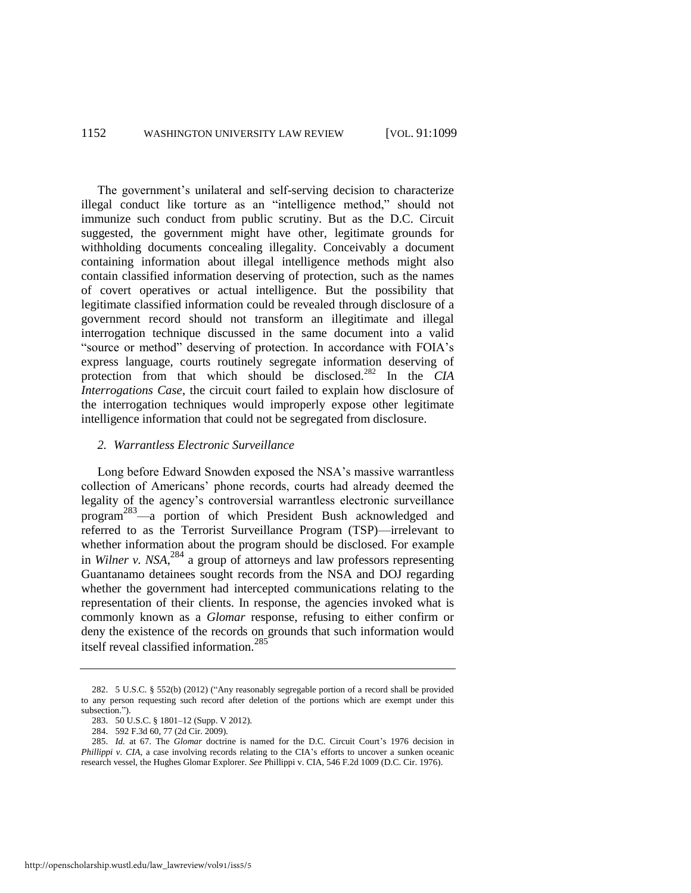The government's unilateral and self-serving decision to characterize illegal conduct like torture as an "intelligence method," should not immunize such conduct from public scrutiny. But as the D.C. Circuit suggested, the government might have other, legitimate grounds for withholding documents concealing illegality. Conceivably a document containing information about illegal intelligence methods might also contain classified information deserving of protection, such as the names of covert operatives or actual intelligence. But the possibility that legitimate classified information could be revealed through disclosure of a government record should not transform an illegitimate and illegal interrogation technique discussed in the same document into a valid "source or method" deserving of protection. In accordance with FOIA's express language, courts routinely segregate information deserving of protection from that which should be disclosed.<sup>282</sup> In the CIA *Interrogations Case*, the circuit court failed to explain how disclosure of the interrogation techniques would improperly expose other legitimate intelligence information that could not be segregated from disclosure.

#### *2. Warrantless Electronic Surveillance*

Long before Edward Snowden exposed the NSA's massive warrantless collection of Americans' phone records, courts had already deemed the legality of the agency's controversial warrantless electronic surveillance program<sup>283</sup>—a portion of which President Bush acknowledged and referred to as the Terrorist Surveillance Program (TSP)—irrelevant to whether information about the program should be disclosed. For example in *Wilner v. NSA*, <sup>284</sup> a group of attorneys and law professors representing Guantanamo detainees sought records from the NSA and DOJ regarding whether the government had intercepted communications relating to the representation of their clients. In response, the agencies invoked what is commonly known as a *Glomar* response, refusing to either confirm or deny the existence of the records on grounds that such information would itself reveal classified information.<sup>285</sup>

<sup>282. 5</sup> U.S.C. § 552(b) (2012) ("Any reasonably segregable portion of a record shall be provided to any person requesting such record after deletion of the portions which are exempt under this subsection.").

<sup>283. 50</sup> U.S.C. § 1801–12 (Supp. V 2012).

<sup>284. 592</sup> F.3d 60, 77 (2d Cir. 2009).

<sup>285.</sup> *Id.* at 67. The *Glomar* doctrine is named for the D.C. Circuit Court's 1976 decision in *Phillippi v. CIA*, a case involving records relating to the CIA's efforts to uncover a sunken oceanic research vessel, the Hughes Glomar Explorer. *See* Phillippi v. CIA, 546 F.2d 1009 (D.C. Cir. 1976).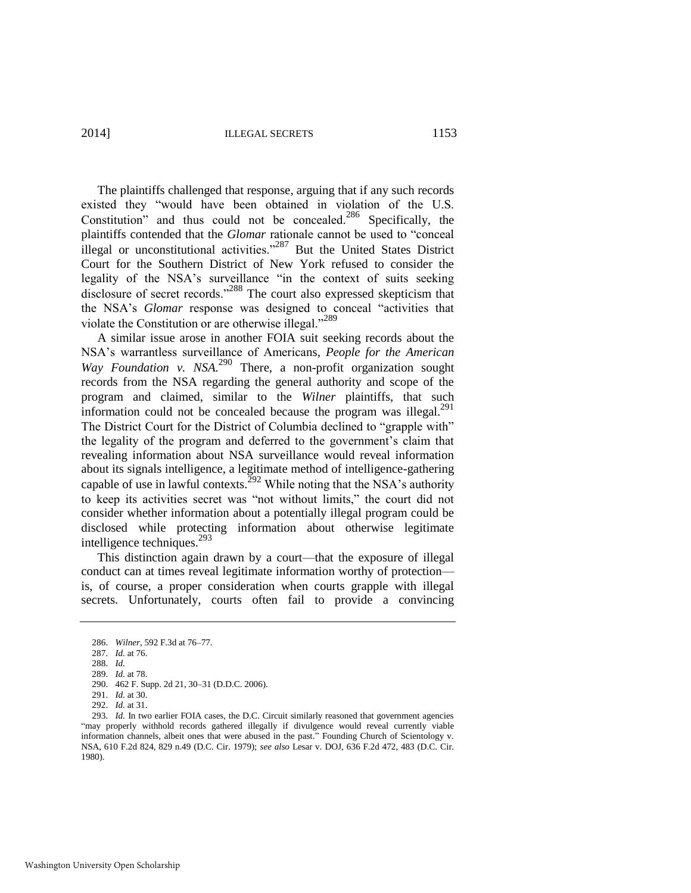2014] ILLEGAL SECRETS 1153

The plaintiffs challenged that response, arguing that if any such records existed they "would have been obtained in violation of the U.S. Constitution" and thus could not be concealed.<sup>286</sup> Specifically, the plaintiffs contended that the *Glomar* rationale cannot be used to "conceal illegal or unconstitutional activities."<sup>287</sup> But the United States District Court for the Southern District of New York refused to consider the legality of the NSA's surveillance "in the context of suits seeking disclosure of secret records."288 The court also expressed skepticism that the NSA's *Glomar* response was designed to conceal "activities that violate the Constitution or are otherwise illegal."<sup>289</sup>

A similar issue arose in another FOIA suit seeking records about the NSA's warrantless surveillance of Americans, *People for the American Way Foundation v. NSA.*<sup>290</sup> There, a non-profit organization sought records from the NSA regarding the general authority and scope of the program and claimed, similar to the *Wilner* plaintiffs, that such information could not be concealed because the program was illegal. $^{291}$ The District Court for the District of Columbia declined to "grapple with" the legality of the program and deferred to the government's claim that revealing information about NSA surveillance would reveal information about its signals intelligence, a legitimate method of intelligence-gathering capable of use in lawful contexts.<sup>292</sup> While noting that the NSA's authority to keep its activities secret was "not without limits," the court did not consider whether information about a potentially illegal program could be disclosed while protecting information about otherwise legitimate intelligence techniques.<sup>293</sup>

This distinction again drawn by a court—that the exposure of illegal conduct can at times reveal legitimate information worthy of protection is, of course, a proper consideration when courts grapple with illegal secrets. Unfortunately, courts often fail to provide a convincing

<sup>286.</sup> *Wilner*, 592 F.3d at 76–77.

<sup>287.</sup> *Id.* at 76.

<sup>288.</sup> *Id.*

<sup>289.</sup> *Id.* at 78.

<sup>290. 462</sup> F. Supp. 2d 21, 30–31 (D.D.C. 2006).

<sup>291.</sup> *Id.* at 30.

<sup>292.</sup> *Id.* at 31.

<sup>293.</sup> *Id.* In two earlier FOIA cases, the D.C. Circuit similarly reasoned that government agencies "may properly withhold records gathered illegally if divulgence would reveal currently viable information channels, albeit ones that were abused in the past." Founding Church of Scientology v. NSA, 610 F.2d 824, 829 n.49 (D.C. Cir. 1979); *see also* Lesar v. DOJ, 636 F.2d 472, 483 (D.C. Cir. 1980).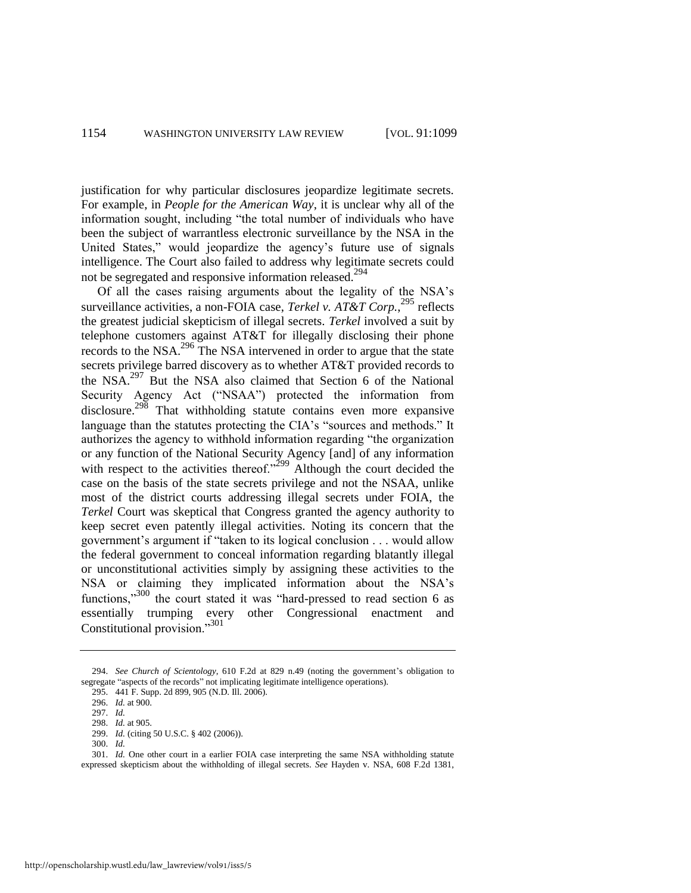justification for why particular disclosures jeopardize legitimate secrets. For example, in *People for the American Way*, it is unclear why all of the information sought, including "the total number of individuals who have been the subject of warrantless electronic surveillance by the NSA in the United States," would jeopardize the agency's future use of signals intelligence. The Court also failed to address why legitimate secrets could not be segregated and responsive information released.<sup>294</sup>

Of all the cases raising arguments about the legality of the NSA's surveillance activities, a non-FOIA case, *Terkel v. AT&T Corp.*<sup>295</sup> reflects the greatest judicial skepticism of illegal secrets. *Terkel* involved a suit by telephone customers against AT&T for illegally disclosing their phone records to the NSA.296 The NSA intervened in order to argue that the state secrets privilege barred discovery as to whether AT&T provided records to the NSA.<sup>297</sup> But the NSA also claimed that Section 6 of the National Security Agency Act ("NSAA") protected the information from disclosure.<sup>298</sup> That withholding statute contains even more expansive language than the statutes protecting the CIA's "sources and methods." It authorizes the agency to withhold information regarding "the organization or any function of the National Security Agency [and] of any information with respect to the activities thereof." $2^{299}$  Although the court decided the case on the basis of the state secrets privilege and not the NSAA, unlike most of the district courts addressing illegal secrets under FOIA, the *Terkel* Court was skeptical that Congress granted the agency authority to keep secret even patently illegal activities. Noting its concern that the government's argument if "taken to its logical conclusion . . . would allow the federal government to conceal information regarding blatantly illegal or unconstitutional activities simply by assigning these activities to the NSA or claiming they implicated information about the NSA's functions,"<sup>300</sup> the court stated it was "hard-pressed to read section 6 as essentially trumping every other Congressional enactment and Constitutional provision."<sup>301</sup>

<sup>294.</sup> *See Church of Scientology*, 610 F.2d at 829 n.49 (noting the government's obligation to segregate "aspects of the records" not implicating legitimate intelligence operations).

<sup>295. 441</sup> F. Supp. 2d 899, 905 (N.D. Ill. 2006).

<sup>296.</sup> *Id.* at 900.

<sup>297.</sup> *Id.*

<sup>298.</sup> *Id.* at 905.

<sup>299.</sup> *Id.* (citing 50 U.S.C. § 402 (2006)).

<sup>300.</sup> *Id.*

<sup>301.</sup> *Id.* One other court in a earlier FOIA case interpreting the same NSA withholding statute expressed skepticism about the withholding of illegal secrets. *See* Hayden v. NSA, 608 F.2d 1381,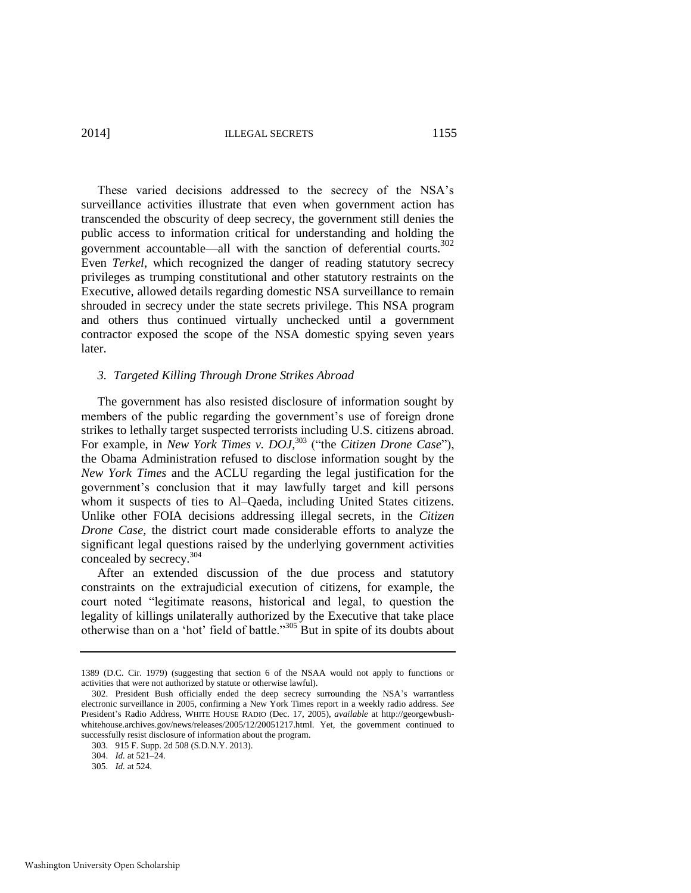2014] ILLEGAL SECRETS 1155

These varied decisions addressed to the secrecy of the NSA's surveillance activities illustrate that even when government action has transcended the obscurity of deep secrecy, the government still denies the public access to information critical for understanding and holding the government accountable—all with the sanction of deferential courts.<sup>302</sup> Even *Terkel*, which recognized the danger of reading statutory secrecy privileges as trumping constitutional and other statutory restraints on the Executive, allowed details regarding domestic NSA surveillance to remain shrouded in secrecy under the state secrets privilege. This NSA program and others thus continued virtually unchecked until a government contractor exposed the scope of the NSA domestic spying seven years later.

#### *3. Targeted Killing Through Drone Strikes Abroad*

The government has also resisted disclosure of information sought by members of the public regarding the government's use of foreign drone strikes to lethally target suspected terrorists including U.S. citizens abroad. For example, in *New York Times v. DOJ*,<sup>303</sup> ("the *Citizen Drone Case"*), the Obama Administration refused to disclose information sought by the *New York Times* and the ACLU regarding the legal justification for the government's conclusion that it may lawfully target and kill persons whom it suspects of ties to Al–Qaeda, including United States citizens. Unlike other FOIA decisions addressing illegal secrets, in the *Citizen Drone Case*, the district court made considerable efforts to analyze the significant legal questions raised by the underlying government activities concealed by secrecy.<sup>304</sup>

After an extended discussion of the due process and statutory constraints on the extrajudicial execution of citizens, for example, the court noted "legitimate reasons, historical and legal, to question the legality of killings unilaterally authorized by the Executive that take place otherwise than on a 'hot' field of battle."<sup>305</sup> But in spite of its doubts about

<sup>1389 (</sup>D.C. Cir. 1979) (suggesting that section 6 of the NSAA would not apply to functions or activities that were not authorized by statute or otherwise lawful).

<sup>302.</sup> President Bush officially ended the deep secrecy surrounding the NSA's warrantless electronic surveillance in 2005, confirming a New York Times report in a weekly radio address. *See*  President's Radio Address, WHITE HOUSE RADIO (Dec. 17, 2005), *available* at http://georgewbushwhitehouse.archives.gov/news/releases/2005/12/20051217.html. Yet, the government continued to successfully resist disclosure of information about the program.

<sup>303. 915</sup> F. Supp. 2d 508 (S.D.N.Y. 2013).

<sup>304.</sup> *Id.* at 521–24.

<sup>305.</sup> *Id.* at 524.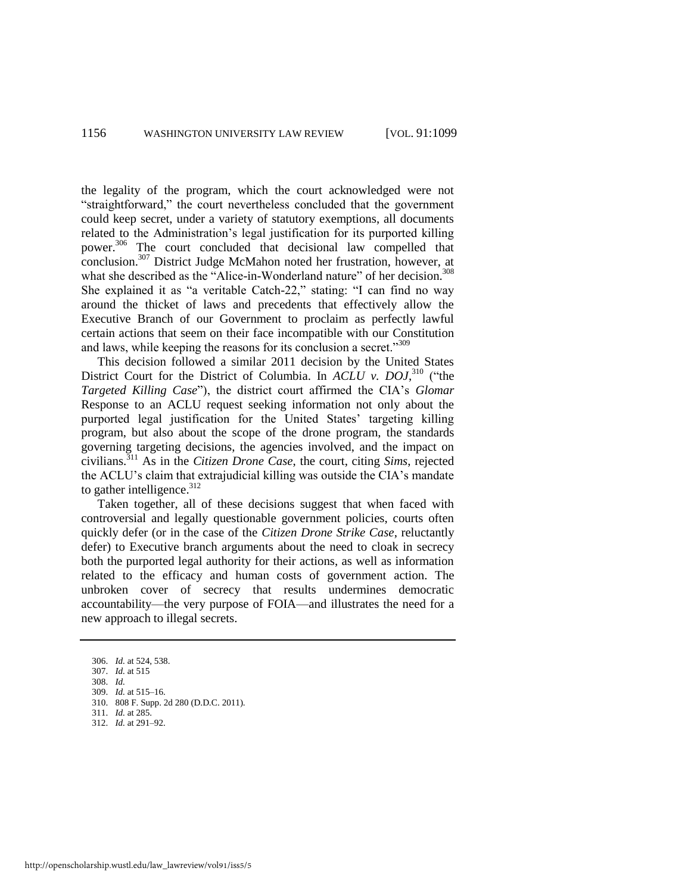the legality of the program, which the court acknowledged were not "straightforward," the court nevertheless concluded that the government could keep secret, under a variety of statutory exemptions, all documents related to the Administration's legal justification for its purported killing power.<sup>306</sup> The court concluded that decisional law compelled that conclusion.<sup>307</sup> District Judge McMahon noted her frustration, however, at what she described as the "Alice-in-Wonderland nature" of her decision.<sup>308</sup> She explained it as "a veritable Catch-22," stating: "I can find no way around the thicket of laws and precedents that effectively allow the Executive Branch of our Government to proclaim as perfectly lawful certain actions that seem on their face incompatible with our Constitution and laws, while keeping the reasons for its conclusion a secret."<sup>309</sup>

This decision followed a similar 2011 decision by the United States District Court for the District of Columbia. In *ACLU v. DOJ*, <sup>310</sup> ("the *Targeted Killing Case*"), the district court affirmed the CIA's *Glomar* Response to an ACLU request seeking information not only about the purported legal justification for the United States' targeting killing program, but also about the scope of the drone program, the standards governing targeting decisions, the agencies involved, and the impact on civilians.<sup>311</sup> As in the *Citizen Drone Case*, the court, citing *Sims*, rejected the ACLU's claim that extrajudicial killing was outside the CIA's mandate to gather intelligence. $312$ 

Taken together, all of these decisions suggest that when faced with controversial and legally questionable government policies, courts often quickly defer (or in the case of the *Citizen Drone Strike Case*, reluctantly defer) to Executive branch arguments about the need to cloak in secrecy both the purported legal authority for their actions, as well as information related to the efficacy and human costs of government action. The unbroken cover of secrecy that results undermines democratic accountability—the very purpose of FOIA—and illustrates the need for a new approach to illegal secrets.

- 312. *Id.* at 291–92.
- 

<sup>306.</sup> *Id.* at 524, 538.

<sup>307.</sup> *Id.* at 515

<sup>308.</sup> *Id.*

<sup>309.</sup> *Id.* at 515–16.

<sup>310. 808</sup> F. Supp. 2d 280 (D.D.C. 2011). 311. *Id.* at 285.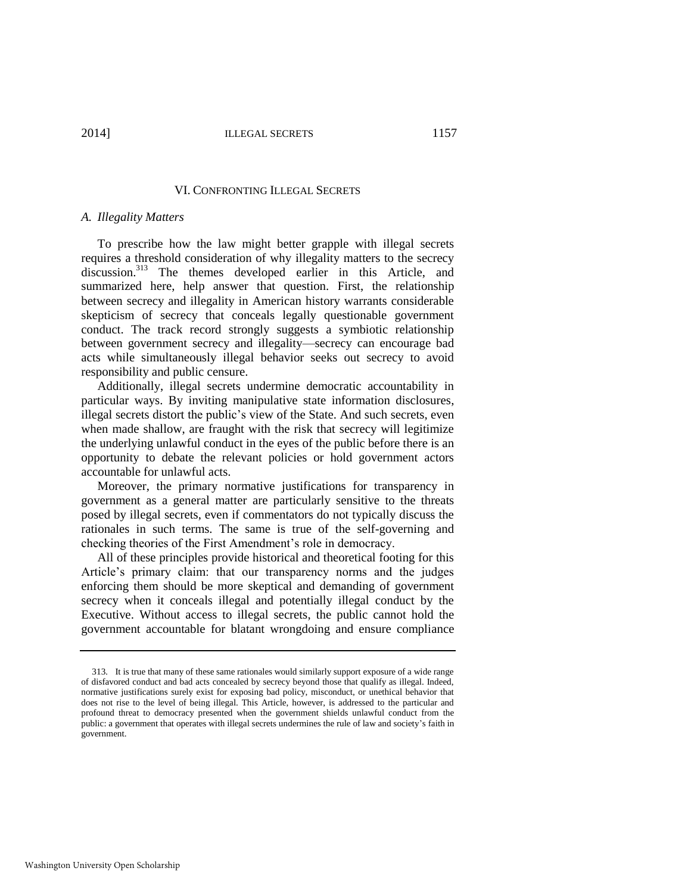#### VI. CONFRONTING ILLEGAL SECRETS

#### *A. Illegality Matters*

To prescribe how the law might better grapple with illegal secrets requires a threshold consideration of why illegality matters to the secrecy discussion.<sup>313</sup> The themes developed earlier in this Article, and summarized here, help answer that question. First, the relationship between secrecy and illegality in American history warrants considerable skepticism of secrecy that conceals legally questionable government conduct. The track record strongly suggests a symbiotic relationship between government secrecy and illegality—secrecy can encourage bad acts while simultaneously illegal behavior seeks out secrecy to avoid responsibility and public censure.

Additionally, illegal secrets undermine democratic accountability in particular ways. By inviting manipulative state information disclosures, illegal secrets distort the public's view of the State. And such secrets, even when made shallow, are fraught with the risk that secrecy will legitimize the underlying unlawful conduct in the eyes of the public before there is an opportunity to debate the relevant policies or hold government actors accountable for unlawful acts.

Moreover, the primary normative justifications for transparency in government as a general matter are particularly sensitive to the threats posed by illegal secrets, even if commentators do not typically discuss the rationales in such terms. The same is true of the self-governing and checking theories of the First Amendment's role in democracy.

All of these principles provide historical and theoretical footing for this Article's primary claim: that our transparency norms and the judges enforcing them should be more skeptical and demanding of government secrecy when it conceals illegal and potentially illegal conduct by the Executive. Without access to illegal secrets, the public cannot hold the government accountable for blatant wrongdoing and ensure compliance

<sup>313</sup>*.* It is true that many of these same rationales would similarly support exposure of a wide range of disfavored conduct and bad acts concealed by secrecy beyond those that qualify as illegal. Indeed, normative justifications surely exist for exposing bad policy, misconduct, or unethical behavior that does not rise to the level of being illegal. This Article, however, is addressed to the particular and profound threat to democracy presented when the government shields unlawful conduct from the public: a government that operates with illegal secrets undermines the rule of law and society's faith in government.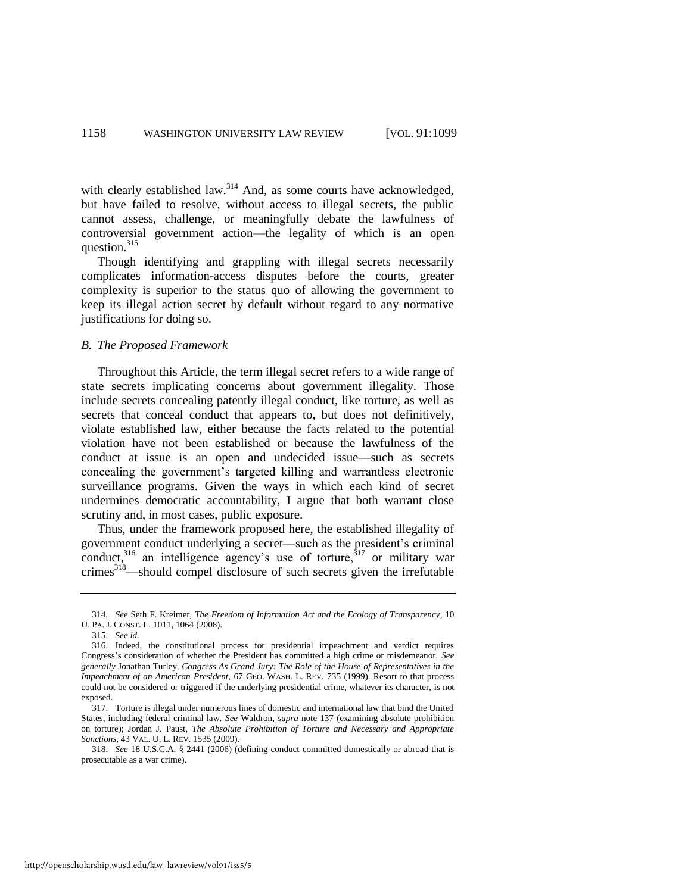with clearly established law.<sup>314</sup> And, as some courts have acknowledged, but have failed to resolve, without access to illegal secrets, the public cannot assess, challenge, or meaningfully debate the lawfulness of controversial government action—the legality of which is an open question.<sup>315</sup>

Though identifying and grappling with illegal secrets necessarily complicates information-access disputes before the courts, greater complexity is superior to the status quo of allowing the government to keep its illegal action secret by default without regard to any normative justifications for doing so.

#### *B. The Proposed Framework*

Throughout this Article, the term illegal secret refers to a wide range of state secrets implicating concerns about government illegality. Those include secrets concealing patently illegal conduct, like torture, as well as secrets that conceal conduct that appears to, but does not definitively, violate established law, either because the facts related to the potential violation have not been established or because the lawfulness of the conduct at issue is an open and undecided issue—such as secrets concealing the government's targeted killing and warrantless electronic surveillance programs. Given the ways in which each kind of secret undermines democratic accountability, I argue that both warrant close scrutiny and, in most cases, public exposure.

Thus, under the framework proposed here, the established illegality of government conduct underlying a secret—such as the president's criminal conduct,<sup>316</sup> an intelligence agency's use of torture,<sup>317</sup> or military war crimes<sup>318</sup>—should compel disclosure of such secrets given the irrefutable

<sup>314</sup>*. See* Seth F. Kreimer, *The Freedom of Information Act and the Ecology of Transparency*, 10 U. PA. J. CONST. L. 1011, 1064 (2008).

<sup>315.</sup> *See id.*

<sup>316.</sup> Indeed, the constitutional process for presidential impeachment and verdict requires Congress's consideration of whether the President has committed a high crime or misdemeanor. *See generally* Jonathan Turley, *Congress As Grand Jury: The Role of the House of Representatives in the Impeachment of an American President*, 67 GEO. WASH. L. REV. 735 (1999). Resort to that process could not be considered or triggered if the underlying presidential crime, whatever its character, is not exposed.

<sup>317.</sup> Torture is illegal under numerous lines of domestic and international law that bind the United States, including federal criminal law. *See* Waldron, *supra* not[e 137](#page-30-0) (examining absolute prohibition on torture); Jordan J. Paust, *The Absolute Prohibition of Torture and Necessary and Appropriate Sanctions*, 43 VAL. U. L. REV. 1535 (2009).

<sup>318.</sup> *See* 18 U.S.C.A. § 2441 (2006) (defining conduct committed domestically or abroad that is prosecutable as a war crime).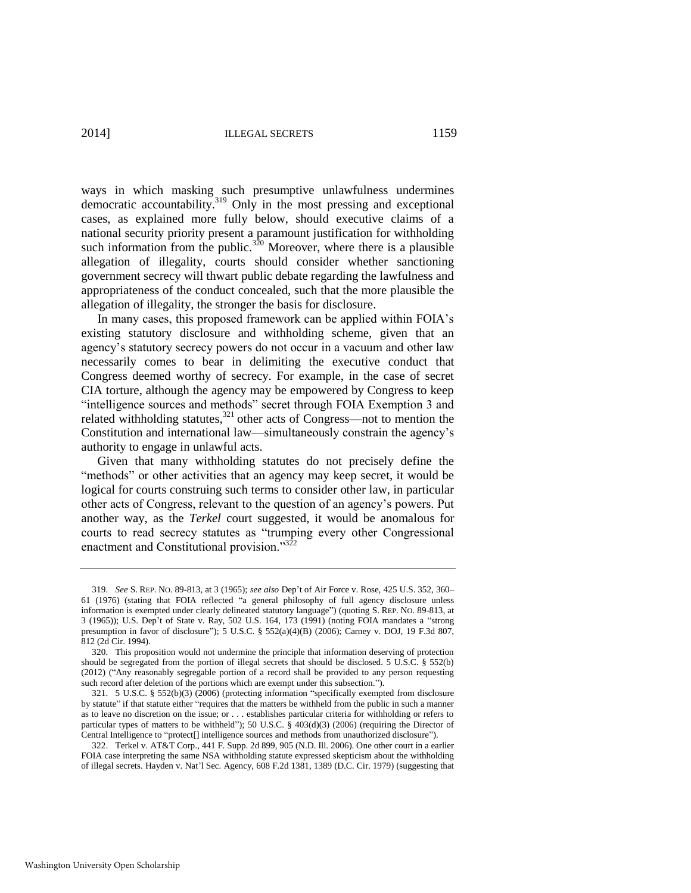2014] ILLEGAL SECRETS 1159

ways in which masking such presumptive unlawfulness undermines democratic accountability.<sup>319</sup> Only in the most pressing and exceptional cases, as explained more fully below, should executive claims of a national security priority present a paramount justification for withholding such information from the public.<sup>320</sup> Moreover, where there is a plausible allegation of illegality, courts should consider whether sanctioning government secrecy will thwart public debate regarding the lawfulness and appropriateness of the conduct concealed, such that the more plausible the allegation of illegality, the stronger the basis for disclosure.

In many cases, this proposed framework can be applied within FOIA's existing statutory disclosure and withholding scheme, given that an agency's statutory secrecy powers do not occur in a vacuum and other law necessarily comes to bear in delimiting the executive conduct that Congress deemed worthy of secrecy. For example, in the case of secret CIA torture, although the agency may be empowered by Congress to keep "intelligence sources and methods" secret through FOIA Exemption 3 and related withholding statutes, $321$  other acts of Congress—not to mention the Constitution and international law—simultaneously constrain the agency's authority to engage in unlawful acts.

Given that many withholding statutes do not precisely define the "methods" or other activities that an agency may keep secret, it would be logical for courts construing such terms to consider other law, in particular other acts of Congress, relevant to the question of an agency's powers. Put another way, as the *Terkel* court suggested, it would be anomalous for courts to read secrecy statutes as "trumping every other Congressional enactment and Constitutional provision."<sup>322</sup>

<sup>319.</sup> *See* S. REP. NO. 89-813, at 3 (1965); *see also* Dep't of Air Force v. Rose, 425 U.S. 352, 360– 61 (1976) (stating that FOIA reflected "a general philosophy of full agency disclosure unless information is exempted under clearly delineated statutory language") (quoting S. REP. NO. 89-813, at 3 (1965)); U.S. Dep't of State v. Ray, 502 U.S. 164, 173 (1991) (noting FOIA mandates a "strong presumption in favor of disclosure"); 5 U.S.C. § 552(a)(4)(B) (2006); Carney v. DOJ, 19 F.3d 807, 812 (2d Cir. 1994).

<sup>320.</sup> This proposition would not undermine the principle that information deserving of protection should be segregated from the portion of illegal secrets that should be disclosed. 5 U.S.C. § 552(b) (2012) ("Any reasonably segregable portion of a record shall be provided to any person requesting such record after deletion of the portions which are exempt under this subsection.").

<sup>321. 5</sup> U.S.C. § 552(b)(3) (2006) (protecting information "specifically exempted from disclosure by statute" if that statute either "requires that the matters be withheld from the public in such a manner as to leave no discretion on the issue; or . . . establishes particular criteria for withholding or refers to particular types of matters to be withheld"); 50 U.S.C. § 403(d)(3) (2006) (requiring the Director of Central Intelligence to "protect[] intelligence sources and methods from unauthorized disclosure").

<sup>322.</sup> Terkel v. AT&T Corp., 441 F. Supp. 2d 899, 905 (N.D. Ill. 2006). One other court in a earlier FOIA case interpreting the same NSA withholding statute expressed skepticism about the withholding of illegal secrets. Hayden v. Nat'l Sec. Agency, 608 F.2d 1381, 1389 (D.C. Cir. 1979) (suggesting that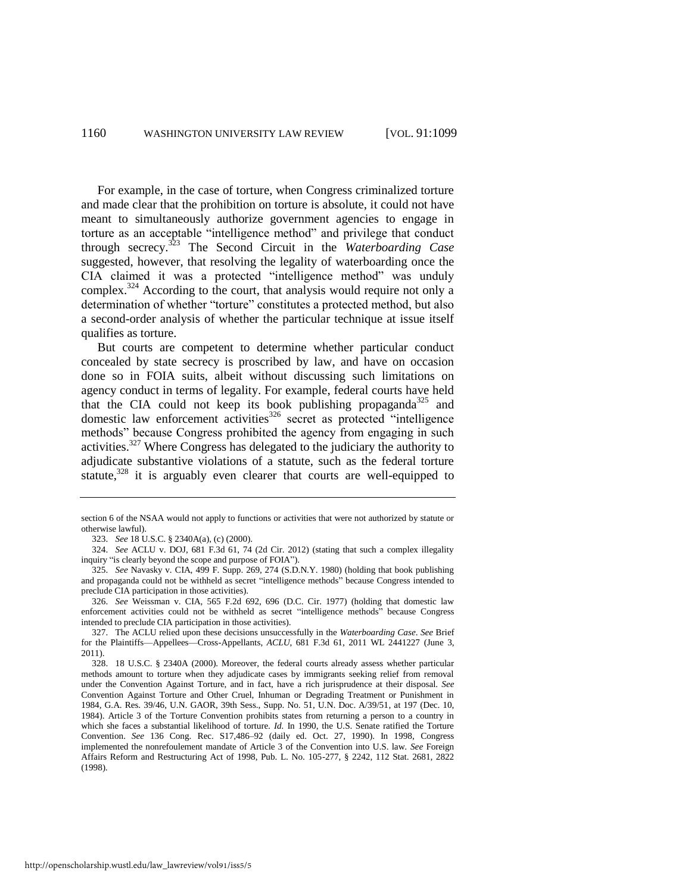For example, in the case of torture, when Congress criminalized torture and made clear that the prohibition on torture is absolute, it could not have meant to simultaneously authorize government agencies to engage in torture as an acceptable "intelligence method" and privilege that conduct through secrecy.<sup>323</sup> The Second Circuit in the *Waterboarding Case* suggested, however, that resolving the legality of waterboarding once the CIA claimed it was a protected "intelligence method" was unduly complex.<sup>324</sup> According to the court, that analysis would require not only a determination of whether "torture" constitutes a protected method, but also a second-order analysis of whether the particular technique at issue itself qualifies as torture.

But courts are competent to determine whether particular conduct concealed by state secrecy is proscribed by law, and have on occasion done so in FOIA suits, albeit without discussing such limitations on agency conduct in terms of legality. For example, federal courts have held that the CIA could not keep its book publishing propaganda<sup>325</sup> and domestic law enforcement activities<sup>326</sup> secret as protected "intelligence" methods" because Congress prohibited the agency from engaging in such activities.<sup>327</sup> Where Congress has delegated to the judiciary the authority to adjudicate substantive violations of a statute, such as the federal torture statute.<sup>328</sup> it is arguably even clearer that courts are well-equipped to

section 6 of the NSAA would not apply to functions or activities that were not authorized by statute or otherwise lawful).

<sup>323.</sup> *See* 18 U.S.C. § 2340A(a), (c) (2000).

<sup>324.</sup> *See* ACLU v. DOJ, 681 F.3d 61, 74 (2d Cir. 2012) (stating that such a complex illegality inquiry "is clearly beyond the scope and purpose of FOIA").

<sup>325.</sup> *See* Navasky v. CIA, 499 F. Supp. 269, 274 (S.D.N.Y. 1980) (holding that book publishing and propaganda could not be withheld as secret "intelligence methods" because Congress intended to preclude CIA participation in those activities).

<sup>326.</sup> *See* Weissman v. CIA, 565 F.2d 692, 696 (D.C. Cir. 1977) (holding that domestic law enforcement activities could not be withheld as secret "intelligence methods" because Congress intended to preclude CIA participation in those activities).

<sup>327.</sup> The ACLU relied upon these decisions unsuccessfully in the *Waterboarding Case*. *See* Brief for the Plaintiffs—Appellees—Cross-Appellants, *ACLU*, 681 F.3d 61, 2011 WL 2441227 (June 3, 2011).

<sup>328. 18</sup> U.S.C. § 2340A (2000). Moreover, the federal courts already assess whether particular methods amount to torture when they adjudicate cases by immigrants seeking relief from removal under the Convention Against Torture, and in fact, have a rich jurisprudence at their disposal. *See*  Convention Against Torture and Other Cruel, Inhuman or Degrading Treatment or Punishment in 1984, G.A. Res. 39/46, U.N. GAOR, 39th Sess., Supp. No. 51, U.N. Doc. A/39/51, at 197 (Dec. 10, 1984). Article 3 of the Torture Convention prohibits states from returning a person to a country in which she faces a substantial likelihood of torture. *Id.* In 1990, the U.S. Senate ratified the Torture Convention. *See* 136 Cong. Rec. S17,486–92 (daily ed. Oct. 27, 1990). In 1998, Congress implemented the nonrefoulement mandate of Article 3 of the Convention into U.S. law. *See* Foreign Affairs Reform and Restructuring Act of 1998, Pub. L. No. 105-277, § 2242, 112 Stat. 2681, 2822 (1998).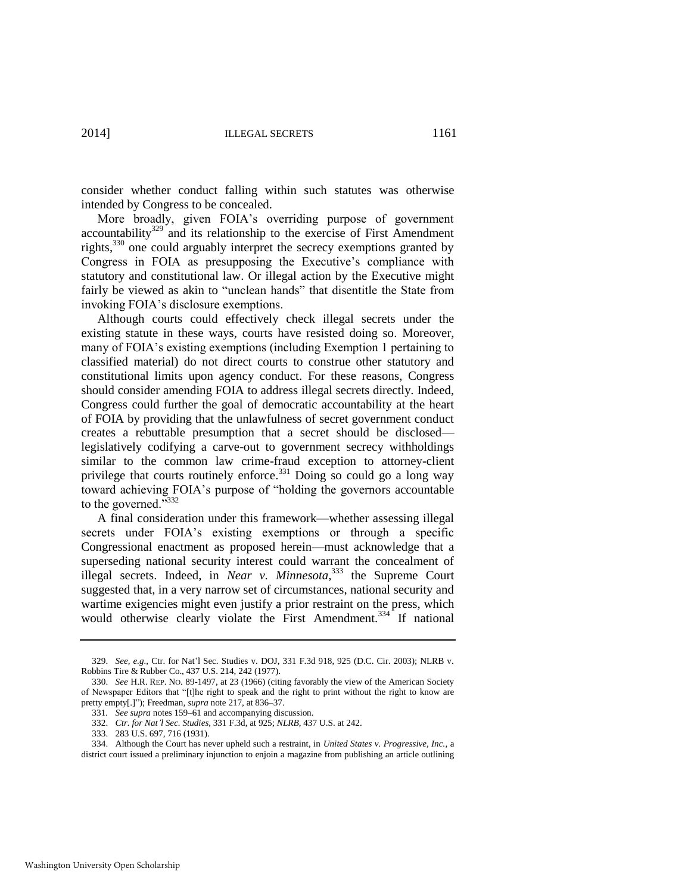consider whether conduct falling within such statutes was otherwise intended by Congress to be concealed.

More broadly, given FOIA's overriding purpose of government accountability<sup>329</sup> and its relationship to the exercise of First Amendment rights,<sup>330</sup> one could arguably interpret the secrecy exemptions granted by Congress in FOIA as presupposing the Executive's compliance with statutory and constitutional law. Or illegal action by the Executive might fairly be viewed as akin to "unclean hands" that disentitle the State from invoking FOIA's disclosure exemptions.

Although courts could effectively check illegal secrets under the existing statute in these ways, courts have resisted doing so. Moreover, many of FOIA's existing exemptions (including Exemption 1 pertaining to classified material) do not direct courts to construe other statutory and constitutional limits upon agency conduct. For these reasons, Congress should consider amending FOIA to address illegal secrets directly. Indeed, Congress could further the goal of democratic accountability at the heart of FOIA by providing that the unlawfulness of secret government conduct creates a rebuttable presumption that a secret should be disclosed legislatively codifying a carve-out to government secrecy withholdings similar to the common law crime-fraud exception to attorney-client privilege that courts routinely enforce.<sup>331</sup> Doing so could go a long way toward achieving FOIA's purpose of "holding the governors accountable to the governed."<sup>332</sup>

A final consideration under this framework—whether assessing illegal secrets under FOIA's existing exemptions or through a specific Congressional enactment as proposed herein—must acknowledge that a superseding national security interest could warrant the concealment of illegal secrets. Indeed, in *Near v. Minnesota*,<sup>333</sup> the Supreme Court suggested that, in a very narrow set of circumstances, national security and wartime exigencies might even justify a prior restraint on the press, which would otherwise clearly violate the First Amendment.<sup>334</sup> If national

<sup>329.</sup> *See, e.g.*, Ctr. for Nat'l Sec. Studies v. DOJ, 331 F.3d 918, 925 (D.C. Cir. 2003); NLRB v. Robbins Tire & Rubber Co., 437 U.S. 214, 242 (1977).

<sup>330.</sup> *See* H.R. REP. NO. 89-1497, at 23 (1966) (citing favorably the view of the American Society of Newspaper Editors that "[t]he right to speak and the right to print without the right to know are pretty empty[.]"); Freedman, *supra* not[e 217,](#page-44-0) at 836–37.

<sup>331</sup>*. See supra* note[s 159–](#page-34-0)61 and accompanying discussion*.*

<sup>332.</sup> *Ctr. for Nat'l Sec. Studies*, 331 F.3d, at 925; *NLRB*, 437 U.S. at 242.

<sup>333. 283</sup> U.S. 697, 716 (1931).

<sup>334.</sup> Although the Court has never upheld such a restraint, in *United States v. Progressive, Inc.*, a district court issued a preliminary injunction to enjoin a magazine from publishing an article outlining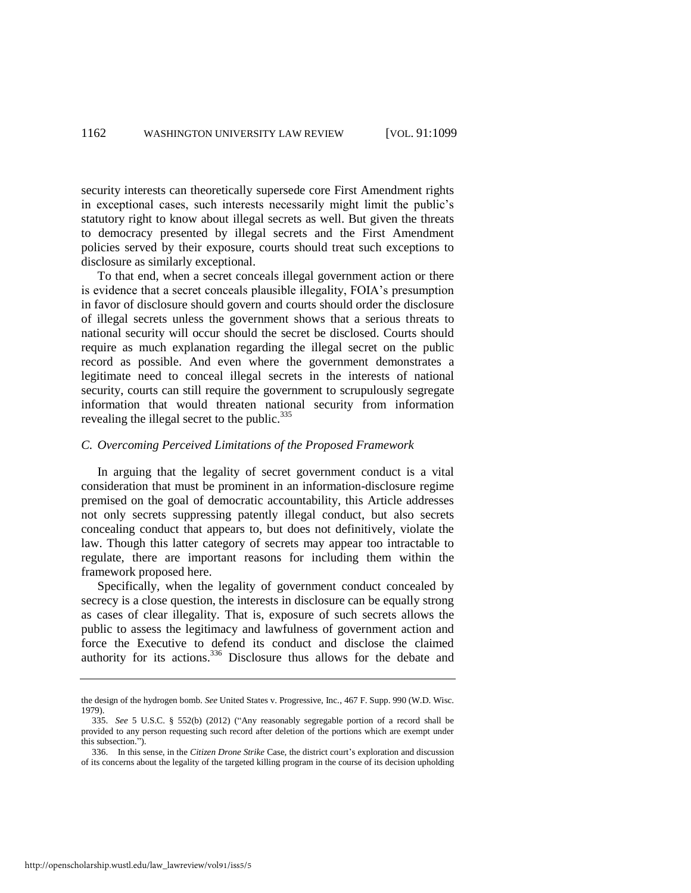security interests can theoretically supersede core First Amendment rights in exceptional cases, such interests necessarily might limit the public's statutory right to know about illegal secrets as well. But given the threats to democracy presented by illegal secrets and the First Amendment policies served by their exposure, courts should treat such exceptions to disclosure as similarly exceptional.

To that end, when a secret conceals illegal government action or there is evidence that a secret conceals plausible illegality, FOIA's presumption in favor of disclosure should govern and courts should order the disclosure of illegal secrets unless the government shows that a serious threats to national security will occur should the secret be disclosed. Courts should require as much explanation regarding the illegal secret on the public record as possible. And even where the government demonstrates a legitimate need to conceal illegal secrets in the interests of national security, courts can still require the government to scrupulously segregate information that would threaten national security from information revealing the illegal secret to the public.<sup>335</sup>

#### *C. Overcoming Perceived Limitations of the Proposed Framework*

In arguing that the legality of secret government conduct is a vital consideration that must be prominent in an information-disclosure regime premised on the goal of democratic accountability, this Article addresses not only secrets suppressing patently illegal conduct, but also secrets concealing conduct that appears to, but does not definitively, violate the law. Though this latter category of secrets may appear too intractable to regulate, there are important reasons for including them within the framework proposed here.

Specifically, when the legality of government conduct concealed by secrecy is a close question, the interests in disclosure can be equally strong as cases of clear illegality. That is, exposure of such secrets allows the public to assess the legitimacy and lawfulness of government action and force the Executive to defend its conduct and disclose the claimed authority for its actions.<sup>336</sup> Disclosure thus allows for the debate and

the design of the hydrogen bomb. *See* United States v. Progressive, Inc., 467 F. Supp. 990 (W.D. Wisc. 1979).

<sup>335.</sup> *See* 5 U.S.C. § 552(b) (2012) ("Any reasonably segregable portion of a record shall be provided to any person requesting such record after deletion of the portions which are exempt under this subsection.").

<sup>336.</sup> In this sense, in the *Citizen Drone Strike* Case, the district court's exploration and discussion of its concerns about the legality of the targeted killing program in the course of its decision upholding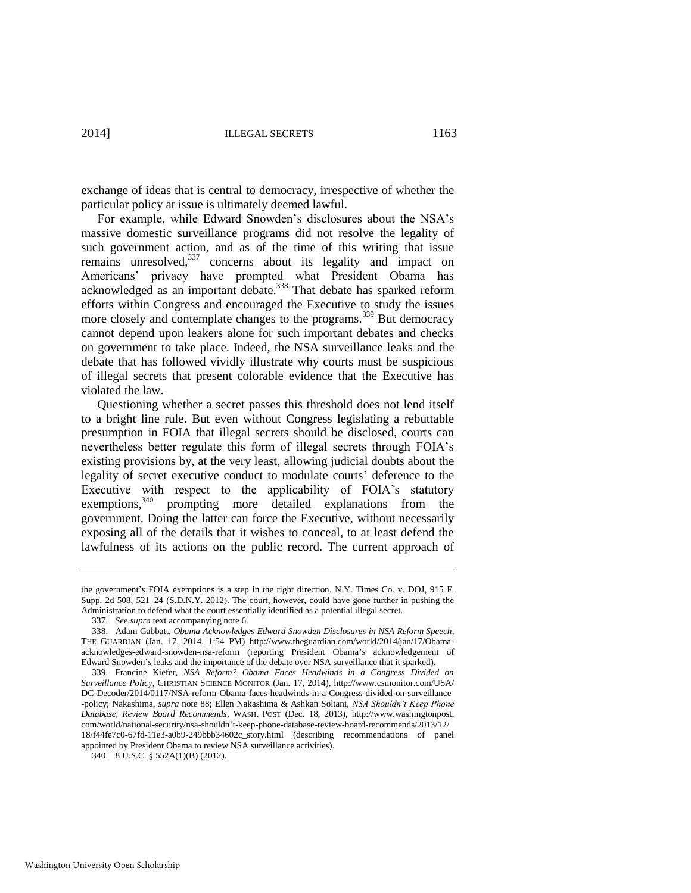exchange of ideas that is central to democracy, irrespective of whether the particular policy at issue is ultimately deemed lawful.

For example, while Edward Snowden's disclosures about the NSA's massive domestic surveillance programs did not resolve the legality of such government action, and as of the time of this writing that issue remains unresolved,<sup>337</sup> concerns about its legality and impact on Americans' privacy have prompted what President Obama has acknowledged as an important debate.<sup>338</sup> That debate has sparked reform efforts within Congress and encouraged the Executive to study the issues more closely and contemplate changes to the programs.<sup>339</sup> But democracy cannot depend upon leakers alone for such important debates and checks on government to take place. Indeed, the NSA surveillance leaks and the debate that has followed vividly illustrate why courts must be suspicious of illegal secrets that present colorable evidence that the Executive has violated the law.

Questioning whether a secret passes this threshold does not lend itself to a bright line rule. But even without Congress legislating a rebuttable presumption in FOIA that illegal secrets should be disclosed, courts can nevertheless better regulate this form of illegal secrets through FOIA's existing provisions by, at the very least, allowing judicial doubts about the legality of secret executive conduct to modulate courts' deference to the Executive with respect to the applicability of FOIA's statutory exemptions,<sup>340</sup> prompting more detailed explanations from the government. Doing the latter can force the Executive, without necessarily exposing all of the details that it wishes to conceal, to at least defend the lawfulness of its actions on the public record. The current approach of

the government's FOIA exemptions is a step in the right direction. N.Y. Times Co. v. DOJ, 915 F. Supp. 2d 508, 521–24 (S.D.N.Y. 2012). The court, however, could have gone further in pushing the Administration to defend what the court essentially identified as a potential illegal secret.

<sup>337.</sup> *See supra* text accompanying not[e 6.](#page-4-0)

<sup>338.</sup> Adam Gabbatt, *Obama Acknowledges Edward Snowden Disclosures in NSA Reform Speech*, THE GUARDIAN (Jan. 17, 2014, 1:54 PM) http://www.theguardian.com/world/2014/jan/17/Obamaacknowledges-edward-snowden-nsa-reform (reporting President Obama's acknowledgement of Edward Snowden's leaks and the importance of the debate over NSA surveillance that it sparked).

<sup>339.</sup> Francine Kiefer, *NSA Reform? Obama Faces Headwinds in a Congress Divided on Surveillance Policy*, CHRISTIAN SCIENCE MONITOR (Jan. 17, 2014), http://www.csmonitor.com/USA/ DC-Decoder/2014/0117/NSA-reform-Obama-faces-headwinds-in-a-Congress-divided-on-surveillance -policy; Nakashima, *supra* not[e 88;](#page-19-3) Ellen Nakashima & Ashkan Soltani, *NSA Shouldn't Keep Phone Database, Review Board Recommends*, WASH. POST (Dec. 18, 2013), http://www.washingtonpost. com/world/national-security/nsa-shouldn't-keep-phone-database-review-board-recommends/2013/12/ 18/f44fe7c0-67fd-11e3-a0b9-249bbb34602c\_story.html (describing recommendations of panel appointed by President Obama to review NSA surveillance activities).

<sup>340. 8</sup> U.S.C. § 552A(1)(B) (2012).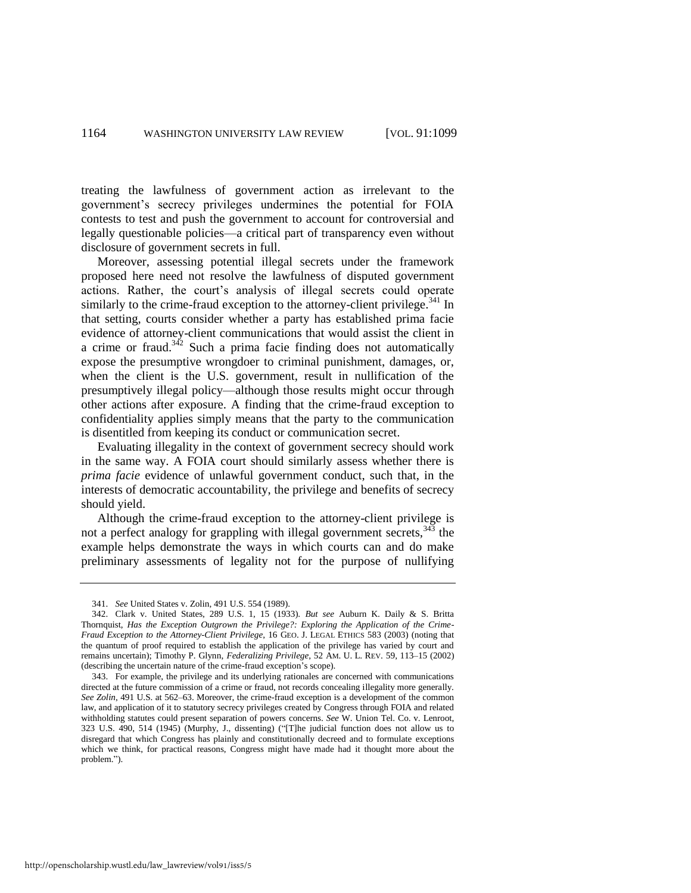treating the lawfulness of government action as irrelevant to the government's secrecy privileges undermines the potential for FOIA contests to test and push the government to account for controversial and legally questionable policies—a critical part of transparency even without disclosure of government secrets in full.

<span id="page-66-0"></span>Moreover, assessing potential illegal secrets under the framework proposed here need not resolve the lawfulness of disputed government actions. Rather, the court's analysis of illegal secrets could operate similarly to the crime-fraud exception to the attorney-client privilege.<sup>341</sup> In that setting, courts consider whether a party has established prima facie evidence of attorney-client communications that would assist the client in a crime or fraud. $342$  Such a prima facie finding does not automatically expose the presumptive wrongdoer to criminal punishment, damages, or, when the client is the U.S. government, result in nullification of the presumptively illegal policy—although those results might occur through other actions after exposure. A finding that the crime-fraud exception to confidentiality applies simply means that the party to the communication is disentitled from keeping its conduct or communication secret.

Evaluating illegality in the context of government secrecy should work in the same way. A FOIA court should similarly assess whether there is *prima facie* evidence of unlawful government conduct, such that, in the interests of democratic accountability, the privilege and benefits of secrecy should yield.

Although the crime-fraud exception to the attorney-client privilege is not a perfect analogy for grappling with illegal government secrets,  $343$  the example helps demonstrate the ways in which courts can and do make preliminary assessments of legality not for the purpose of nullifying

<sup>341.</sup> *See* United States v. Zolin, 491 U.S. 554 (1989).

<sup>342.</sup> Clark v. United States, 289 U.S. 1, 15 (1933). *But see* Auburn K. Daily & S. Britta Thornquist, *Has the Exception Outgrown the Privilege?: Exploring the Application of the Crime-Fraud Exception to the Attorney-Client Privilege*, 16 GEO. J. LEGAL ETHICS 583 (2003) (noting that the quantum of proof required to establish the application of the privilege has varied by court and remains uncertain); Timothy P. Glynn, *Federalizing Privilege*, 52 AM. U. L. REV. 59, 113–15 (2002) (describing the uncertain nature of the crime-fraud exception's scope).

<sup>343.</sup> For example, the privilege and its underlying rationales are concerned with communications directed at the future commission of a crime or fraud, not records concealing illegality more generally. *See Zolin*, 491 U.S. at 562–63. Moreover, the crime-fraud exception is a development of the common law, and application of it to statutory secrecy privileges created by Congress through FOIA and related withholding statutes could present separation of powers concerns. *See* W. Union Tel. Co. v. Lenroot, 323 U.S. 490, 514 (1945) (Murphy, J., dissenting) ("[T]he judicial function does not allow us to disregard that which Congress has plainly and constitutionally decreed and to formulate exceptions which we think, for practical reasons, Congress might have made had it thought more about the problem.").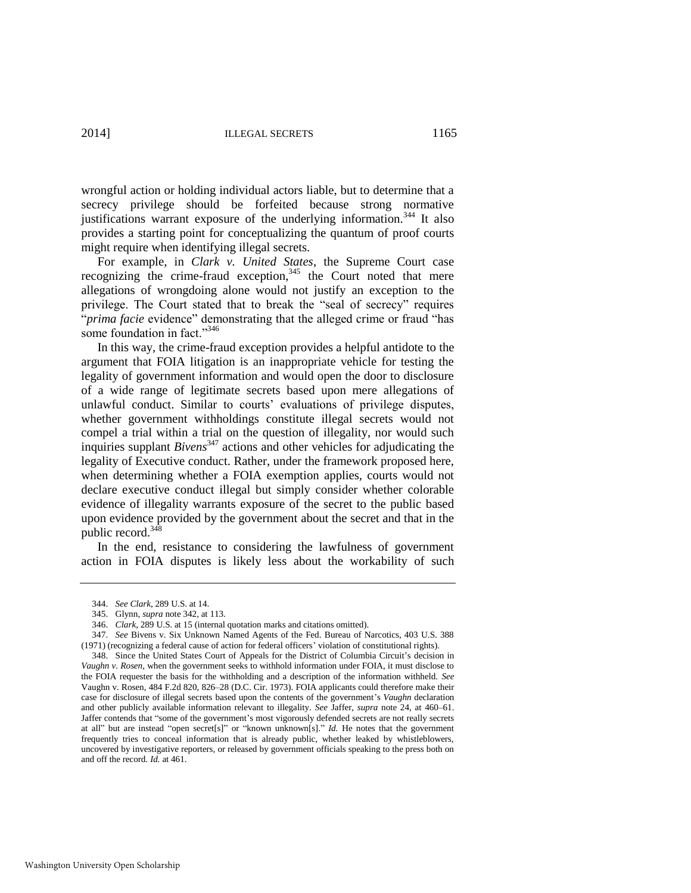wrongful action or holding individual actors liable, but to determine that a secrecy privilege should be forfeited because strong normative justifications warrant exposure of the underlying information.<sup>344</sup> It also provides a starting point for conceptualizing the quantum of proof courts might require when identifying illegal secrets.

For example, in *Clark v. United States*, the Supreme Court case recognizing the crime-fraud exception, $345$  the Court noted that mere allegations of wrongdoing alone would not justify an exception to the privilege. The Court stated that to break the "seal of secrecy" requires "*prima facie* evidence" demonstrating that the alleged crime or fraud "has some foundation in fact."346

In this way, the crime-fraud exception provides a helpful antidote to the argument that FOIA litigation is an inappropriate vehicle for testing the legality of government information and would open the door to disclosure of a wide range of legitimate secrets based upon mere allegations of unlawful conduct. Similar to courts' evaluations of privilege disputes, whether government withholdings constitute illegal secrets would not compel a trial within a trial on the question of illegality, nor would such inquiries supplant *Bivens*<sup>347</sup> actions and other vehicles for adjudicating the legality of Executive conduct. Rather, under the framework proposed here, when determining whether a FOIA exemption applies, courts would not declare executive conduct illegal but simply consider whether colorable evidence of illegality warrants exposure of the secret to the public based upon evidence provided by the government about the secret and that in the public record.<sup>348</sup>

In the end, resistance to considering the lawfulness of government action in FOIA disputes is likely less about the workability of such

<sup>344.</sup> *See Clark*, 289 U.S. at 14.

<sup>345.</sup> Glynn, *supra* not[e 342,](#page-66-0) at 113.

<sup>346.</sup> *Clark*, 289 U.S. at 15 (internal quotation marks and citations omitted).

<sup>347.</sup> *See* Bivens v. Six Unknown Named Agents of the Fed. Bureau of Narcotics, 403 U.S. 388 (1971) (recognizing a federal cause of action for federal officers' violation of constitutional rights).

<sup>348.</sup> Since the United States Court of Appeals for the District of Columbia Circuit's decision in *Vaughn v. Rosen*, when the government seeks to withhold information under FOIA, it must disclose to the FOIA requester the basis for the withholding and a description of the information withheld. *See*  Vaughn v. Rosen, 484 F.2d 820, 826–28 (D.C. Cir. 1973). FOIA applicants could therefore make their case for disclosure of illegal secrets based upon the contents of the government's *Vaughn* declaration and other publicly available information relevant to illegality. *See* Jaffer, *supra* note [24,](#page-8-0) at 460–61. Jaffer contends that "some of the government's most vigorously defended secrets are not really secrets at all" but are instead "open secret[s]" or "known unknown[s]." *Id.* He notes that the government frequently tries to conceal information that is already public, whether leaked by whistleblowers, uncovered by investigative reporters, or released by government officials speaking to the press both on and off the record. *Id.* at 461.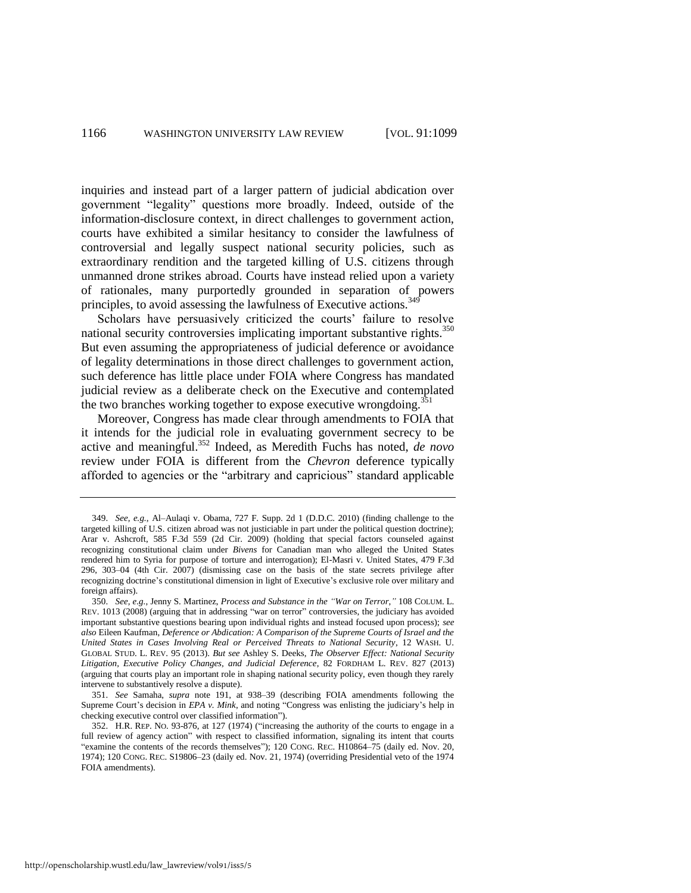inquiries and instead part of a larger pattern of judicial abdication over government "legality" questions more broadly. Indeed, outside of the information-disclosure context, in direct challenges to government action, courts have exhibited a similar hesitancy to consider the lawfulness of controversial and legally suspect national security policies, such as extraordinary rendition and the targeted killing of U.S. citizens through unmanned drone strikes abroad. Courts have instead relied upon a variety of rationales, many purportedly grounded in separation of powers principles, to avoid assessing the lawfulness of Executive actions.<sup>349</sup>

Scholars have persuasively criticized the courts' failure to resolve national security controversies implicating important substantive rights.<sup>350</sup> But even assuming the appropriateness of judicial deference or avoidance of legality determinations in those direct challenges to government action, such deference has little place under FOIA where Congress has mandated judicial review as a deliberate check on the Executive and contemplated the two branches working together to expose executive wrongdoing.<sup>351</sup>

Moreover, Congress has made clear through amendments to FOIA that it intends for the judicial role in evaluating government secrecy to be active and meaningful.<sup>352</sup> Indeed, as Meredith Fuchs has noted, *de novo* review under FOIA is different from the *Chevron* deference typically afforded to agencies or the "arbitrary and capricious" standard applicable

<sup>349.</sup> *See, e.g.*, Al–Aulaqi v. Obama, 727 F. Supp. 2d 1 (D.D.C. 2010) (finding challenge to the targeted killing of U.S. citizen abroad was not justiciable in part under the political question doctrine); Arar v. Ashcroft, 585 F.3d 559 (2d Cir. 2009) (holding that special factors counseled against recognizing constitutional claim under *Bivens* for Canadian man who alleged the United States rendered him to Syria for purpose of torture and interrogation); El-Masri v. United States, 479 F.3d 296, 303–04 (4th Cir. 2007) (dismissing case on the basis of the state secrets privilege after recognizing doctrine's constitutional dimension in light of Executive's exclusive role over military and foreign affairs).

<sup>350.</sup> *See, e.g.*, Jenny S. Martinez, *Process and Substance in the "War on Terror*,*"* 108 COLUM. L. REV. 1013 (2008) (arguing that in addressing "war on terror" controversies, the judiciary has avoided important substantive questions bearing upon individual rights and instead focused upon process); *see also* Eileen Kaufman, *Deference or Abdication: A Comparison of the Supreme Courts of Israel and the United States in Cases Involving Real or Perceived Threats to National Security*, 12 WASH. U. GLOBAL STUD. L. REV. 95 (2013). *But see* Ashley S. Deeks, *The Observer Effect: National Security Litigation, Executive Policy Changes, and Judicial Deference*, 82 FORDHAM L. REV. 827 (2013) (arguing that courts play an important role in shaping national security policy, even though they rarely intervene to substantively resolve a dispute).

<sup>351.</sup> *See* Samaha, *supra* note [191,](#page-40-0) at 938–39 (describing FOIA amendments following the Supreme Court's decision in *EPA v. Mink*, and noting "Congress was enlisting the judiciary's help in checking executive control over classified information").

<sup>352.</sup> H.R. REP. NO. 93-876, at 127 (1974) ("increasing the authority of the courts to engage in a full review of agency action" with respect to classified information, signaling its intent that courts "examine the contents of the records themselves"); 120 CONG. REC. H10864–75 (daily ed. Nov. 20, 1974); 120 CONG. REC. S19806–23 (daily ed. Nov. 21, 1974) (overriding Presidential veto of the 1974 FOIA amendments).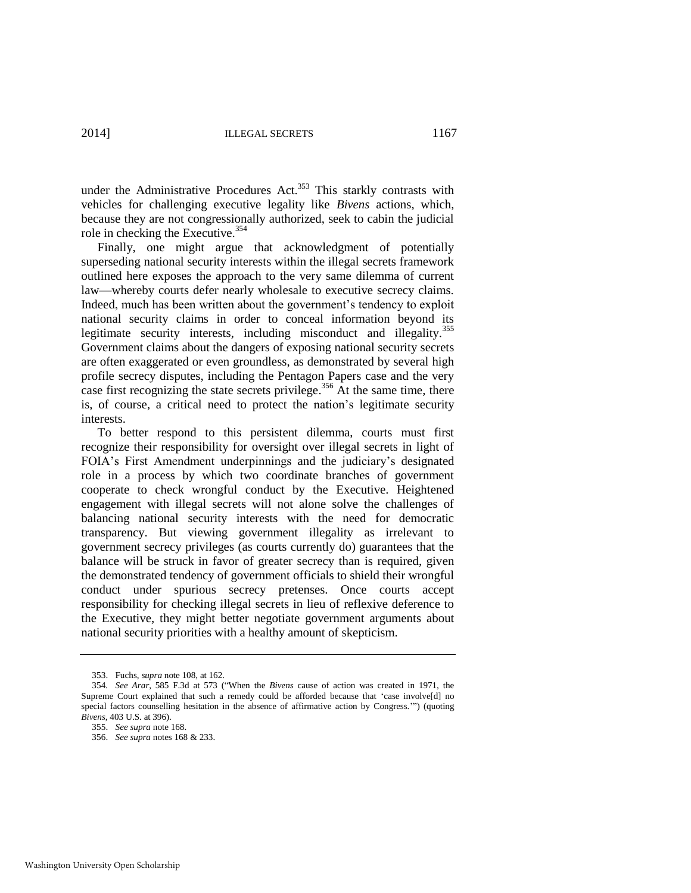under the Administrative Procedures Act.<sup>353</sup> This starkly contrasts with vehicles for challenging executive legality like *Bivens* actions, which, because they are not congressionally authorized, seek to cabin the judicial role in checking the Executive.<sup>354</sup>

Finally, one might argue that acknowledgment of potentially superseding national security interests within the illegal secrets framework outlined here exposes the approach to the very same dilemma of current law—whereby courts defer nearly wholesale to executive secrecy claims. Indeed, much has been written about the government's tendency to exploit national security claims in order to conceal information beyond its legitimate security interests, including misconduct and illegality.<sup>355</sup> Government claims about the dangers of exposing national security secrets are often exaggerated or even groundless, as demonstrated by several high profile secrecy disputes, including the Pentagon Papers case and the very case first recognizing the state secrets privilege.<sup>356</sup> At the same time, there is, of course, a critical need to protect the nation's legitimate security interests.

To better respond to this persistent dilemma, courts must first recognize their responsibility for oversight over illegal secrets in light of FOIA's First Amendment underpinnings and the judiciary's designated role in a process by which two coordinate branches of government cooperate to check wrongful conduct by the Executive. Heightened engagement with illegal secrets will not alone solve the challenges of balancing national security interests with the need for democratic transparency. But viewing government illegality as irrelevant to government secrecy privileges (as courts currently do) guarantees that the balance will be struck in favor of greater secrecy than is required, given the demonstrated tendency of government officials to shield their wrongful conduct under spurious secrecy pretenses. Once courts accept responsibility for checking illegal secrets in lieu of reflexive deference to the Executive, they might better negotiate government arguments about national security priorities with a healthy amount of skepticism.

356. *See supra* note[s 168](#page-36-1) [& 233.](#page-47-0) 

<sup>353.</sup> Fuchs, *supra* not[e 108,](#page-24-2) at 162.

<sup>354</sup>*. See Arar*, 585 F.3d at 573 ("When the *Bivens* cause of action was created in 1971, the Supreme Court explained that such a remedy could be afforded because that 'case involve[d] no special factors counselling hesitation in the absence of affirmative action by Congress.'") (quoting *Bivens*, 403 U.S. at 396).

<sup>355.</sup> *See supra* not[e 168.](#page-36-1)